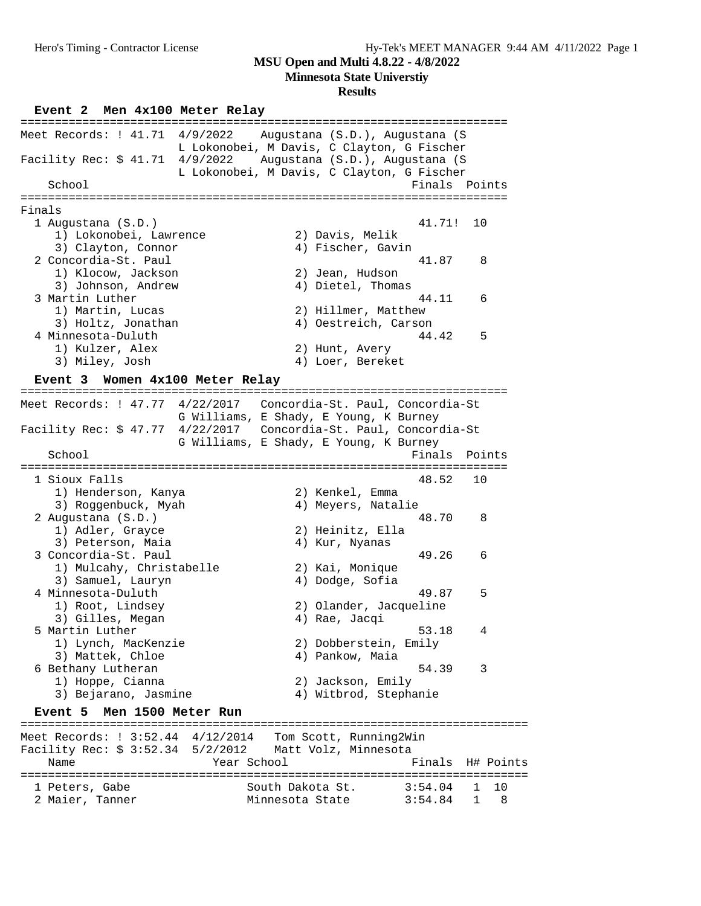**Minnesota State Universtiy**

#### **Results**

**Event 2 Men 4x100 Meter Relay** ======================================================================= Meet Records: ! 41.71 4/9/2022 Augustana (S.D.), Augustana (S L Lokonobei, M Davis, C Clayton, G Fischer Facility Rec: \$ 41.71 4/9/2022 Augustana (S.D.), Augustana (S L Lokonobei, M Davis, C Clayton, G Fischer School **Finals Points** ======================================================================= Finals 1 Augustana (S.D.) 41.71! 10 1) Lokonobei, Lawrence 2) Davis, Melik 3) Clayton, Connor (4) Fischer, Gavin 2 Concordia-St. Paul 41.87 8 1) Klocow, Jackson 2) Jean, Hudson 3) Johnson, Andrew 4) Dietel, Thomas 3 Martin Luther 44.11 6 1) Martin, Lucas 2) Hillmer, Matthew 3) Holtz, Jonathan 4) Oestreich, Carson 4 Minnesota-Duluth 44.42 5 1) Kulzer, Alex 2) Hunt, Avery 3) Miley, Josh 4) Loer, Bereket **Event 3 Women 4x100 Meter Relay** ======================================================================= Meet Records: ! 47.77 4/22/2017 Concordia-St. Paul, Concordia-St G Williams, E Shady, E Young, K Burney Facility Rec: \$ 47.77 4/22/2017 Concordia-St. Paul, Concordia-St G Williams, E Shady, E Young, K Burney School **Finals** Points **Points** ======================================================================= 1 Sioux Falls 48.52 10 1) Henderson, Kanya 2) Kenkel, Emma 3) Roggenbuck, Myah (4) Meyers, Natalie 2 Augustana (S.D.)<br>
2 Augustana (S.D.)<br>
2) Heinitz, Ella<br>
<sup>2</sup> Heinitz, Ella 2) Heinitz, Ella<br>4) Kur, Nyanas 1) Aurel, Uru, J.<br>3) Peterson, Maia 3 Concordia-St. Paul 49.26 6 1) Mulcahy, Christabelle 2) Kai, Monique 3) Samuel, Lauryn 4) Dodge, Sofia 4 Minnesota-Duluth 49.87 5 1) Root, Lindsey 2) Olander, Jacqueline 3) Gilles, Megan (4) Rae, Jacqi 5 Martin Luther 53.18 4 1) Lynch, MacKenzie 2) Dobberstein, Emily 3) Mattek, Chloe (4) Pankow, Maia 3) Mattek, Chloe (3) Mattek, Chloe (4) Pankow, Maia (54.39)<br>54.39 54.39 54.39 54.39 54.39 54.39 54.39 54.39 54.39 54.39 54.39 54.39 54.39 54.39 54.39 54.39 54.39 54.39 54.39 54.39 54.39 54.39 54.39 54.39 54.39 54.39 54.39 1) Hoppe, Cianna 2) Jackson, Emily 3) Bejarano, Jasmine 4) Witbrod, Stephanie **Event 5 Men 1500 Meter Run** ========================================================================== Meet Records: ! 3:52.44 4/12/2014 Tom Scott, Running2Win Facility Rec: \$ 3:52.34 5/2/2012 Matt Volz, Minnesota Name Year School Finals H# Points ========================================================================== 1 Peters, Gabe 3:54.04 1 10

2 Maier, Tanner Minnesota State 3:54.84 1 8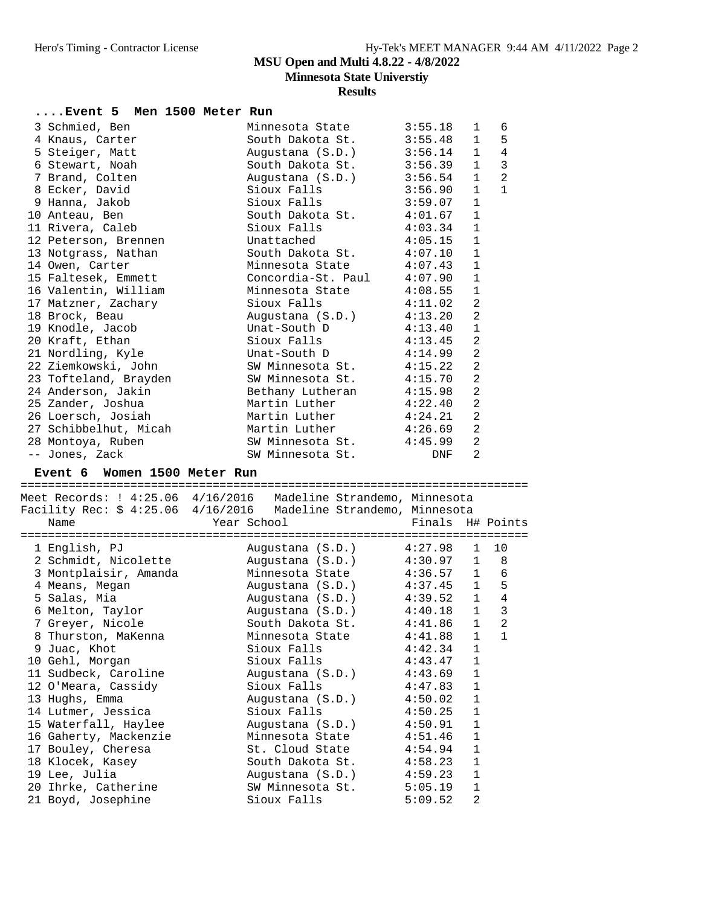**Minnesota State Universtiy**

**Results**

|  | Event 5 Men 1500 Meter Run |  |                                                |         |                |                |
|--|----------------------------|--|------------------------------------------------|---------|----------------|----------------|
|  | 3 Schmied, Ben             |  | Minnesota State                                | 3:55.18 | $\mathbf{1}$   | 6              |
|  | 4 Knaus, Carter            |  | South Dakota St. 3:55.48                       |         | $\mathbf{1}$   | 5              |
|  | 5 Steiger, Matt            |  | Augustana (S.D.) 3:56.14                       |         | $\mathbf{1}$   | $\overline{4}$ |
|  | 6 Stewart, Noah            |  | South Dakota St. 3:56.39                       |         | $\mathbf{1}$   | $\overline{3}$ |
|  | 7 Brand, Colten            |  | Augustana (S.D.) 3:56.54                       |         | $\mathbf{1}$   | $\overline{2}$ |
|  | 8 Ecker, David             |  | Sioux Falls 3:56.90                            |         | $\mathbf{1}$   | $\mathbf{1}$   |
|  | 9 Hanna, Jakob             |  | Sioux Falls 3:59.07                            |         | $\mathbf{1}$   |                |
|  | 10 Anteau, Ben             |  | South Dakota St. 4:01.67                       |         | $\mathbf{1}$   |                |
|  | 11 Rivera, Caleb           |  | Sioux Falls 4:03.34                            |         | $\mathbf{1}$   |                |
|  | 12 Peterson, Brennen       |  | Unattached                          4:05.15    |         | $\mathbf{1}$   |                |
|  |                            |  | 13 Notgrass, Nathan South Dakota St. 4:07.10   |         | $\mathbf{1}$   |                |
|  | 14 Owen, Carter            |  | Minnesota State $4:07.43$                      |         | $\mathbf{1}$   |                |
|  |                            |  | 15 Faltesek, Emmett Concordia-St. Paul 4:07.90 |         | $\mathbf{1}$   |                |
|  |                            |  | 16 Valentin, William Minnesota State 4:08.55   |         | $\mathbf{1}$   |                |
|  | 17 Matzner, Zachary        |  | Sioux Falls                                    | 4:11.02 | 2              |                |
|  | 18 Brock, Beau             |  | Augustana (S.D.) 4:13.20                       |         | $\overline{2}$ |                |
|  | 19 Knodle, Jacob           |  | Unat-South D 4:13.40                           |         | $\mathbf{1}$   |                |
|  | 20 Kraft, Ethan            |  | Sioux Falls 4:13.45                            |         | $\overline{2}$ |                |
|  | 21 Nordling, Kyle          |  | Unat-South $D$ 4:14.99                         |         | $\overline{2}$ |                |
|  | 22 Ziemkowski, John        |  | SW Minnesota St. 4:15.22                       |         | $\overline{2}$ |                |
|  |                            |  | 23 Tofteland, Brayden SW Minnesota St. 4:15.70 |         | $\overline{2}$ |                |
|  | 24 Anderson, Jakin         |  | Bethany Lutheran 4:15.98                       |         | $\overline{a}$ |                |
|  | 25 Zander, Joshua          |  | Martin Luther $4:22.40$                        |         | $\overline{2}$ |                |
|  | 26 Loersch, Josiah         |  | Martin Luther $4:24.21$                        |         | $\overline{2}$ |                |
|  | 27 Schibbelhut, Micah      |  | Martin Luther $4:26.69$                        |         | $\overline{2}$ |                |
|  | 28 Montoya, Ruben          |  |                                                |         | $\overline{2}$ |                |
|  | -- Jones, Zack             |  | SW Minnesota St.                               |         | 2              |                |
|  |                            |  |                                                |         |                |                |

#### **Event 6 Women 1500 Meter Run**

==========================================================================

|                     | Meet Records: ! 4:25.06  4/16/2016  Madeline Strandemo, Minnesota<br>Facility Rec: \$ 4:25.06 4/16/2016 Madeline Strandemo, Minnesota |              |                |
|---------------------|---------------------------------------------------------------------------------------------------------------------------------------|--------------|----------------|
| Name                |                                                                                                                                       |              |                |
| 1 English, PJ       | Augustana (S.D.) 4:27.98 1 10                                                                                                         |              |                |
|                     | 2 Schmidt, Nicolette Augustana (S.D.) 4:30.97 1 8                                                                                     |              |                |
|                     | 3 Montplaisir, Amanda Minnesota State 4:36.57 1 6                                                                                     |              |                |
| 4 Means, Megan      | Augustana (S.D.) 4:37.45 1                                                                                                            |              | 5              |
| 5 Salas, Mia        | Augustana (S.D.) 4:39.52 1 4                                                                                                          |              |                |
| 6 Melton, Taylor    | Augustana (S.D.) 4:40.18 1                                                                                                            |              | $\overline{3}$ |
| 7 Greyer, Nicole    | South Dakota St. 4:41.86 1                                                                                                            |              | 2              |
|                     | 8 Thurston, MaKenna Minnesota State 4:41.88 1                                                                                         |              | $\mathbf{1}$   |
| 9 Juac, Khot        | Sioux Falls 4:42.34                                                                                                                   | $\mathbf{1}$ |                |
| 10 Gehl, Morgan     | Sioux Falls 4:43.47 1                                                                                                                 |              |                |
|                     | 11 Sudbeck, Caroline Mugustana (S.D.) 4:43.69                                                                                         | $\mathbf{1}$ |                |
| 12 O'Meara, Cassidy | Sioux Falls 4:47.83                                                                                                                   | $\mathbf{1}$ |                |
| 13 Hughs, Emma      | Augustana (S.D.) 4:50.02                                                                                                              | $\mathbf{1}$ |                |
| 14 Lutmer, Jessica  | Sioux Falls 4:50.25                                                                                                                   | $\mathbf{1}$ |                |
|                     | 15 Waterfall, Haylee Augustana (S.D.) 4:50.91                                                                                         | $\mathbf{1}$ |                |
|                     | 16 Gaherty, Mackenzie           Minnesota State         4:51.46                                                                       | $\mathbf{1}$ |                |
| 17 Bouley, Cheresa  | St. Cloud State 4:54.94                                                                                                               | $\mathbf{1}$ |                |
| 18 Klocek, Kasey    | South Dakota St. 4:58.23                                                                                                              | $\mathbf{1}$ |                |
| 19 Lee, Julia       | Augustana (S.D.) 4:59.23                                                                                                              | $\mathbf{1}$ |                |
| 20 Ihrke, Catherine | SW Minnesota St. 5:05.19 1                                                                                                            |              |                |
| 21 Boyd, Josephine  | Sioux Falls 5:09.52                                                                                                                   | 2            |                |
|                     |                                                                                                                                       |              |                |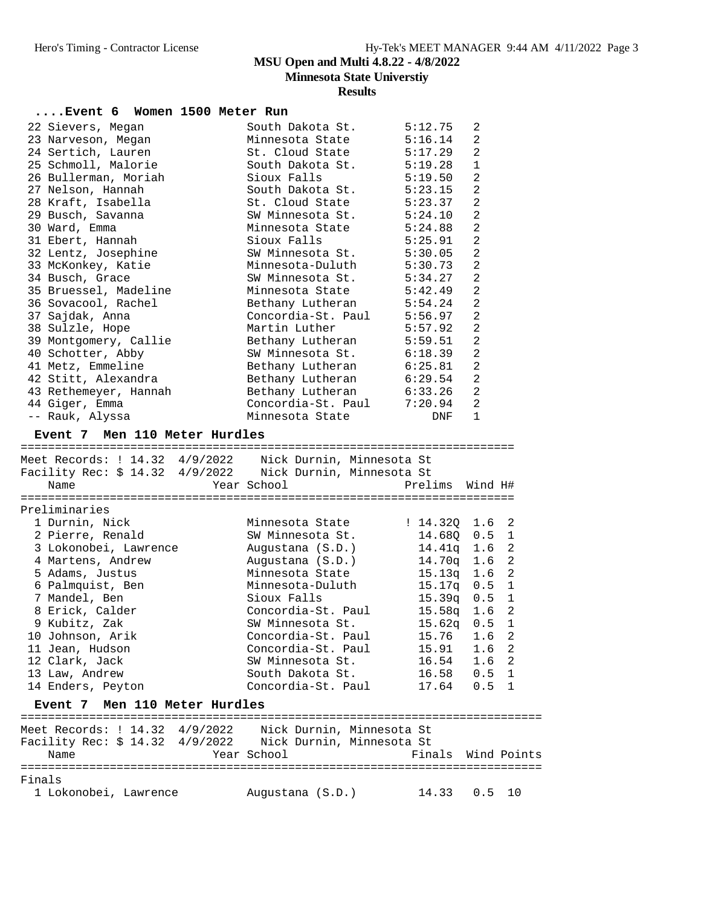| Event 6 Women 1500 Meter Run                                     |                                             |                                |                                |              |
|------------------------------------------------------------------|---------------------------------------------|--------------------------------|--------------------------------|--------------|
|                                                                  |                                             |                                |                                |              |
| 22 Sievers, Megan                                                | South Dakota St. 5:12.75                    |                                | 2                              |              |
| 23 Narveson, Megan                                               | Minnesota State                             | 5:16.14                        | 2                              |              |
| 24 Sertich, Lauren                                               | St. Cloud State<br>South Dakota St.         | 5:17.29                        | $\overline{2}$<br>$\mathbf{1}$ |              |
| 25 Schmoll, Malorie<br>26 Bullerman, Moriah<br>27 Nelson, Hannah | Sioux Falls                                 | 5:19.28<br>5:19.50             | 2                              |              |
|                                                                  |                                             | 5:23.15                        | $\overline{2}$                 |              |
|                                                                  | South Dakota St.<br>St. Cloud State         |                                |                                |              |
| 28 Kraft, Isabella                                               |                                             | 5:23.37                        | 2                              |              |
| 29 Busch, Savanna<br>30 Ward, Emma                               | SW Minnesota St. 5:24.10<br>Minnesota State | 5:24.88                        | 2<br>2                         |              |
|                                                                  | Sioux Falls                                 | 5:25.91                        | 2                              |              |
| 31 Ebert, Hannah<br>32 Lentz, Josephine                          | SW Minnesota St.                            | 5:30.05                        | 2                              |              |
|                                                                  | Minnesota-Duluth                            | 5:30.73                        | 2                              |              |
| 33 McKonkey, Katie<br>34 Busch, Grace                            | SW Minnesota St.                            | 5:34.27                        | 2                              |              |
|                                                                  | Minnesota State                             | 5:42.49                        | 2                              |              |
| 35 Bruessel, Madeline<br>36 Sovacool, Rachel                     | Bethany Lutheran                            | 5:54.24                        | 2                              |              |
| 37 Sajdak, Anna                                                  | Concordia-St. Paul                          | 5:56.97                        | 2                              |              |
| 38 Sulzle, Hope                                                  | Martin Luther                               | 5:57.92                        | $\overline{2}$                 |              |
|                                                                  | Bethany Lutheran                            | 5:59.51                        | $\overline{2}$                 |              |
| 39 Montgomery, Callie<br>40 Schotter, Abby<br>40 Schotter, Abby  | SW Minnesota St. 6:18.39                    |                                | 2                              |              |
| 41 Metz, Emmeline                                                | Bethany Lutheran 6:25.81                    |                                | 2                              |              |
| 42 Stitt, Alexandra                                              | Bethany Lutheran 6:29.54                    |                                | $\overline{2}$                 |              |
| 43 Rethemeyer, Hannah                                            | Bethany Lutheran                            | 6:33.26                        | $\overline{2}$                 |              |
| 44 Giger, Emma                                                   | Concordia-St. Paul 7:20.94                  |                                | 2                              |              |
| -- Rauk, Alyssa                                                  | Minnesota State                             | DNF                            | 1                              |              |
|                                                                  |                                             |                                |                                |              |
| Event 7 Men 110 Meter Hurdles                                    |                                             |                                |                                |              |
|                                                                  |                                             |                                |                                |              |
|                                                                  |                                             |                                |                                |              |
| Year School<br>Name                                              |                                             | Prelims                        | Wind H#                        |              |
|                                                                  |                                             |                                |                                |              |
| Preliminaries                                                    |                                             |                                |                                |              |
| 1 Durnin, Nick                                                   | Minnesota State                             | : 14.32Q 1.6                   |                                | 2            |
| 2 Pierre, Renald                                                 | SW Minnesota St.                            | 14.68Q 0.5 1                   |                                |              |
| 3 Lokonobei, Lawrence                                            | Augustana (S.D.)                            | 14.41q 1.6                     |                                | 2            |
| 4 Martens, Andrew                                                | Augustana (S.D.)                            | 14.70q 1.6                     |                                | 2            |
| 5 Adams, Justus                                                  | Minnesota State                             | $15.13q$ 1.6 2                 |                                |              |
| 6 Palmquist, Ben                                                 |                                             |                                |                                |              |
| 7 Mandel, Ben                                                    | Minnesota-Duluth 15.17q 0.5                 |                                |                                | $\mathbf{1}$ |
|                                                                  | Sioux Falls                                 | $15.39q$ 0.5                   |                                | $\mathbf{1}$ |
| 8 Erick, Calder                                                  | Concordia-St. Paul                          | 15.58q 1.6 2                   |                                |              |
| 9 Kubitz, Zak                                                    | SW Minnesota St.                            | $15.62q$ 0.5 1                 |                                |              |
| 10 Johnson, Arik                                                 | Concordia-St. Paul                          | 15.76                          | 1.6 <sub>2</sub>               |              |
| 11 Jean, Hudson                                                  | Concordia-St. Paul                          | 15.91                          | 1.6 <sub>2</sub>               |              |
| 12 Clark, Jack                                                   | SW Minnesota St.                            | 16.54 1.6 2                    |                                |              |
| 13 Law, Andrew                                                   | South Dakota St.                            |                                |                                |              |
| 14 Enders, Peyton                                                | Concordia-St. Paul                          | 16.58  0.5  1<br>$17.64$ 0.5 1 |                                |              |
| Event 7 Men 110 Meter Hurdles                                    |                                             |                                |                                |              |
|                                                                  |                                             |                                |                                |              |
|                                                                  |                                             |                                |                                |              |
| Facility Rec: \$ 14.32 4/9/2022     Nick Durnin, Minnesota St    |                                             |                                |                                |              |
| Name                                                             | Year School                                 | Finals Wind Points             |                                |              |
| Finals                                                           |                                             |                                |                                |              |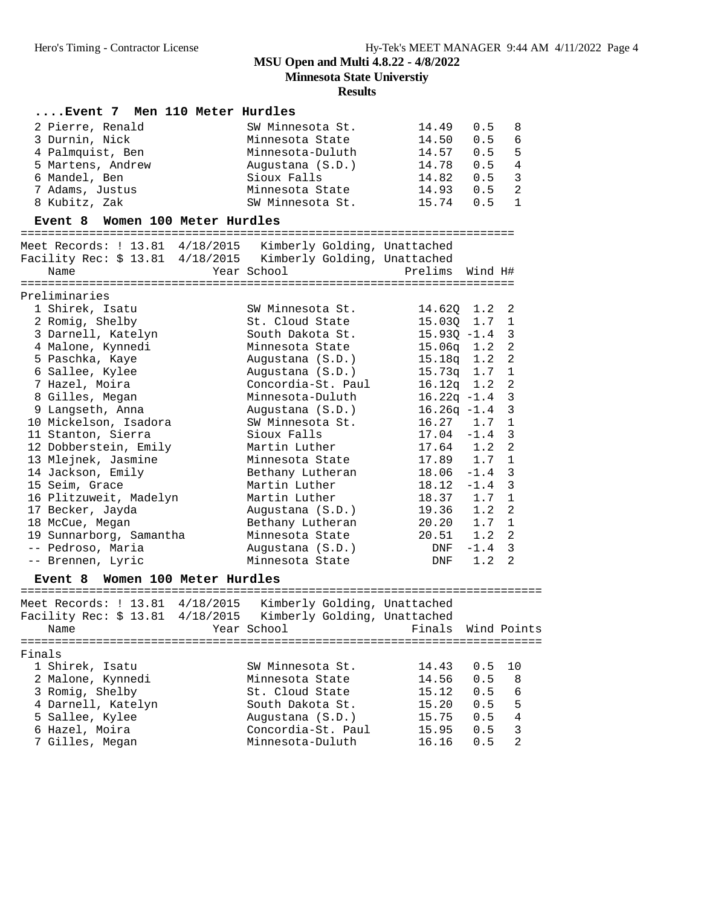**Minnesota State Universtiy**

| Event 7 Men 110 Meter Hurdles                                 |                    |                                |         |                |
|---------------------------------------------------------------|--------------------|--------------------------------|---------|----------------|
| 2 Pierre, Renald                                              | SW Minnesota St.   | 14.49                          | 0.5     | 8              |
| 3 Durnin, Nick                                                | Minnesota State    | 14.50                          | 0.5     | $\epsilon$     |
| 4 Palmquist, Ben                                              | Minnesota-Duluth   | 14.57                          | 0.5     | 5              |
| 5 Martens, Andrew                                             | Augustana (S.D.)   | 14.78                          | 0.5     | $\overline{4}$ |
| 6 Mandel, Ben                                                 | Sioux Falls        | 14.82                          | 0.5     | $\mathsf 3$    |
| 7 Adams, Justus                                               | Minnesota State    | 14.93                          | 0.5     | $\overline{2}$ |
| 8 Kubitz, Zak                                                 | SW Minnesota St.   | 15.74                          | 0.5     | $\mathbf{1}$   |
| Event 8 Women 100 Meter Hurdles                               |                    |                                |         |                |
|                                                               |                    |                                |         |                |
| Meet Records: ! 13.81 4/18/2015 Kimberly Golding, Unattached  |                    |                                |         |                |
| Facility Rec: \$ 13.81 4/18/2015 Kimberly Golding, Unattached |                    |                                |         |                |
| Name                                                          | Year School        | Prelims                        | Wind H# |                |
|                                                               |                    |                                |         |                |
| Preliminaries                                                 |                    |                                |         |                |
| 1 Shirek, Isatu                                               | SW Minnesota St.   | 14.620 1.2                     |         | 2              |
| 2 Romig, Shelby                                               | St. Cloud State    | 15.03Q 1.7                     |         | $\mathbf{1}$   |
| 3 Darnell, Katelyn                                            | South Dakota St.   | $15.93Q -1.4$                  |         | 3              |
| 4 Malone, Kynnedi                                             | Minnesota State    | $15.06q$ $1.2$                 |         | $\overline{a}$ |
| 5 Paschka, Kaye                                               | Augustana (S.D.)   | $15.18q$ 1.2                   |         | $\overline{a}$ |
| 6 Sallee, Kylee                                               | Augustana (S.D.)   | $15.73q$ 1.7                   |         | $\mathbf{1}$   |
| 7 Hazel, Moira                                                | Concordia-St. Paul | $16.12q$ 1.2                   |         | $\mathbf{2}$   |
| 8 Gilles, Megan                                               | Minnesota-Duluth   | $16.22q -1.4$                  |         | $\mathbf{3}$   |
| 9 Langseth, Anna                                              | Augustana (S.D.)   | $16.26q -1.4$                  |         | $\mathbf{3}$   |
| 10 Mickelson, Isadora                                         | SW Minnesota St.   | $16.27$ 1.7                    |         | $\mathbf 1$    |
| 11 Stanton, Sierra                                            | Sioux Falls        | $17.04 -1.4$                   |         | $\mathfrak{Z}$ |
| 12 Dobberstein, Emily                                         | Martin Luther      | $17.64$ 1.2                    |         | 2              |
| 13 Mlejnek, Jasmine                                           | Minnesota State    | 17.89 1.7                      |         | $\mathbf 1$    |
| 14 Jackson, Emily                                             | Bethany Lutheran   | $18.06 - 1.4$                  |         | 3              |
| 15 Seim, Grace                                                | Martin Luther      | $18.12 - 1.4$                  |         | $\overline{3}$ |
| 16 Plitzuweit, Madelyn                                        | Martin Luther      | $18.37$ 1.7                    |         | $\mathbf{1}$   |
| 17 Becker, Jayda                                              | Augustana (S.D.)   |                                |         | 2              |
| 18 McCue, Megan                                               | Bethany Lutheran   | $19.36$ $1.2$<br>$20.20$ $1.7$ |         | $\mathbf{1}$   |
| 19 Sunnarborg, Samantha                                       | Minnesota State    | $20.51$ 1.2                    |         | 2              |
| -- Pedroso, Maria                                             | Augustana (S.D.)   | DNF                            | $-1.4$  | $\overline{3}$ |
| -- Brennen, Lyric                                             | Minnesota State    | DNF                            | 1.2     | 2              |
| Event 8 Women 100 Meter Hurdles                               |                    |                                |         |                |
|                                                               |                    |                                |         |                |
| Meet Records: ! 13.81 4/18/2015 Kimberly Golding, Unattached  |                    |                                |         |                |
| Facility Rec: \$ 13.81 4/18/2015 Kimberly Golding, Unattached |                    |                                |         |                |
| Name                                                          | Year School        | Finals                         |         | Wind Points    |
|                                                               |                    |                                |         |                |
| Finals                                                        |                    |                                |         |                |
| 1 Shirek, Isatu                                               | SW Minnesota St.   | 14.43                          | 0.5     | 10             |
| 2 Malone, Kynnedi                                             | Minnesota State    | 14.56                          | 0.5     | 8              |
| 3 Romig, Shelby                                               | St. Cloud State    | 15.12                          | 0.5     | 6              |
| 4 Darnell, Katelyn                                            | South Dakota St.   | 15.20                          | 0.5     | 5              |
| 5 Sallee, Kylee                                               | Augustana (S.D.)   | 15.75                          | 0.5     | $\bf 4$        |
| 6 Hazel, Moira                                                | Concordia-St. Paul | 15.95                          | 0.5     | $\mathsf 3$    |
| 7 Gilles, Megan                                               | Minnesota-Duluth   | 16.16                          | 0.5     | $\overline{2}$ |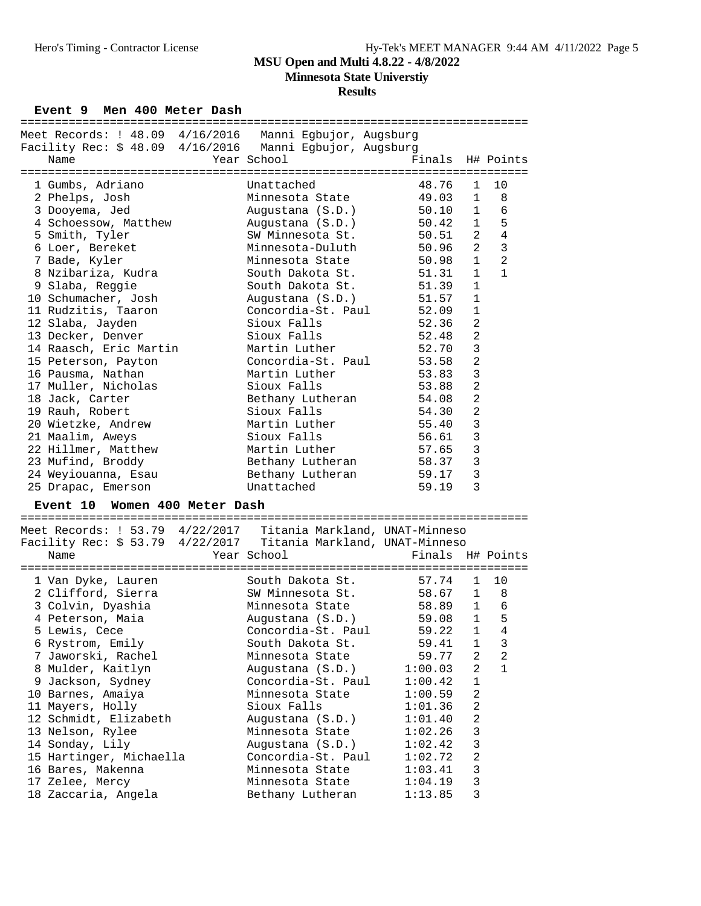**Results**

Event 9 Men 400 Meter Dash

| Meet Records: ! 48.09 4/16/2016 Manni Egbujor, Augsburg         |                          |                                           |  |
|-----------------------------------------------------------------|--------------------------|-------------------------------------------|--|
| Facility Rec: \$ 48.09 4/16/2016 Manni Egbujor, Augsburg        |                          |                                           |  |
| Name                                                            | Year School              | Finals<br>H# Points                       |  |
|                                                                 |                          |                                           |  |
| 1 Gumbs, Adriano                                                | Unattached               | 48.76<br>10<br>1                          |  |
|                                                                 |                          |                                           |  |
| 2 Phelps, Josh                                                  | Minnesota State          | 1<br>8<br>49.03                           |  |
| 3 Dooyema, Jed                                                  | Augustana (S.D.)         | 50.10<br>$\mathbf{1}$<br>6                |  |
| 4 Schoessow, Matthew                                            | Augustana (S.D.)         | 1<br>50.42<br>5                           |  |
| 5 Smith, Tyler                                                  | SW Minnesota St.         | $\overline{a}$<br>4<br>50.51              |  |
| 6 Loer, Bereket                                                 | Minnesota-Duluth         | $\overline{3}$<br>$\overline{a}$<br>50.96 |  |
| 7 Bade, Kyler                                                   | Minnesota State          | $\mathbf{1}$<br>$\overline{a}$<br>50.98   |  |
| 8 Nzibariza, Kudra                                              | South Dakota St.         | $\mathbf{1}$<br>51.31<br>1                |  |
|                                                                 | South Dakota St.         | 51.39<br>$\mathbf{1}$                     |  |
| 9 Slaba, Reggie                                                 |                          |                                           |  |
| 10 Schumacher, Josh                                             | Augustana (S.D.)         | $\mathbf 1$<br>51.57                      |  |
| 11 Rudzitis, Taaron                                             | Concordia-St. Paul       | $\mathbf{1}$<br>52.09                     |  |
| 12 Slaba, Jayden                                                | Sioux Falls              | $\overline{a}$<br>52.36                   |  |
| 13 Decker, Denver                                               | Sioux Falls              | $\overline{a}$<br>52.48                   |  |
| 14 Raasch, Eric Martin                                          | Martin Luther            | 3<br>52.70                                |  |
| 15 Peterson, Payton                                             | Concordia-St. Paul       | 2<br>53.58                                |  |
| 16 Pausma, Nathan                                               | Martin Luther            | 3<br>53.83                                |  |
|                                                                 | Sioux Falls              |                                           |  |
| 17 Muller, Nicholas                                             |                          | 2<br>53.88                                |  |
| 18 Jack, Carter                                                 | Bethany Lutheran         | $\overline{a}$<br>54.08                   |  |
| 19 Rauh, Robert                                                 | Sioux Falls              | $\sqrt{2}$<br>54.30                       |  |
| 20 Wietzke, Andrew                                              | Martin Luther            | 3<br>55.40                                |  |
| 21 Maalim, Aweys                                                | Sioux Falls              | 3<br>56.61                                |  |
| 22 Hillmer, Matthew                                             | Martin Luther            | 3<br>57.65                                |  |
| 23 Mufind, Broddy                                               | Bethany Lutheran         | 3<br>58.37                                |  |
| 24 Weyiouanna, Esau                                             | Bethany Lutheran         | $\mathbf{3}$<br>59.17                     |  |
|                                                                 |                          | 3                                         |  |
| 25 Drapac, Emerson                                              | Unattached               | 59.19                                     |  |
| Event 10 Women 400 Meter Dash                                   |                          |                                           |  |
|                                                                 |                          |                                           |  |
| Meet Records: ! 53.79 4/22/2017 Titania Markland, UNAT-Minneso  |                          |                                           |  |
| Facility Rec: \$ 53.79 4/22/2017 Titania Markland, UNAT-Minneso |                          |                                           |  |
|                                                                 |                          |                                           |  |
| Name                                                            | Year School              | Finals H# Points                          |  |
|                                                                 |                          |                                           |  |
| 1 Van Dyke, Lauren                                              | South Dakota St.         | 57.74<br>10<br>$\mathbf{1}$               |  |
| 2 Clifford, Sierra                                              | SW Minnesota St. 58.67 1 | 8                                         |  |
| 3 Colvin, Dyashia                                               | Minnesota State 58.89 1  | 6                                         |  |
| 4 Peterson, Maia                                                | Augustana (S.D.)         | 5<br>59.08<br>$\mathbf{1}$                |  |
| 5 Lewis, Cece                                                   |                          | Concordia-St. Paul 59.22 1 4              |  |
| 6 Rystrom, Emily                                                | South Dakota St.         | 59.41<br>1<br>3                           |  |
| 7 Jaworski, Rachel                                              | Minnesota State          | 59.77<br>2<br>2                           |  |
|                                                                 |                          |                                           |  |
| 8 Mulder, Kaitlyn                                               | Augustana (S.D.)         | 2<br>$\mathbf 1$<br>1:00.03               |  |
| 9 Jackson, Sydney                                               | Concordia-St. Paul       | 1:00.42<br>1                              |  |
| 10 Barnes, Amaiya                                               | Minnesota State          | 2<br>1:00.59                              |  |
| 11 Mayers, Holly                                                | Sioux Falls              | 2<br>1:01.36                              |  |
| 12 Schmidt, Elizabeth                                           | Augustana (S.D.)         | 2<br>1:01.40                              |  |
| 13 Nelson, Rylee                                                | Minnesota State          | 3<br>1:02.26                              |  |
| 14 Sonday, Lily                                                 | Augustana (S.D.)         | 3<br>1:02.42                              |  |
| 15 Hartinger, Michaella                                         | Concordia-St. Paul       | 2<br>1:02.72                              |  |
|                                                                 |                          |                                           |  |
| 16 Bares, Makenna                                               | Minnesota State          | 3<br>1:03.41                              |  |
| 17 Zelee, Mercy                                                 | Minnesota State          | 3<br>1:04.19                              |  |
| 18 Zaccaria, Angela                                             | Bethany Lutheran         | 1:13.85<br>3                              |  |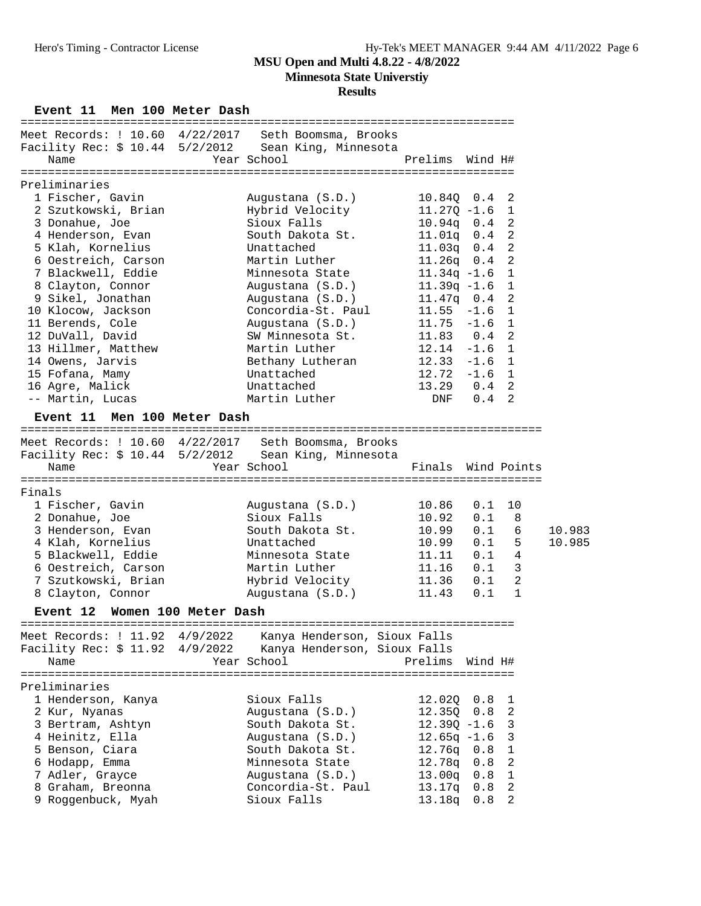**Minnesota State Universtiy**

### **Results**

**Event 11 Men 100 Meter Dash** 

| Meet Records: ! 10.60 4/22/2017         | Seth Boomsma, Brooks                                 |                    |            |                |        |
|-----------------------------------------|------------------------------------------------------|--------------------|------------|----------------|--------|
|                                         | Facility Rec: \$ 10.44 5/2/2012 Sean King, Minnesota |                    |            |                |        |
| Name                                    | Year School                                          | Prelims Wind H#    |            |                |        |
|                                         |                                                      |                    |            |                |        |
| Preliminaries                           |                                                      |                    |            |                |        |
| 1 Fischer, Gavin                        | Augustana (S.D.)                                     | $10.84Q$ $0.4$ 2   |            |                |        |
| 2 Szutkowski, Brian                     | Hybrid Velocity                                      | $11.27Q - 1.6$     |            | 1              |        |
| 3 Donahue, Joe                          | Sioux Falls                                          | $10.94q$ 0.4 2     |            |                |        |
| 4 Henderson, Evan                       | South Dakota St.                                     | $11.01q$ 0.4       |            | $\overline{2}$ |        |
| 5 Klah, Kornelius                       | Unattached                                           | 11.03q             | 0.4        | 2              |        |
| 6 Oestreich, Carson                     | Martin Luther                                        | $11.26q$ 0.4 2     |            |                |        |
| 7 Blackwell, Eddie                      | Minnesota State                                      | $11.34q - 1.6$     |            | $\mathbf{1}$   |        |
| 8 Clayton, Connor                       |                                                      | $11.39q - 1.6$     |            | 1              |        |
|                                         | Augustana (S.D.)                                     |                    |            | -2             |        |
| 9 Sikel, Jonathan                       | Augustana (S.D.)                                     | $11.47q$ 0.4       |            |                |        |
| 10 Klocow, Jackson                      | Concordia-St. Paul                                   | $11.55 - 1.6$      |            | 1              |        |
| 11 Berends, Cole                        | Augustana (S.D.)                                     | $11.75 - 1.6$      |            | 1              |        |
| 12 DuVall, David                        | SW Minnesota St.                                     | $11.83$ 0.4 2      |            |                |        |
| 13 Hillmer, Matthew                     | Martin Luther                                        | $12.14 - 1.6$      |            | 1              |        |
| 14 Owens, Jarvis                        | Bethany Lutheran                                     | $12.33 - 1.6$ 1    |            |                |        |
| 15 Fofana, Mamy                         | Unattached                                           | $12.72 - 1.6$ 1    |            |                |        |
| 16 Agre, Malick                         | Unattached                                           | 13.29  0.4  2      |            |                |        |
| -- Martin, Lucas                        | Martin Luther                                        |                    | DNF 0.4 2  |                |        |
| Event 11 Men 100 Meter Dash             |                                                      |                    |            |                |        |
|                                         |                                                      |                    |            |                |        |
|                                         | Meet Records: ! 10.60 4/22/2017 Seth Boomsma, Brooks |                    |            |                |        |
|                                         | Facility Rec: \$ 10.44 5/2/2012 Sean King, Minnesota |                    |            |                |        |
| Name                                    | Year School                                          | Finals Wind Points |            |                |        |
|                                         |                                                      |                    |            |                |        |
| Finals                                  |                                                      |                    |            |                |        |
| 1 Fischer, Gavin                        | Augustana (S.D.)                                     | 10.86              | 0.1        | 10             |        |
|                                         |                                                      |                    |            |                |        |
|                                         |                                                      |                    |            |                |        |
| 2 Donahue, Joe                          | Sioux Falls                                          | 10.92              | 0.1        | 8              |        |
| 3 Henderson, Evan                       | South Dakota St.                                     | 10.99              | 0.1        | 6              | 10.983 |
| 4 Klah, Kornelius                       | Unattached                                           | 10.99              | 0.1        | 5              | 10.985 |
| 5 Blackwell, Eddie                      | Minnesota State                                      | 11.11              | 0.1        | 4              |        |
| 6 Oestreich, Carson                     | Martin Luther                                        | 11.16              | 0.1        | 3              |        |
| 7 Szutkowski, Brian                     | Hybrid Velocity                                      | 11.36              | 0.1        | $\overline{2}$ |        |
| 8 Clayton, Connor                       | Augustana (S.D.)                                     | 11.43              | 0.1        | $\mathbf{1}$   |        |
| Event 12 Women 100 Meter Dash           |                                                      |                    |            |                |        |
|                                         |                                                      |                    |            |                |        |
| Meet Records: ! 11.92 4/9/2022          | Kanya Henderson, Sioux Falls                         |                    |            |                |        |
| Facility Rec: \$ 11.92 4/9/2022         | Kanya Henderson, Sioux Falls                         |                    |            |                |        |
| Name                                    | Year School                                          | Prelims            | Wind H#    |                |        |
|                                         |                                                      |                    |            |                |        |
| Preliminaries                           |                                                      |                    |            |                |        |
| 1 Henderson, Kanya                      | Sioux Falls                                          | 12.02Q             | 0.8        | 1              |        |
| 2 Kur, Nyanas                           | Augustana (S.D.)                                     | 12.35Q             | 0.8        | 2              |        |
| 3 Bertram, Ashtyn                       | South Dakota St.                                     | $12.39Q - 1.6$     |            | 3              |        |
| 4 Heinitz, Ella                         | Augustana (S.D.)                                     | $12.65q -1.6$      |            | 3              |        |
| 5 Benson, Ciara                         | South Dakota St.                                     | 12.76q             | 0.8        | $\mathbf{1}$   |        |
| 6 Hodapp, Emma                          | Minnesota State                                      | 12.78q             | 0.8        | 2              |        |
| 7 Adler, Grayce                         | Augustana (S.D.)                                     | 13.00q             | 0.8        | $\mathbf{1}$   |        |
| 8 Graham, Breonna<br>9 Roggenbuck, Myah | Concordia-St. Paul<br>Sioux Falls                    | 13.17q<br>13.18q   | 0.8<br>0.8 | 2<br>2         |        |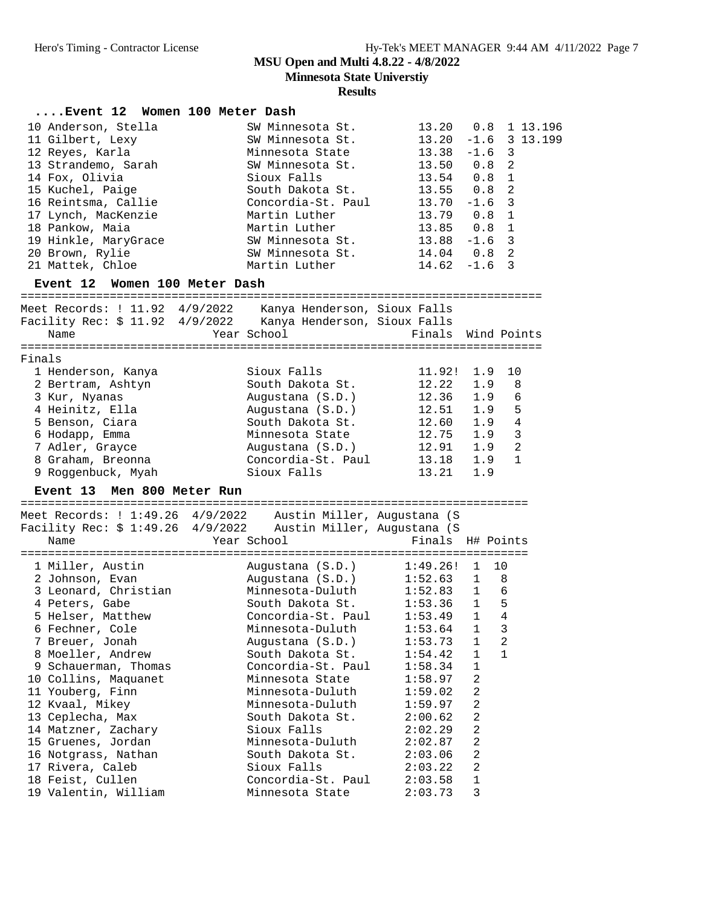|        | Event 12 Women 100 Meter Dash                                                                                                                                                                                                                                                                                                                                                                                |                                                                                                                                                                                                                                                                                                                                                                                                |                                                                                                                                                                                                             |                                                                                                                                 |                                                                                |                 |
|--------|--------------------------------------------------------------------------------------------------------------------------------------------------------------------------------------------------------------------------------------------------------------------------------------------------------------------------------------------------------------------------------------------------------------|------------------------------------------------------------------------------------------------------------------------------------------------------------------------------------------------------------------------------------------------------------------------------------------------------------------------------------------------------------------------------------------------|-------------------------------------------------------------------------------------------------------------------------------------------------------------------------------------------------------------|---------------------------------------------------------------------------------------------------------------------------------|--------------------------------------------------------------------------------|-----------------|
|        | 10 Anderson, Stella<br>11 Gilbert, Lexy<br>12 Reyes, Karla<br>13 Strandemo, Sarah<br>14 Fox, Olivia<br>15 Kuchel, Paige<br>16 Reintsma, Callie<br>17 Lynch, MacKenzie<br>18 Pankow, Maia<br>19 Hinkle, MaryGrace<br>20 Brown, Rylie<br>21 Mattek, Chloe<br>Event 12 Women 100 Meter Dash                                                                                                                     | SW Minnesota St.<br>SW Minnesota St.<br>Minnesota State<br>SW Minnesota St.<br>Sioux Falls<br>South Dakota St.<br>Concordia-St. Paul<br>Martin Luther<br>Martin Luther<br>SW Minnesota St.<br>SW Minnesota St.<br>Martin Luther                                                                                                                                                                | 13.20  0.8  1  13.196<br>13.20<br>$13.38 - 1.6$ 3<br>13.50 0.8<br>13.54 0.8<br>$13.55$ 0.8<br>$13.70 - 1.6$<br>13.79 0.8<br>$13.85$ 0.8<br>$13.88 - 1.6$<br>$14.04$ 0.8<br>$14.62 - 1.6$                    |                                                                                                                                 | $\overline{2}$<br>$\mathbf{1}$<br>2<br>3<br>1<br>1<br>3<br>$\overline{2}$<br>3 | $-1.6$ 3 13.199 |
|        | Meet Records: ! 11.92  4/9/2022     Kanya Henderson, Sioux Falls<br>Facility Rec: \$ 11.92  4/9/2022     Kanya Henderson, Sioux Falls<br>Name                                                                                                                                                                                                                                                                | Year School                                                                                                                                                                                                                                                                                                                                                                                    | Finals Wind Points                                                                                                                                                                                          |                                                                                                                                 |                                                                                |                 |
| Finals | 1 Henderson, Kanya<br>2 Bertram, Ashtyn<br>3 Kur, Nyanas<br>4 Heinitz, Ella<br>5 Benson, Ciara<br>6 Hodapp, Emma<br>7 Adler, Grayce<br>8 Graham, Breonna<br>9 Roggenbuck, Myah<br>Event 13 Men 800 Meter Run                                                                                                                                                                                                 | Sioux Falls<br>South Dakota St.<br>Augustana (S.D.)<br>Augustana (S.D.)<br>South Dakota St.<br>Minnesota State<br>Augustana (S.D.)<br>Concordia-St. Paul<br>Sioux Falls                                                                                                                                                                                                                        | 11.92!<br>12.22<br>12.36<br>$12.51$ $1.9$<br>12.60 1.9<br>12.75 1.9<br>12.91 1.9<br>13.18<br>13.21                                                                                                          | 1.9<br>1.9<br>1.9<br>1.9<br>1.9                                                                                                 | 10<br>8<br>$\epsilon$<br>5<br>$\overline{4}$<br>3<br>2<br>$\mathbf{1}$         |                 |
|        | Facility Rec: \$ 1:49.26    4/9/2022    Austin Miller, Augustana (S<br>Name                                                                                                                                                                                                                                                                                                                                  | Year School                                                                                                                                                                                                                                                                                                                                                                                    | Finals H# Points                                                                                                                                                                                            |                                                                                                                                 |                                                                                |                 |
|        | 1 Miller, Austin<br>2 Johnson, Evan<br>3 Leonard, Christian<br>4 Peters, Gabe<br>5 Helser, Matthew<br>6 Fechner, Cole<br>7 Breuer, Jonah<br>8 Moeller, Andrew<br>9 Schauerman, Thomas<br>10 Collins, Maquanet<br>11 Youberg, Finn<br>12 Kvaal, Mikey<br>13 Ceplecha, Max<br>14 Matzner, Zachary<br>15 Gruenes, Jordan<br>16 Notgrass, Nathan<br>17 Rivera, Caleb<br>18 Feist, Cullen<br>19 Valentin, William | Augustana (S.D.)<br>Augustana (S.D.)<br>Minnesota-Duluth<br>South Dakota St.<br>Concordia-St. Paul 1:53.49 1 4<br>Minnesota-Duluth<br>Augustana (S.D.)<br>South Dakota St.<br>Concordia-St. Paul<br>Minnesota State<br>Minnesota-Duluth<br>Minnesota-Duluth<br>South Dakota St.<br>Sioux Falls<br>Minnesota-Duluth<br>South Dakota St.<br>Sioux Falls<br>Concordia-St. Paul<br>Minnesota State | $1:49.26!$ 1<br>$1:52.63$ 1<br>1:52.83<br>1:53.36<br>1:53.64<br>1:53.73<br>1:54.42<br>1:58.34<br>1:58.97<br>1:59.02<br>1:59.97<br>2:00.62<br>2:02.29<br>2:02.87<br>2:03.06<br>2:03.22<br>2:03.58<br>2:03.73 | $\mathbf{1}$<br>1<br>1<br>1<br>1<br>$\overline{a}$<br>2<br>$\overline{c}$<br>2<br>2<br>2<br>$\sqrt{2}$<br>2<br>$\mathbf 1$<br>3 | 10<br>8<br>$1\quad 6$<br>5<br>3<br>2<br>1                                      |                 |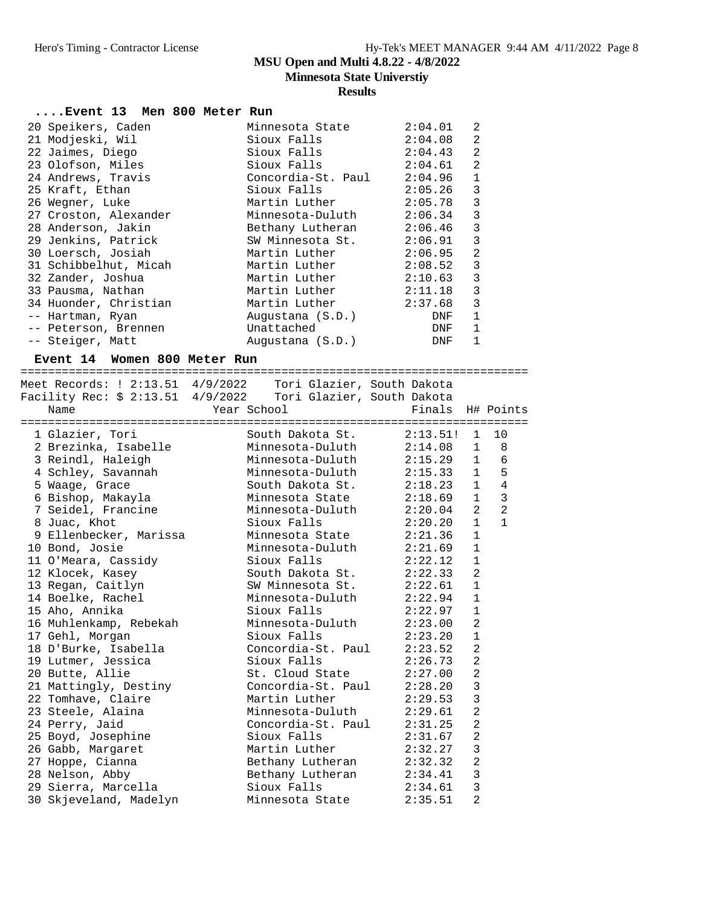### **Results**

| Event 13 Men 800 Meter Run                                   |             |                                 |                    |                |                |
|--------------------------------------------------------------|-------------|---------------------------------|--------------------|----------------|----------------|
| 20 Speikers, Caden                                           |             | Minnesota State                 | 2:04.01            | 2              |                |
| 21 Modjeski, Wil                                             |             | Sioux Falls                     | 2:04.08            | 2              |                |
| 22 Jaimes, Diego                                             |             | Sioux Falls                     | 2:04.43            | 2              |                |
| 23 Olofson, Miles                                            |             | Sioux Falls                     | 2:04.61            | $\overline{a}$ |                |
| 24 Andrews, Travis                                           |             | Concordia-St. Paul 2:04.96      |                    | 1              |                |
| 25 Kraft, Ethan                                              |             | Sioux Falls                     | 2:05.26            | $\overline{3}$ |                |
|                                                              |             | Martin Luther                   |                    | $\overline{3}$ |                |
| 26 Wegner, Luke                                              |             | Minnesota-Duluth                | 2:05.78<br>2:06.34 | $\overline{3}$ |                |
| 27 Croston, Alexander<br>28 Anderson, Jakin                  |             | Bethany Lutheran 2:06.46        |                    | $\overline{3}$ |                |
|                                                              |             |                                 |                    |                |                |
| 29 Jenkins, Patrick                                          |             | SW Minnesota St. 2:06.91        |                    | $\mathsf 3$    |                |
| 30 Loersch, Josiah                                           |             | Martin Luther                   | 2:06.95            | $\overline{a}$ |                |
| 31 Schibbelhut, Micah                                        |             | Martin Luther                   | 2:08.52            | $\overline{3}$ |                |
| 32 Zander, Joshua                                            |             | Martin Luther<br>Martin Luther  | 2:10.63            | $\overline{3}$ |                |
| 33 Pausma, Nathan                                            |             |                                 | 2:11.18            | $\overline{3}$ |                |
| 34 Huonder, Christian                                        |             | Martin Luther                   | 2:37.68            | $\overline{3}$ |                |
| -- Hartman, Ryan                                             |             | Augustana (S.D.)                | DNF                | 1              |                |
| -- Peterson, Brennen                                         |             | Unattached                      | <b>DNF</b>         | 1              |                |
| -- Steiger, Matt                                             |             | Augustana (S.D.)                | <b>DNF</b>         | 1              |                |
| Event 14 Women 800 Meter Run                                 |             |                                 |                    |                |                |
| Meet Records: ! 2:13.51 4/9/2022  Tori Glazier, South Dakota |             |                                 |                    |                |                |
|                                                              |             |                                 |                    |                |                |
| Name                                                         | Year School |                                 | Finals H# Points   |                |                |
|                                                              |             |                                 |                    |                |                |
| 1 Glazier, Tori                                              |             | South Dakota St. 2:13.51! 1 10  |                    |                |                |
| 2 Brezinka, Isabelle                                         |             | Minnesota-Duluth 2:14.08 1 8    |                    |                |                |
| 3 Reindl, Haleigh                                            |             | Minnesota-Duluth 2:15.29 1 6    |                    |                |                |
| 4 Schley, Savannah                                           |             | Minnesota-Duluth 2:15.33 1 5    |                    |                |                |
| 5 Waage, Grace                                               |             | South Dakota St.                | $2:18.23$ 1 4      |                |                |
| 6 Bishop, Makayla                                            |             | Minnesota State                 | 2:18.69            | 1              | $\overline{3}$ |
| 7 Seidel, Francine                                           |             | Minnesota-Duluth                | $2:20.04$ 2        |                | $\overline{2}$ |
| 8 Juac, Khot                                                 |             | Sioux Falls                     | 2:20.20            | $\mathbf{1}$   | $\mathbf{1}$   |
| 9 Ellenbecker, Marissa                                       |             | Minnesota State 2:21.36         |                    | $\mathbf{1}$   |                |
| 10 Bond, Josie                                               |             | Minnesota-Duluth 2:21.69        |                    | 1              |                |
| 11 O'Meara, Cassidy                                          |             | Sioux Falls                     |                    | $\mathbf{1}$   |                |
| 12 Klocek, Kasey                                             |             | South Dakota St.                | 2:22.12            | 2              |                |
| 13 Regan, Caitlyn                                            |             | SW Minnesota St.                | 2:22.33<br>2:22.61 | $\mathbf{1}$   |                |
| 14 Boelke, Rachel                                            |             | Minnesota-Duluth 2:22.94        |                    | $\mathbf{1}$   |                |
| 15 Aho, Annika                                               |             | Sioux Falls 2:22.97             |                    | $\mathbf 1$    |                |
|                                                              |             |                                 |                    | 2              |                |
| 16 Muhlenkamp, Rebekah<br>17 Gehl, Morgan                    |             | Minnesota-Duluth<br>Sioux Falls | 2:23.00            | 1              |                |
|                                                              |             |                                 | 2:23.20            |                |                |
| 18 D'Burke, Isabella                                         |             | Concordia-St. Paul              | 2:23.52            | 2              |                |
| 19 Lutmer, Jessica                                           |             | Sioux Falls                     | 2:26.73            | 2              |                |
| 20 Butte, Allie                                              |             | St. Cloud State                 | 2:27.00            | $\sqrt{2}$     |                |
| 21 Mattingly, Destiny                                        |             | Concordia-St. Paul              | 2:28.20            | 3              |                |
| 22 Tomhave, Claire                                           |             | Martin Luther                   | 2:29.53            | 3              |                |
| 23 Steele, Alaina                                            |             | Minnesota-Duluth                | 2:29.61            | $\overline{a}$ |                |
| 24 Perry, Jaid                                               |             | Concordia-St. Paul              | 2:31.25            | $\overline{a}$ |                |
| 25 Boyd, Josephine                                           |             | Sioux Falls                     | 2:31.67            | $\overline{2}$ |                |
| 26 Gabb, Margaret                                            |             | Martin Luther                   | 2:32.27            | 3              |                |
| 27 Hoppe, Cianna                                             |             | Bethany Lutheran                | 2:32.32            | 2              |                |
|                                                              |             |                                 |                    |                |                |
| 28 Nelson, Abby<br>29 Sierra, Marcella                       |             | Bethany Lutheran<br>Sioux Falls | 2:34.41<br>2:34.61 | 3<br>3         |                |

30 Skjeveland, Madelyn Minnesota State 2:35.51 2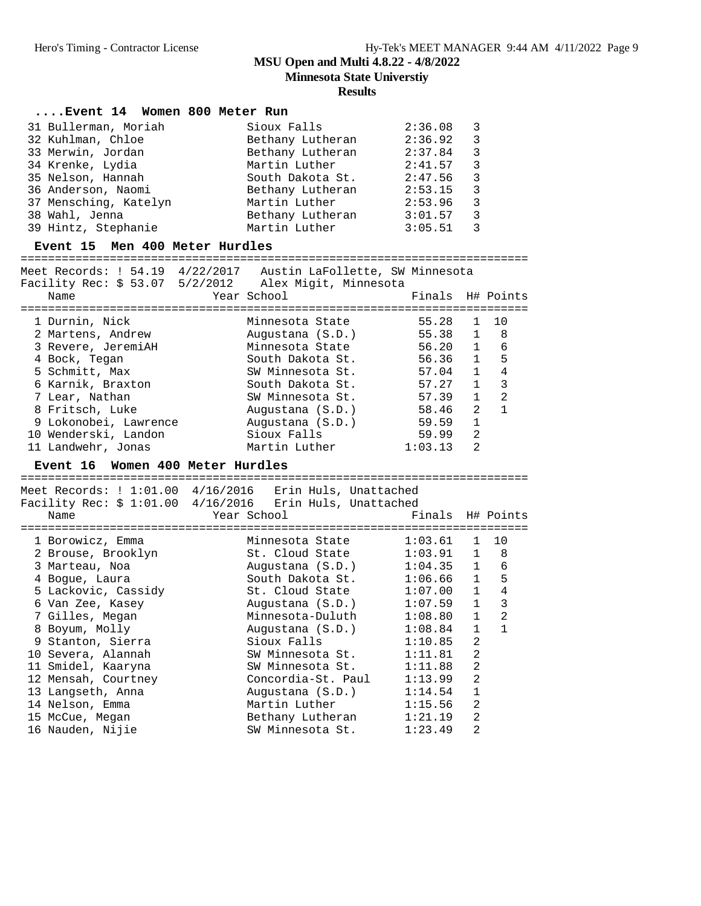**Minnesota State Universtiy**

### **Results**

#### **....Event 14 Women 800 Meter Run**

| 31 Bullerman, Moriah  | Sioux Falls      | 2:36.08 | - 3           |
|-----------------------|------------------|---------|---------------|
| 32 Kuhlman, Chloe     | Bethany Lutheran | 2:36.92 | ્ર            |
| 33 Merwin, Jordan     | Bethany Lutheran | 2:37.84 | ्द            |
| 34 Krenke, Lydia      | Martin Luther    | 2:41.57 | $\mathcal{R}$ |
| 35 Nelson, Hannah     | South Dakota St. | 2:47.56 | $\mathcal{E}$ |
| 36 Anderson, Naomi    | Bethany Lutheran | 2:53.15 | $\mathcal{R}$ |
| 37 Mensching, Katelyn | Martin Luther    | 2:53.96 | $\mathbf{3}$  |
| 38 Wahl, Jenna        | Bethany Lutheran | 3:01.57 | २             |
| 39 Hintz, Stephanie   | Martin Luther    | 3:05.51 |               |

#### **Event 15 Men 400 Meter Hurdles**

========================================================================== Meet Records: ! 54.19 4/22/2017 Austin LaFollette, SW Minnesota Facility Rec: \$ 53.07 5/2/2012 Alex Migit, Minnesota Name Year School Finals H# Points ========================================================================== 1 Durnin, Nick Minnesota State 55.28 1 10 2 Martens, Andrew Augustana (S.D.) 55.38 1 8 3 Revere, JeremiAH Minnesota State 56.20 1 6 4 Bock, Tegan South Dakota St. 56.36 1 5 5 Schmitt, Max SW Minnesota St. 57.04 1 4 6 Karnik, Braxton South Dakota St. 57.27 1 3 7 Lear, Nathan SW Minnesota St. 57.39 1 2 8 Fritsch, Luke Augustana (S.D.) 58.46 2 1 9 Lokonobei, Lawrence Augustana (S.D.) 59.59 1 10 Wenderski, Landon Sioux Falls 59.99 2 11 Landwehr, Jonas Martin Luther 1:03.13 2

#### **Event 16 Women 400 Meter Hurdles**

| Meet Records: ! 1:01.00 4/16/2016 Erin Huls, Unattached<br>Facility Rec: $$1:01.00$ 4/16/2016 Erin Huls, Unattached |                            |                  |                |                |
|---------------------------------------------------------------------------------------------------------------------|----------------------------|------------------|----------------|----------------|
| Name                                                                                                                | Year School                | Finals H# Points |                |                |
| 1 Borowicz, Emma                                                                                                    | Minnesota State 1:03.61 1  |                  |                | 10             |
| 2 Brouse, Brooklyn                                                                                                  | St. Cloud State 1:03.91 1  |                  |                | 8              |
| 3 Marteau, Noa                                                                                                      | Augustana (S.D.) 1:04.35 1 |                  |                | 6              |
| 4 Boque, Laura                                                                                                      | South Dakota St.           | 1:06.66          | $\mathbf{1}$   | 5              |
| 5 Lackovic, Cassidy                                                                                                 | St. Cloud State            | 1:07.00          | $\mathbf{1}$   | 4              |
| 6 Van Zee, Kasey                                                                                                    | Augustana (S.D.) 1:07.59   |                  | $\mathbf{1}$   | 3              |
| 7 Gilles, Megan                                                                                                     | Minnesota-Duluth           | 1:08.80          | $\mathbf{1}$   | $\mathfrak{D}$ |
| 8 Boyum, Molly                                                                                                      | Augustana (S.D.)           | 1:08.84          | $\mathbf{1}$   | $\mathbf{1}$   |
| 9 Stanton, Sierra                                                                                                   | $Sioux$ $Falls$ $1:10.85$  |                  | 2              |                |
| 10 Severa, Alannah                                                                                                  | SW Minnesota St. 1:11.81   |                  | 2              |                |
| 11 Smidel, Kaaryna                                                                                                  | SW Minnesota St.           | 1:11.88          | 2              |                |
| 12 Mensah, Courtney                                                                                                 | Concordia-St. Paul         | 1:13.99          | $\mathfrak{D}$ |                |
| 13 Langseth, Anna                                                                                                   | Augustana (S.D.)           | 1:14.54          | $\mathbf{1}$   |                |
| 14 Nelson, Emma                                                                                                     | Martin Luther              | 1:15.56          | $\mathfrak{D}$ |                |
| 15 McCue, Megan                                                                                                     | Bethany Lutheran 1:21.19   |                  | $\mathfrak{D}$ |                |
| 16 Nauden, Nijie                                                                                                    | SW Minnesota St.           | 1:23.49          | $\mathfrak{D}$ |                |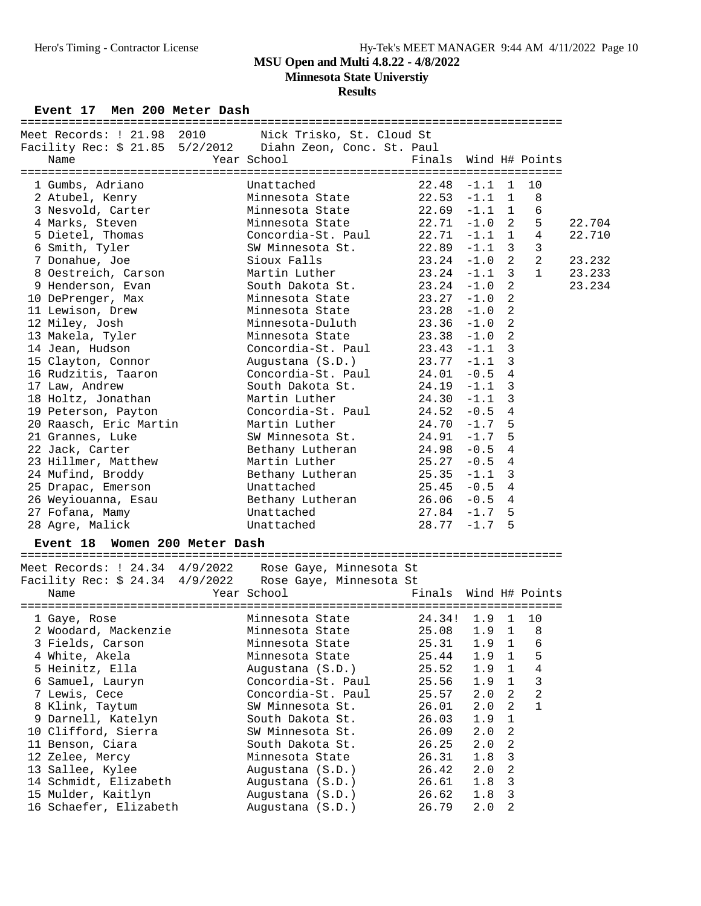## Hero's Timing - Contractor License Hy-Tek's MEET MANAGER 9:44 AM 4/11/2022 Page 10

### **MSU Open and Multi 4.8.22 - 4/8/2022**

**Minnesota State Universtiy**

#### **Results**

Event 17 Men 200 Meter Dash

| Meet Records: ! 21.98 2010 Nick Trisko, St. Cloud St<br>Facility Rec: \$ 21.85 5/2/2012    Diahn Zeon, Conc. St. Paul<br>Name | ================================<br>Year School           | Finals Wind H# Points |                |                |        |
|-------------------------------------------------------------------------------------------------------------------------------|-----------------------------------------------------------|-----------------------|----------------|----------------|--------|
|                                                                                                                               |                                                           |                       |                |                |        |
| 1 Gumbs, Adriano Chattached                                                                                                   |                                                           | $22.48 -1.1$ 1        |                | 10<br>8        |        |
| 2 Atubel, Kenry Minnesota State 22.53 -1.1 1                                                                                  |                                                           |                       |                |                |        |
| 3 Nesvold, Carter 6 1.1 Minnesota State 22.69 -1.1 1                                                                          |                                                           |                       |                | 6              |        |
| 4 Marks, Steven                                                                                                               | Minnesota State $22.71$ -1.0 2                            |                       |                | 5              | 22.704 |
| 5 Dietel, Thomas Concordia-St. Paul 22.71 -1.1 1                                                                              |                                                           |                       |                | $\overline{4}$ | 22.710 |
| 6 Smith, Tyler                                                                                                                | SW Minnesota St. 22.89 -1.1 3<br>Sioux Falls 23.24 -1.0 2 |                       |                | 3              |        |
| 7 Donahue, Joe                                                                                                                |                                                           |                       |                | $\overline{2}$ | 23.232 |
| 8 Oestreich, Carson Martin Luther 23.24 -1.1 3                                                                                |                                                           |                       |                | $\mathbf{1}$   | 23.233 |
| 9 Henderson, Evan                                                                                                             | South Dakota St. 23.24 -1.0                               |                       | $\overline{2}$ |                | 23.234 |
| 10 DePrenger, Max Minnesota State 23.27 -1.0                                                                                  |                                                           |                       | 2              |                |        |
| 11 Lewison, Drew                                                                                                              | Minnesota State 23.28 -1.0                                |                       | 2              |                |        |
| 12 Miley, Josh                                                                                                                | Minnesota-Duluth 23.36 -1.0                               |                       | 2              |                |        |
| 13 Makela, Tyler                                                                                                              | Minnesota State                                           | $23.38 - 1.0$         | 2              |                |        |
| 14 Jean, Hudson                                                                                                               | Concordia-St. Paul $23.43$ -1.1 3                         |                       |                |                |        |
| 15 Clayton, Connor (S.D.) 23.77 -1.1                                                                                          |                                                           |                       | $\overline{3}$ |                |        |
| 16 Rudzitis, Taaron Concordia-St. Paul 24.01 -0.5 4                                                                           |                                                           |                       |                |                |        |
| 17 Law, Andrew                                                                                                                | South Dakota St. $24.19 -1.1$                             |                       | 3              |                |        |
| 18 Holtz, Jonathan Martin Luther                                                                                              | $24.30 - 1.1$                                             |                       | 3              |                |        |
| 19 Peterson, Payton                                                                                                           | Concordia-St. Paul $24.52 -0.5$ 4                         |                       |                |                |        |
| 20 Raasch, Eric Martin Martin Luther                                                                                          |                                                           | $24.70 - 1.7$         | 5              |                |        |
| 21 Grannes, Luke                                                                                                              | SW Minnesota St. 24.91 -1.7                               |                       | 5              |                |        |
| 22 Jack, Carter                                                                                                               | Bethany Lutheran 24.98 -0.5                               |                       | $\overline{4}$ |                |        |
| 23 Hillmer, Matthew Martin Luther                                                                                             | $25.27 - 0.5$                                             |                       | $\overline{4}$ |                |        |
| 24 Mufind, Broddy                                                                                                             | Bethany Lutheran 25.35 -1.1                               |                       | 3              |                |        |
| 25 Drapac, Emerson Chattached                                                                                                 |                                                           | $25.45 - 0.5$         | 4              |                |        |
| 26 Weyiouanna, Esau Bethany Lutheran 26.06 -0.5 4                                                                             |                                                           |                       |                |                |        |
| 27 Fofana, Mamy                                                                                                               | Unattached                                                | $27.84 - 1.7$ 5       |                |                |        |
| 28 Agre, Malick                                                                                                               | Unattached $28.77 -1.7 5$                                 |                       |                |                |        |
| Event 18 Women 200 Meter Dash                                                                                                 |                                                           |                       |                |                |        |

Meet Records: ! 24.34 4/9/2022 Rose Gaye, Minnesota St Facility Rec: \$ 24.34 4/9/2022 Rose Gaye, Minnesota St Name The Year School The Finals Wind H# Points =============================================================================== 1 Gaye, Rose Minnesota State 24.34! 1.9 1 10 2 Woodard, Mackenzie Minnesota State 25.08 1.9 1 8 3 Fields, Carson Minnesota State 25.31 1.9 1 6 4 White, Akela Minnesota State 25.44 1.9 1 5 5 Heinitz, Ella Augustana (S.D.) 25.52 1.9 1 4 6 Samuel, Lauryn Concordia-St. Paul 25.56 1.9 1 3 7 Lewis, Cece Concordia-St. Paul 25.57 2.0 2 2 8 Klink, Taytum SW Minnesota St. 26.01 2.0 2 1 9 Darnell, Katelyn South Dakota St. 26.03 1.9 1 10 Clifford, Sierra SW Minnesota St. 26.09 2.0 2 11 Benson, Ciara South Dakota St. 26.25 2.0 2 12 Zelee, Mercy Minnesota State 26.31 1.8 3 13 Sallee, Kylee Augustana (S.D.) 26.42 2.0 2 14 Schmidt, Elizabeth Augustana (S.D.) 26.61 1.8 3 15 Mulder, Kaitlyn Augustana (S.D.) 26.62 1.8 3 16 Schaefer, Elizabeth Augustana (S.D.) 26.79 2.0 2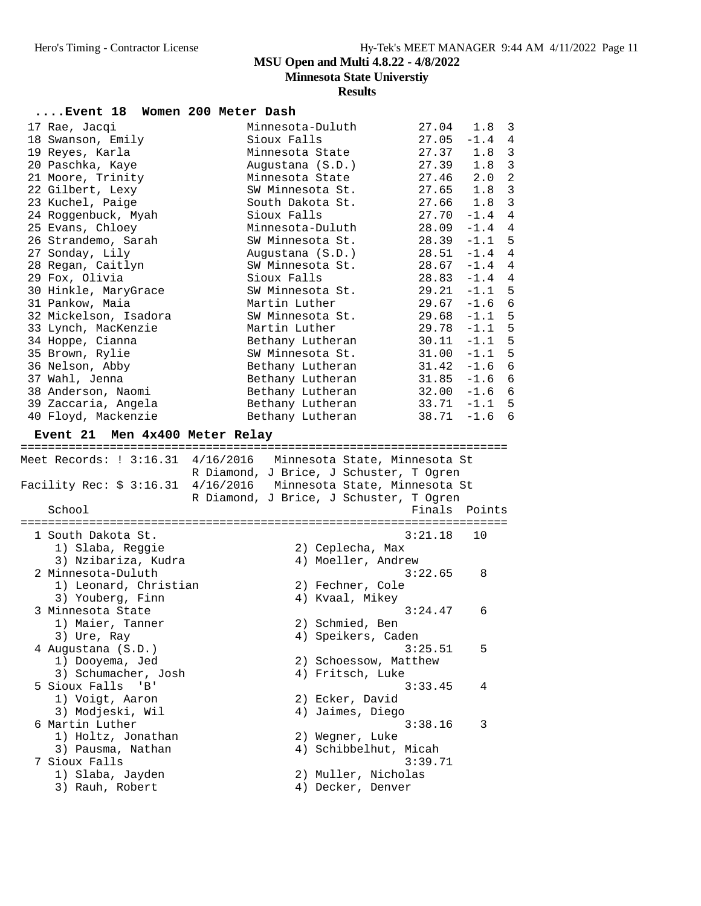**Minnesota State Universtiy**

| Event 18 Women 200 Meter Dash       |                                                                             |               |          |                |
|-------------------------------------|-----------------------------------------------------------------------------|---------------|----------|----------------|
|                                     |                                                                             |               |          |                |
| 17 Rae, Jacqi                       | Minnesota-Duluth                                                            | 27.04         | 1.8      | 3              |
| 18 Swanson, Emily                   | Sioux Falls                                                                 | $27.05 - 1.4$ |          | $\overline{4}$ |
| 19 Reyes, Karla                     | Minnesota State                                                             | 27.37         | 1.8      | 3              |
| 20 Paschka, Kaye                    | Augustana (S.D.)                                                            | 27.39         | 1.8      | $\mathbf{3}$   |
| 21 Moore, Trinity                   | Minnesota State                                                             | 27.46         | 2.0      | $\overline{a}$ |
| 22 Gilbert, Lexy                    | SW Minnesota St.                                                            | 27.65         | 1.8      | 3              |
| 23 Kuchel, Paige                    | South Dakota St.                                                            | 27.66         | 1.8      | 3              |
| 24 Roggenbuck, Myah                 | Sioux Falls                                                                 | 27.70         | $-1.4$   | $\overline{4}$ |
| 25 Evans, Chloey                    | Minnesota-Duluth                                                            | 28.09         | $-1.4$   | 4              |
| 26 Strandemo, Sarah                 | SW Minnesota St.                                                            | 28.39         | $-1.1$   | $\overline{5}$ |
| 27 Sonday, Lily                     | Augustana (S.D.)                                                            | 28.51         | $-1.4$   | 4              |
| 28 Regan, Caitlyn                   | SW Minnesota St.                                                            | 28.67         | $-1.4$   | 4              |
| 29 Fox, Olivia                      | Sioux Falls                                                                 | 28.83         | $-1.4$   | $\overline{4}$ |
| 30 Hinkle, MaryGrace                | SW Minnesota St.                                                            | 29.21         | $-1.1$   | 5              |
| 31 Pankow, Maia                     | Martin Luther                                                               | 29.67         | $-1.6$   | 6              |
| 32 Mickelson, Isadora               | SW Minnesota St.                                                            | 29.68         | $-1.1$   | 5              |
| 33 Lynch, MacKenzie                 | Martin Luther                                                               | 29.78         | $-1.1$   | 5              |
| 34 Hoppe, Cianna                    | Bethany Lutheran                                                            | 30.11         | $-1.1$   | 5              |
| 35 Brown, Rylie                     | SW Minnesota St.                                                            | 31.00         | $-1.1$   | 5              |
| 36 Nelson, Abby                     | Bethany Lutheran                                                            | 31.42         | $-1.6$   | $\epsilon$     |
| 37 Wahl, Jenna                      | Bethany Lutheran                                                            | 31.85         | $-1.6$   | 6              |
| 38 Anderson, Naomi                  | Bethany Lutheran                                                            | 32.00         | $-1.6$   | 6              |
| 39 Zaccaria, Angela                 | Bethany Lutheran                                                            | 33.71         | $-1.1$ 5 |                |
| 40 Floyd, Mackenzie                 | Bethany Lutheran                                                            | 38.71         | $-1.6$ 6 |                |
| Event 21 Men 4x400 Meter Relay      |                                                                             |               |          |                |
|                                     |                                                                             |               |          |                |
|                                     | Meet Records: ! 3:16.31 4/16/2016 Minnesota State, Minnesota St             |               |          |                |
|                                     | R Diamond, J Brice, J Schuster, T Ogren                                     |               |          |                |
|                                     | Facility Rec: \$ 3:16.31    4/16/2016         Minnesota State, Minnesota St |               |          |                |
|                                     | R Diamond, J Brice, J Schuster, T Ogren                                     |               |          |                |
| School                              |                                                                             | Finals Points |          |                |
|                                     |                                                                             |               |          |                |
| 1 South Dakota St.                  |                                                                             | 3:21.18       | 10       |                |
| 1) Slaba, Reggie                    | 2) Ceplecha, Max                                                            |               |          |                |
| 3) Nzibariza, Kudra                 | 4) Moeller, Andrew                                                          |               |          |                |
| 2 Minnesota-Duluth                  |                                                                             | 3:22.65       | 8        |                |
| 1) Leonard, Christian               | 2) Fechner, Cole                                                            |               |          |                |
| 3) Youberg, Finn                    | 4) Kvaal, Mikey                                                             |               |          |                |
| 3 Minnesota State                   |                                                                             | 3:24.47       | 6        |                |
| 1) Maier, Tanner                    | 2) Schmied, Ben                                                             |               |          |                |
| 3) Ure, Ray                         | 4) Speikers, Caden                                                          |               |          |                |
| 4 Augustana (S.D.)                  |                                                                             | 3:25.51       | 5        |                |
| 1) Dooyema, Jed                     | 2) Schoessow, Matthew                                                       |               |          |                |
| 3) Schumacher, Josh                 | 4) Fritsch, Luke                                                            |               |          |                |
| 5 Sioux Falls<br>'B'                |                                                                             | 3:33.45       | 4        |                |
| 1) Voigt, Aaron                     | 2) Ecker, David                                                             |               |          |                |
| 3) Modjeski, Wil                    | 4) Jaimes, Diego                                                            |               |          |                |
| 6 Martin Luther                     |                                                                             | 3:38.16       |          |                |
|                                     |                                                                             |               | 3        |                |
| 1) Holtz, Jonathan                  | 2) Wegner, Luke                                                             |               |          |                |
| 3) Pausma, Nathan                   | 4) Schibbelhut, Micah                                                       |               |          |                |
| 7 Sioux Falls                       |                                                                             | 3:39.71       |          |                |
| 1) Slaba, Jayden<br>3) Rauh, Robert | 2) Muller, Nicholas                                                         |               |          |                |
|                                     | 4) Decker, Denver                                                           |               |          |                |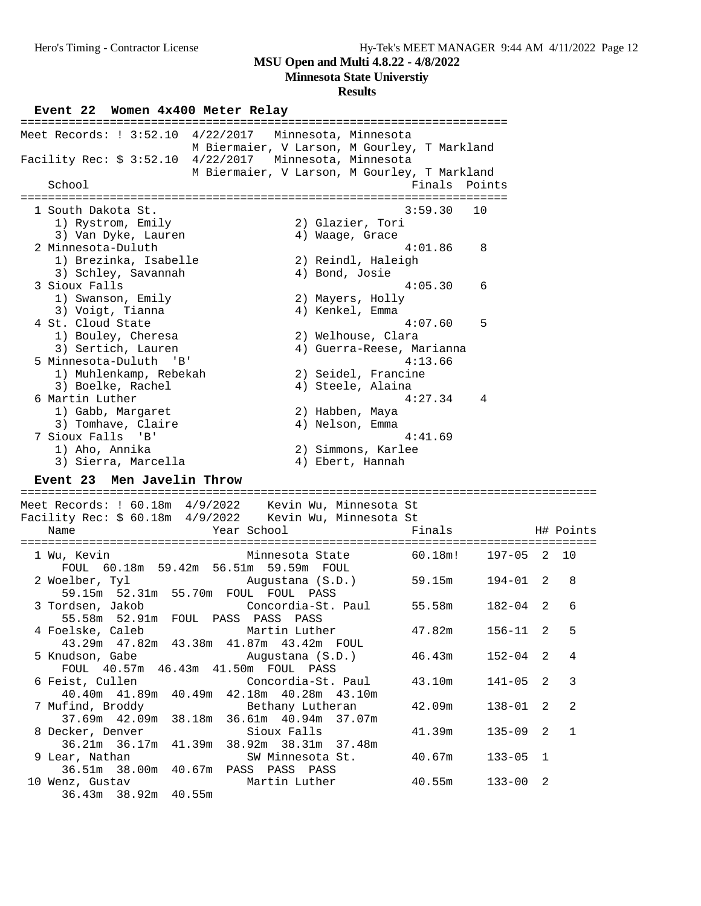**Minnesota State Universtiy**

#### **Results**

**Event 22 Women 4x400 Meter Relay** ======================================================================= Meet Records: ! 3:52.10 4/22/2017 Minnesota, Minnesota M Biermaier, V Larson, M Gourley, T Markland Facility Rec: \$ 3:52.10 4/22/2017 Minnesota, Minnesota M Biermaier, V Larson, M Gourley, T Markland School **Finals** Points ======================================================================= 1 South Dakota St. 3:59.30 10 1) Rystrom, Emily 1997 (2) Glazier, Tori 3) Van Dyke, Lauren (1988) 4) Waage, Grace 2 Minnesota-Duluth 4:01.86 8 1) Brezinka, Isabelle 2) Reindl, Haleigh 3) Schley, Savannah (4) Bond, Josie 3 Sioux Falls 4:05.30 6 1) Swanson, Emily 2) Mayers, Holly 3) Voigt, Tianna (1988) 4) Kenkel, Emma 4 St. Cloud State 4:07.60 5 1) Bouley, Cheresa 2) Welhouse, Clara 3) Sertich, Lauren 4) Guerra-Reese, Marianna 5 Minnesota-Duluth 'B' 4:13.66 1) Muhlenkamp, Rebekah 2) Seidel, Francine 3) Boelke, Rachel (4) Steele, Alaina 6 Martin Luther 4:27.34 4 1) Gabb, Margaret 2) Habben, Maya 3) Tomhave, Claire (4) Nelson, Emma 7 Sioux Falls 'B' 4:41.69 1) Aho, Annika 2) Simmons, Karlee 3) Sierra, Marcella (4) Ebert, Hannah 4:4<br> **Event 23 Men Javelin Throw**<br> **Event 23 Men Javelin Throw**<br> **Event 23 Men Javelin Throw** ==================================================================================== Meet Records: ! 60.18m 4/9/2022 Kevin Wu, Minnesota St Facility Rec: \$ 60.18m 4/9/2022 Kevin Wu, Minnesota St Name The Year School Team Pinals H# Points ==================================================================================== 1 Wu, Kevin Minnesota State 60.18m! 197-05 2 10 FOUL 60.18m 59.42m 56.51m 59.59m FOUL 2 Woelber, Tyl Augustana (S.D.) 59.15m 194-01 2 8 59.15m 52.31m 55.70m FOUL FOUL PASS 3 Tordsen, Jakob Concordia-St. Paul 55.58m 182-04 2 6 55.58m 52.91m FOUL PASS PASS PASS 4 Foelske, Caleb Martin Luther 47.82m 156-11 2 5 43.29m 47.82m 43.38m 41.87m 43.42m FOUL 5 Knudson, Gabe Augustana (S.D.) 46.43m 152-04 2 4 FOUL 40.57m 46.43m 41.50m FOUL PASS 6 Feist, Cullen Concordia-St. Paul 43.10m 141-05 2 3 40.40m 41.89m 40.49m 42.18m 40.28m 43.10m 7 Mufind, Broddy Bethany Lutheran 42.09m 138-01 2 2 37.69m 42.09m 38.18m 36.61m 40.94m 37.07m 8 Decker, Denver Sioux Falls 41.39m 135-09 2 1

 36.21m 36.17m 41.39m 38.92m 38.31m 37.48m 9 Lear, Nathan SW Minnesota St. 40.67m 133-05 1 36.51m 38.00m 40.67m PASS PASS PASS 10 Wenz, Gustav Martin Luther 40.55m 133-00 2 36.43m 38.92m 40.55m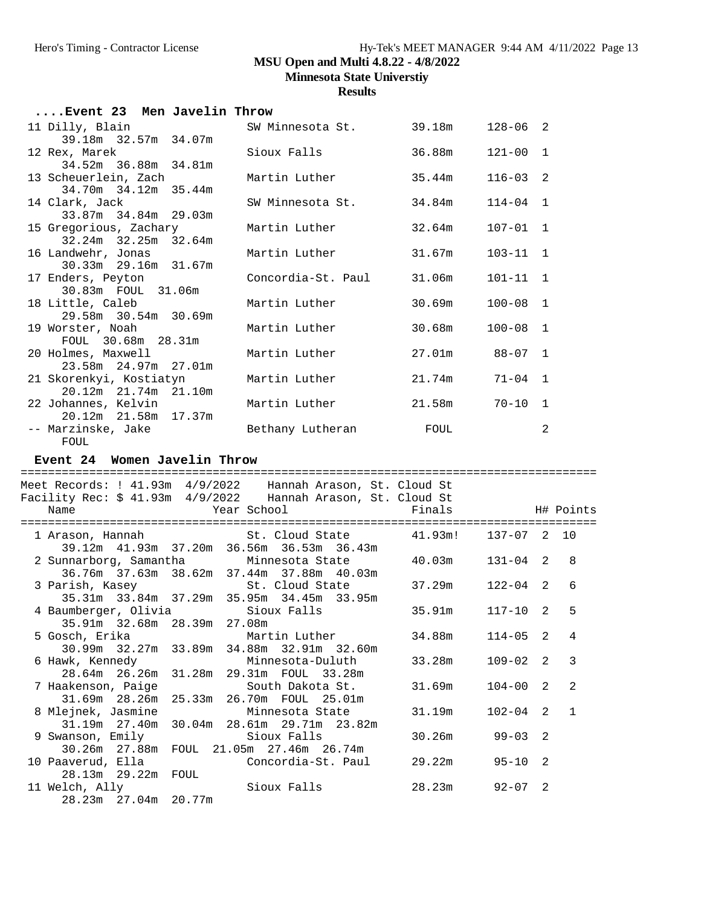**Results**

| Event 23 Men Javelin Throw |                      |                         |        |              |   |
|----------------------------|----------------------|-------------------------|--------|--------------|---|
| 11 Dilly, Blain            |                      | SW Minnesota St. 39.18m |        | $128 - 06$ 2 |   |
|                            | 39.18m 32.57m 34.07m |                         |        |              |   |
| 12 Rex, Marek              |                      | Sioux Falls             | 36.88m | $121 - 00$ 1 |   |
|                            | 34.52m 36.88m 34.81m |                         |        |              |   |
| 13 Scheuerlein, Zach       |                      | Martin Luther           | 35.44m | $116 - 03$ 2 |   |
|                            | 34.70m 34.12m 35.44m |                         |        |              |   |
| 14 Clark, Jack             |                      | SW Minnesota St.        | 34.84m | $114 - 04$ 1 |   |
|                            | 33.87m 34.84m 29.03m |                         |        |              |   |
| 15 Gregorious, Zachary     |                      | Martin Luther           | 32.64m | $107 - 01$ 1 |   |
| 16 Landwehr, Jonas         | 32.24m 32.25m 32.64m | Martin Luther           | 31.67m | $103 - 11$ 1 |   |
|                            | 30.33m 29.16m 31.67m |                         |        |              |   |
| 17 Enders, Peyton          |                      | Concordia-St. Paul      | 31.06m | $101 - 11$ 1 |   |
|                            | 30.83m FOUL 31.06m   |                         |        |              |   |
| 18 Little, Caleb           |                      | Martin Luther           | 30.69m | $100 - 08$ 1 |   |
|                            | 29.58m 30.54m 30.69m |                         |        |              |   |
| 19 Worster, Noah           |                      | Martin Luther           | 30.68m | $100 - 08$ 1 |   |
|                            | FOUL 30.68m 28.31m   |                         |        |              |   |
| 20 Holmes, Maxwell         |                      | Martin Luther           | 27.01m | $88 - 07$ 1  |   |
|                            | 23.58m 24.97m 27.01m |                         |        |              |   |
| 21 Skorenkyi, Kostiatyn    |                      | Martin Luther           | 21.74m | $71 - 04$ 1  |   |
|                            | 20.12m 21.74m 21.10m |                         |        |              |   |
| 22 Johannes, Kelvin        |                      | Martin Luther           | 21.58m | $70 - 10$ 1  |   |
|                            | 20.12m 21.58m 17.37m |                         |        |              |   |
| -- Marzinske, Jake         |                      | Bethany Lutheran        | FOUL   |              | 2 |
| FOUL                       |                      |                         |        |              |   |

#### **Event 24 Women Javelin Throw**

==================================================================================== Meet Records: ! 41.93m 4/9/2022 Hannah Arason, St. Cloud St Facility Rec: \$ 41.93m 4/9/2022 Hannah Arason, St. Cloud St Name The Year School The Finals H# Points ==================================================================================== 1 Arason, Hannah St. Cloud State 41.93m! 137-07 2 10 39.12m 41.93m 37.20m 36.56m 36.53m 36.43m 2 Sunnarborg, Samantha Minnesota State 40.03m 131-04 2 8 36.76m 37.63m 38.62m 37.44m 37.88m 40.03m 3 Parish, Kasey St. Cloud State 37.29m 122-04 2 6 35.31m 33.84m 37.29m 35.95m 34.45m 33.95m 4 Baumberger, Olivia Sioux Falls 35.91m 117-10 2 5 35.91m 32.68m 28.39m 27.08m Martin Luther 34.88m 114-05 2 4 30.99m 32.27m 33.89m 34.88m 32.91m 32.60m 6 Hawk, Kennedy Minnesota-Duluth 33.28m 109-02 2 3 28.64m 26.26m 31.28m 29.31m FOUL 33.28m 7 Haakenson, Paige South Dakota St. 31.69m 104-00 2 2 31.69m 28.26m 25.33m 26.70m FOUL 25.01m 8 Mlejnek, Jasmine Minnesota State 31.19m 102-04 2 1 31.19m 27.40m 30.04m 28.61m 29.71m 23.82m 9 Swanson, Emily Sioux Falls 30.26m 99-03 2 30.26m 27.88m FOUL 21.05m 27.46m 26.74m 10 Paaverud, Ella Concordia-St. Paul 29.22m 95-10 2 28.13m 29.22m FOUL 11 Welch, Ally Sioux Falls 28.23m 92-07 2

28.23m 27.04m 20.77m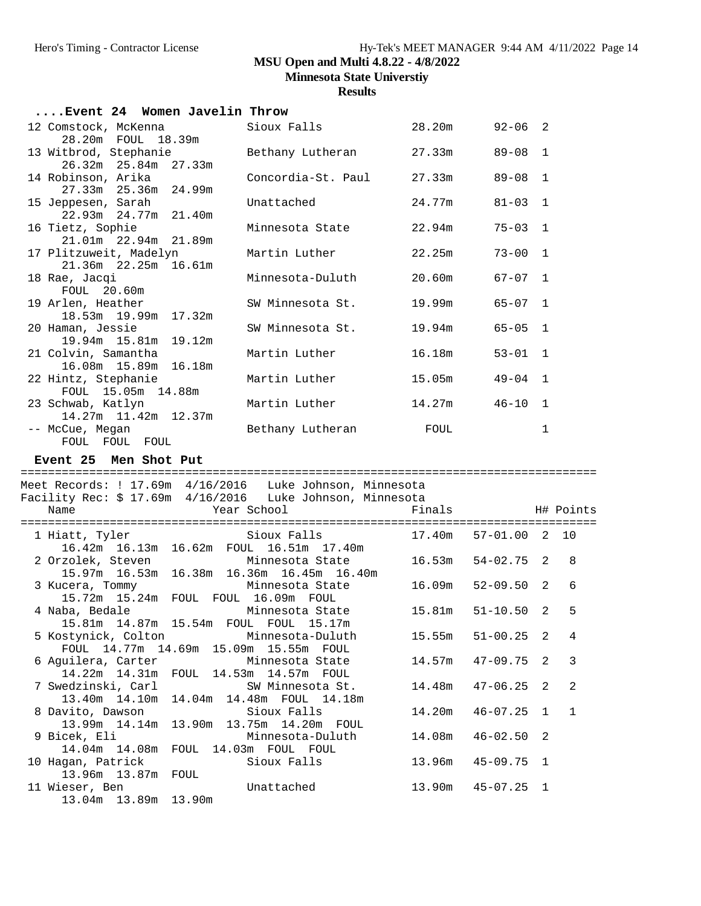**Minnesota State Universtiy**

**Results**

| Event 24 Women Javelin Throw                                      |                                                              |        |                 |                |              |
|-------------------------------------------------------------------|--------------------------------------------------------------|--------|-----------------|----------------|--------------|
| 12 Comstock, McKenna<br>28.20m FOUL 18.39m                        | Sioux Falls                                                  | 28.20m | 92-06           | 2              |              |
| 13 Witbrod, Stephanie<br>26.32m 25.84m 27.33m                     | Bethany Lutheran                                             | 27.33m | $89 - 08$       | 1              |              |
| 14 Robinson, Arika<br>27.33m 25.36m 24.99m                        | Concordia-St. Paul                                           | 27.33m | $89 - 08$       | 1              |              |
| 15 Jeppesen, Sarah                                                | Unattached                                                   | 24.77m | $81 - 03$       | 1              |              |
| 22.93m 24.77m 21.40m<br>16 Tietz, Sophie                          | Minnesota State                                              | 22.94m | $75 - 03$       | $\mathbf{1}$   |              |
| 21.01m  22.94m  21.89m<br>17 Plitzuweit, Madelyn                  | Martin Luther                                                | 22.25m | $73 - 00$       | 1              |              |
| 21.36m 22.25m 16.61m<br>18 Rae, Jacqi                             | Minnesota-Duluth                                             | 20.60m | 67-07           | $\mathbf{1}$   |              |
| FOUL 20.60m<br>19 Arlen, Heather                                  | SW Minnesota St.                                             | 19.99m | $65 - 07$       | 1              |              |
| 18.53m 19.99m 17.32m<br>20 Haman, Jessie                          | SW Minnesota St.                                             | 19.94m | $65 - 05$       | $\mathbf 1$    |              |
| 19.94m 15.81m 19.12m<br>21 Colvin, Samantha                       | Martin Luther                                                | 16.18m | $53 - 01$       | $\mathbf{1}$   |              |
| 16.08m  15.89m  16.18m<br>22 Hintz, Stephanie                     | Martin Luther                                                | 15.05m | $49 - 04$       | $\mathbf{1}$   |              |
| FOUL 15.05m 14.88m<br>23 Schwab, Katlyn                           | Martin Luther                                                | 14.27m | 46-10           | 1              |              |
| 14.27m  11.42m  12.37m<br>-- McCue, Megan                         | Bethany Lutheran                                             | FOUL   |                 | 1              |              |
|                                                                   |                                                              |        |                 |                |              |
| FOUL FOUL FOUL<br>Event 25 Men Shot Put                           |                                                              |        |                 |                |              |
|                                                                   |                                                              |        |                 |                |              |
| Meet Records: ! 17.69m  4/16/2016  Luke Johnson, Minnesota        |                                                              |        |                 |                |              |
| Facility Rec: \$ 17.69m  4/16/2016  Luke Johnson, Minnesota       |                                                              |        |                 |                |              |
| Name                                                              | Year School                                                  | Finals |                 |                | H# Points    |
| 1 Hiatt, Tyler                                                    | Sioux Falls                                                  | 17.40m | 57-01.00        | $\overline{2}$ | 10           |
| 16.42m  16.13m  16.62m  FOUL  16.51m  17.40m<br>2 Orzolek, Steven | Minnesota State                                              |        | 16.53m 54-02.75 | 2              | 8            |
| 3 Kucera, Tommy                                                   | 15.97m 16.53m 16.38m 16.36m 16.45m 16.40m<br>Minnesota State | 16.09m | $52 - 09.50$    | $\overline{2}$ | 6            |
| 15.72m 15.24m FOUL FOUL 16.09m FOUL<br>4 Naba, Bedale             | Minnesota State 15.81m                                       |        | $51 - 10.50$    | 2              | 5            |
| 15.81m  14.87m  15.54m  FOUL  FOUL  15.17m<br>5 Kostynick, Colton | Minnesota-Duluth                                             | 15.55m | $51 - 00.25$    | 2              | 4            |
| FOUL 14.77m 14.69m 15.09m 15.55m FOUL<br>6 Aguilera, Carter       | Minnesota State                                              | 14.57m | $47 - 09.75$    | 2              | 3            |
| 14.22m  14.31m<br>7 Swedzinski, Carl                              | FOUL 14.53m 14.57m FOUL<br>SW Minnesota St.                  | 14.48m | $47 - 06.25$    | 2              | 2            |
| 13.40m 14.10m<br>14.04m<br>8 Davito, Dawson                       | 14.48m FOUL 14.18m<br>Sioux Falls                            | 14.20m | $46 - 07.25$    | 1              | $\mathbf{1}$ |
| 13.99m 14.14m<br>9 Bicek, Eli                                     | 13.90m  13.75m  14.20m  FOUL<br>Minnesota-Duluth             | 14.08m | $46 - 02.50$    | 2              |              |
| 14.04m 14.08m<br>FOUL<br>10 Hagan, Patrick                        | 14.03m FOUL FOUL<br>Sioux Falls                              | 13.96m | $45 - 09.75$    | 1              |              |

13.04m 13.89m 13.90m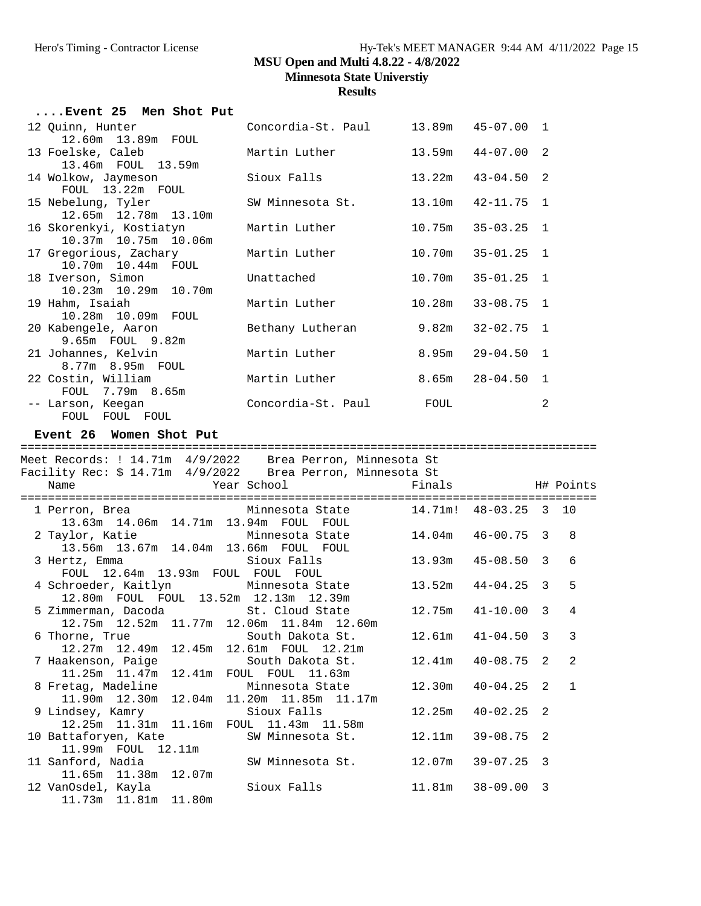# Hero's Timing - Contractor License Hy-Tek's MEET MANAGER 9:44 AM 4/11/2022 Page 15 **MSU Open and Multi 4.8.22 - 4/8/2022**

**Minnesota State Universtiy**

| Event 25 Men Shot Put                                                          |                                           |                       |                |              |   |
|--------------------------------------------------------------------------------|-------------------------------------------|-----------------------|----------------|--------------|---|
| 12 Ouinn, Hunter<br>12.60m  13.89m  FOUL                                       | Concordia-St. Paul                        | 13.89m  45-07.00      |                | 1            |   |
| 13 Foelske, Caleb                                                              | Martin Luther                             | 13.59m                | $44 - 07.00$   | 2            |   |
| 13.46m FOUL 13.59m<br>14 Wolkow, Jaymeson                                      | Sioux Falls                               | 13.22m                | $43 - 04.50$   | 2            |   |
| FOUL 13.22m FOUL<br>15 Nebelung, Tyler                                         | SW Minnesota St.                          | 13.10m                | $42 - 11.75$   | $\mathbf{1}$ |   |
| 12.65m 12.78m 13.10m<br>16 Skorenkyi, Kostiatyn                                | Martin Luther                             | 10.75m                | $35 - 03.25$   | 1            |   |
| 10.37m  10.75m  10.06m<br>17 Gregorious, Zachary                               | Martin Luther                             | 10.70m                | $35 - 01.25$   | 1            |   |
| 10.70m  10.44m  FOUL<br>18 Iverson, Simon                                      | Unattached                                | 10.70m                | $35 - 01.25$   | 1            |   |
| 10.23m  10.29m  10.70m                                                         |                                           |                       |                |              |   |
| 19 Hahm, Isaiah<br>10.28m  10.09m  FOUL                                        | Martin Luther                             | 10.28m                | $33 - 08.75$   | $\mathbf{1}$ |   |
| 20 Kabengele, Aaron<br>9.65m FOUL 9.82m                                        | Bethany Lutheran                          | 9.82m                 | $32 - 02.75$   | $\mathbf{1}$ |   |
| 21 Johannes, Kelvin<br>8.77m 8.95m FOUL                                        | Martin Luther                             | 8.95m                 | $29 - 04.50$   | $\mathbf{1}$ |   |
| 22 Costin, William<br>FOUL 7.79m 8.65m                                         | Martin Luther                             | 8.65m                 | 28-04.50       | $\mathbf{1}$ |   |
| -- Larson, Keegan<br>FOUL FOUL FOUL                                            | Concordia-St. Paul                        | FOUL                  |                | 2            |   |
| Event 26 Women Shot Put                                                        |                                           |                       |                |              |   |
|                                                                                |                                           |                       |                |              |   |
|                                                                                |                                           |                       |                |              |   |
| Meet Records: ! 14.71m 4/9/2022 Brea Perron, Minnesota St                      |                                           |                       |                |              |   |
| Facility Rec: \$ 14.71m  4/9/2022  Brea Perron, Minnesota St                   |                                           |                       |                |              |   |
| Name                                                                           | Year School                               | Finals                | H# Points      |              |   |
| 1 Perron, Brea                                                                 | Minnesota State                           | 14.71m! 48-03.25 3 10 |                |              |   |
| 13.63m  14.06m  14.71m  13.94m  FOUL  FOUL<br>2 Taylor, Katie                  | Minnesota State                           | 14.04m                | 46-00.75       | 3            | 8 |
| 13.56m  13.67m  14.04m  13.66m  FOUL  FOUL<br>3 Hertz, Emma Sioux Falls        |                                           | 13.93m                | $45 - 08.50$ 3 |              | 6 |
| FOUL 12.64m 13.93m FOUL FOUL FOUL<br>4 Schroeder, Kaitlyn Minnesota State      |                                           | 13.52m                | $44 - 04.25$ 3 |              | 5 |
| 12.80m FOUL FOUL 13.52m 12.13m 12.39m<br>5 Zimmerman, Dacoda (St. Cloud State) |                                           | $12.75m$ $41-10.00$ 3 |                |              | 4 |
| 11.77m<br>12.75m<br>12.52m                                                     | 12.06m  11.84m  12.60m                    | 12.61m                |                | 3            | 3 |
| 6 Thorne, True<br>12.27m 12.49m<br>12.45m                                      | South Dakota St.<br>12.61m FOUL 12.21m    |                       | $41 - 04.50$   |              |   |
| 7 Haakenson, Paige<br>11.25m   11.47m<br>12.41m                                | South Dakota St.<br>FOUL FOUL 11.63m      | 12.41m                | $40 - 08.75$   | 2            | 2 |
| 8 Fretag, Madeline<br>11.90m  12.30m<br>12.04m                                 | Minnesota State<br>11.20m  11.85m  11.17m | 12.30m                | $40 - 04.25$   | 2            | 1 |
| 9 Lindsey, Kamry<br>12.25m  11.31m<br>11.16m                                   | Sioux Falls<br>FOUL 11.43m 11.58m         | 12.25m                | $40 - 02.25$   | 2            |   |
| 10 Battaforyen, Kate                                                           | SW Minnesota St.                          | 12.11m                | $39 - 08.75$   | 2            |   |
| 11.99m FOUL 12.11m<br>11 Sanford, Nadia                                        | SW Minnesota St.                          | 12.07m                | $39 - 07.25$   | 3            |   |
| 11.65m  11.38m  12.07m<br>12 VanOsdel, Kayla<br>11.73m  11.81m  11.80m         | Sioux Falls                               | 11.81m                | $38 - 09.00$   | 3            |   |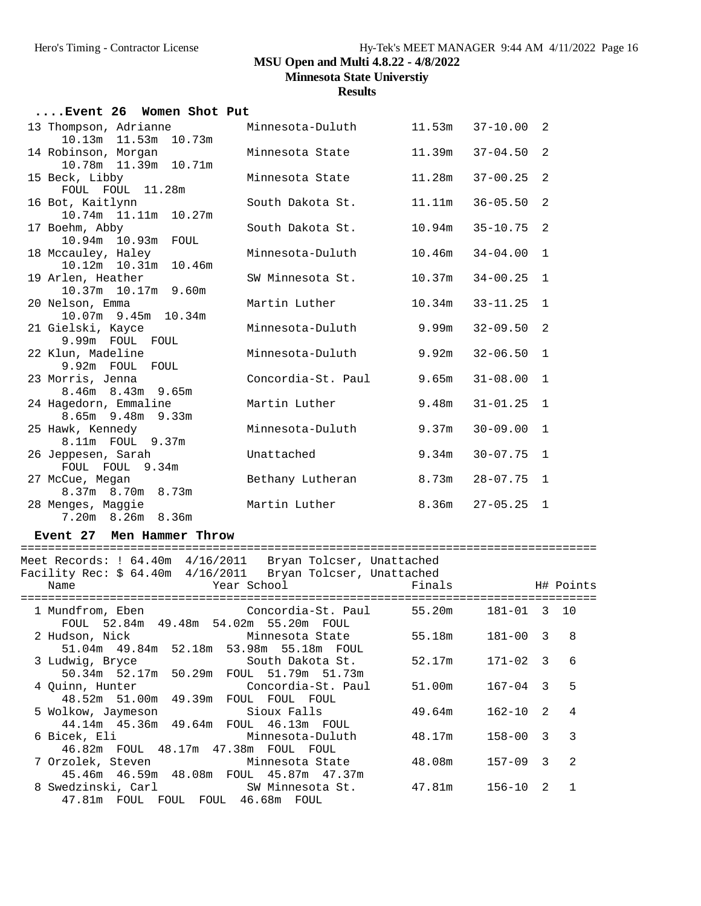## Hero's Timing - Contractor License Hy-Tek's MEET MANAGER 9:44 AM 4/11/2022 Page 16 **MSU Open and Multi 4.8.22 - 4/8/2022**

**Minnesota State Universtiy**

**Results**

| Event 26 Women Shot Put                       |                    |        |              |              |
|-----------------------------------------------|--------------------|--------|--------------|--------------|
| 13 Thompson, Adrianne                         | Minnesota-Duluth   | 11.53m | $37 - 10.00$ | 2            |
| 10.13m 11.53m 10.73m                          |                    |        |              |              |
| 14 Robinson, Morgan                           | Minnesota State    | 11.39m | $37 - 04.50$ | 2            |
| 10.78m  11.39m  10.71m                        | Minnesota State    | 11.28m | $37 - 00.25$ | 2            |
| 15 Beck, Libby<br>FOUL FOUL 11.28m            |                    |        |              |              |
| 16 Bot, Kaitlynn                              | South Dakota St.   | 11.11m | $36 - 05.50$ | 2            |
| 10.74m  11.11m  10.27m                        |                    |        |              |              |
| 17 Boehm, Abby                                | South Dakota St.   | 10.94m | $35 - 10.75$ | 2            |
| 10.94m  10.93m  FOUL                          |                    |        |              |              |
| 18 Mccauley, Haley                            | Minnesota-Duluth   | 10.46m | $34 - 04.00$ | $\mathbf{1}$ |
| 10.12m 10.31m 10.46m                          |                    |        |              |              |
| 19 Arlen, Heather                             | SW Minnesota St.   | 10.37m | $34 - 00.25$ | $\mathbf{1}$ |
| 10.37m 10.17m 9.60m<br>20 Nelson, Emma        | Martin Luther      | 10.34m | $33 - 11.25$ | $\mathbf{1}$ |
| 10.07m 9.45m 10.34m                           |                    |        |              |              |
| 21 Gielski, Kayce                             | Minnesota-Duluth   | 9.99m  | $32 - 09.50$ | 2            |
| 9.99m FOUL FOUL                               |                    |        |              |              |
| 22 Klun, Madeline                             | Minnesota-Duluth   | 9.92m  | $32 - 06.50$ | $\mathbf{1}$ |
| 9.92m FOUL FOUL                               |                    |        |              |              |
| 23 Morris, Jenna                              | Concordia-St. Paul | 9.65m  | $31 - 08.00$ | $\mathbf{1}$ |
| $8.46m$ $8.43m$ $9.65m$                       |                    |        |              |              |
| 24 Hagedorn, Emmaline                         | Martin Luther      | 9.48m  | $31 - 01.25$ | $\mathbf{1}$ |
| $8.65m$ 9.48 $m$ 9.33 $m$<br>25 Hawk, Kennedy | Minnesota-Duluth   | 9.37m  | $30 - 09.00$ | $\mathbf{1}$ |
| 8.11m FOUL 9.37m                              |                    |        |              |              |
| 26 Jeppesen, Sarah                            | Unattached         | 9.34m  | $30 - 07.75$ | $\mathbf{1}$ |
| FOUL FOUL 9.34m                               |                    |        |              |              |
| 27 McCue, Megan                               | Bethany Lutheran   | 8.73m  | $28 - 07.75$ | $\mathbf{1}$ |
| $8.37m$ $8.70m$ $8.73m$                       |                    |        |              |              |
| 28 Menges, Maggie                             | Martin Luther      | 8.36m  | $27 - 05.25$ | 1            |
| 7.20m 8.26m 8.36m                             |                    |        |              |              |

#### **Event 27 Men Hammer Throw**

#### ====================================================================================

Meet Records: ! 64.40m 4/16/2011 Bryan Tolcser, Unattached Facility Rec: \$ 64.40m 4/16/2011 Bryan Tolcser, Unattached

| racilic, kcc. y oi:iom i/lo/2011 - Diyan Iolopci, onaccachca<br><b>Example 2</b> Year School<br>Name       | Finals H# Points         |  |
|------------------------------------------------------------------------------------------------------------|--------------------------|--|
| 1 Mundfrom, Eben (Concordia-St. Paul 55.20m<br>FOUL 52.84m 49.48m 54.02m 55.20m FOUL                       | 181-01 3 10              |  |
| 2 Hudson, Nick Minnesota State 55.18m<br>51.04m 49.84m 52.18m 53.98m 55.18m FOUL                           | 181-00 3 8               |  |
| 3 Ludwig, Bryce                 South Dakota St.<br>50.34m 52.17m 50.29m FOUL 51.79m 51.73m                | 52.17m<br>171-02 3 6     |  |
| 4 Quinn, Hunter                     Concordia-St. Paul       51.00m<br>48.52m 51.00m 49.39m FOUL FOUL FOUL | $167 - 04$ 3 5           |  |
| 44.14m  45.36m  49.64m  FOUL  46.13m  FOUL                                                                 | $162 - 10$ 2 4<br>49.64m |  |
| 6 Bicek, Eli                         Minnesota-Duluth<br>46.82m FOUL 48.17m 47.38m FOUL FOUL               | $158 - 00$ 3 3<br>48.17m |  |
| 7 Orzolek, Steven                   Minnesota State<br>45.46m 46.59m 48.08m FOUL 45.87m 47.37m             | $157-09$ 3 2<br>48.08m   |  |
| 8 Swedzinski, Carl             SW Minnesota St.         47.81m<br>47.81m FOUL FOUL FOUL 46.68m FOUL        | $156 - 10$ 2 1           |  |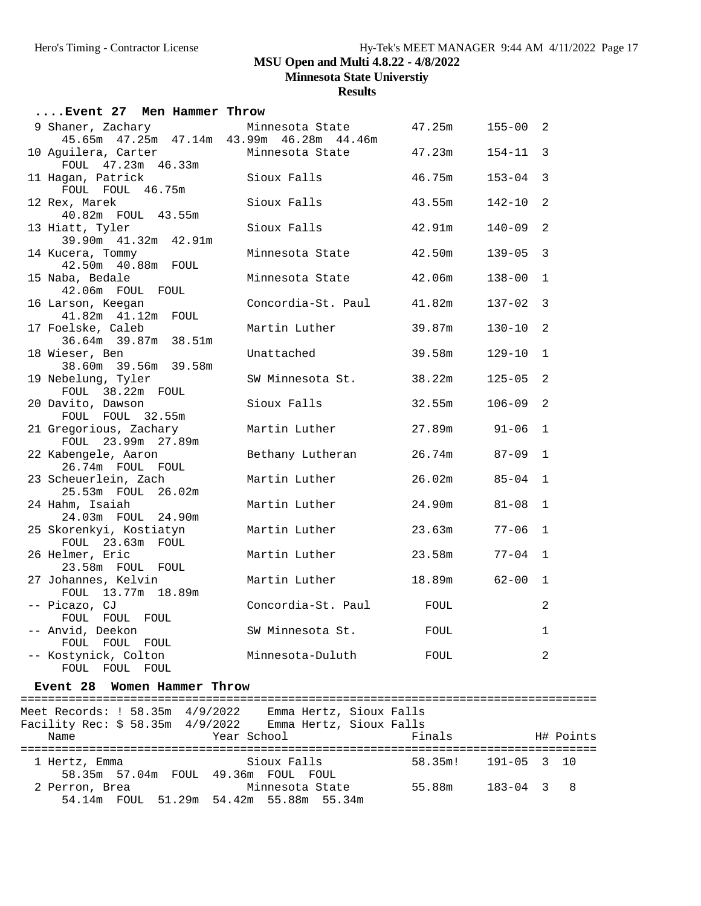**Minnesota State Universtiy**

**Results**

| Event 27 Men Hammer Throw                                           |                    |        |              |              |
|---------------------------------------------------------------------|--------------------|--------|--------------|--------------|
| 9 Shaner, Zachary<br>45.65m  47.25m  47.14m  43.99m  46.28m  44.46m | Minnesota State    | 47.25m | $155 - 00$ 2 |              |
| 10 Aguilera, Carter                                                 | Minnesota State    | 47.23m | $154 - 11$   | 3            |
| FOUL 47.23m 46.33m                                                  |                    |        |              |              |
| 11 Hagan, Patrick                                                   | Sioux Falls        | 46.75m | $153 - 04$   | 3            |
| FOUL FOUL 46.75m                                                    |                    |        |              |              |
| 12 Rex, Marek                                                       | Sioux Falls        | 43.55m | $142 - 10$   | 2            |
| 40.82m FOUL 43.55m                                                  |                    |        |              |              |
| 13 Hiatt, Tyler                                                     | Sioux Falls        | 42.91m | $140 - 09$   | 2            |
| 39.90m  41.32m  42.91m                                              | Minnesota State    | 42.50m | $139 - 05$   | 3            |
| 14 Kucera, Tommy<br>42.50m  40.88m  FOUL                            |                    |        |              |              |
| 15 Naba, Bedale                                                     | Minnesota State    | 42.06m | $138 - 00$   | $\mathbf{1}$ |
| 42.06m FOUL FOUL                                                    |                    |        |              |              |
| 16 Larson, Keegan                                                   | Concordia-St. Paul | 41.82m | $137 - 02$   | 3            |
| 41.82m  41.12m  FOUL                                                |                    |        |              |              |
| 17 Foelske, Caleb                                                   | Martin Luther      | 39.87m | $130 - 10$   | 2            |
| 36.64m 39.87m 38.51m                                                |                    |        |              |              |
| 18 Wieser, Ben                                                      | Unattached         | 39.58m | $129 - 10$   | $\mathbf{1}$ |
| 38.60m 39.56m 39.58m                                                |                    |        |              |              |
| 19 Nebelung, Tyler                                                  | SW Minnesota St.   | 38.22m | $125 - 05$   | 2            |
| FOUL 38.22m FOUL                                                    |                    |        |              |              |
| 20 Davito, Dawson                                                   | Sioux Falls        | 32.55m | $106 - 09$   | 2            |
| FOUL FOUL 32.55m                                                    |                    |        |              |              |
| 21 Gregorious, Zachary                                              | Martin Luther      | 27.89m | $91 - 06$    | $\mathbf{1}$ |
| FOUL 23.99m 27.89m                                                  |                    |        |              |              |
| 22 Kabengele, Aaron                                                 | Bethany Lutheran   | 26.74m | $87 - 09$    | $\mathbf{1}$ |
| 26.74m FOUL FOUL<br>23 Scheuerlein, Zach                            | Martin Luther      | 26.02m | $85 - 04$    | $\mathbf{1}$ |
| 25.53m FOUL 26.02m                                                  |                    |        |              |              |
| 24 Hahm, Isaiah                                                     | Martin Luther      | 24.90m | $81 - 08$    | $\mathbf{1}$ |
| 24.03m FOUL 24.90m                                                  |                    |        |              |              |
| 25 Skorenkyi, Kostiatyn                                             | Martin Luther      | 23.63m | $77 - 06$    | $\mathbf{1}$ |
| FOUL 23.63m FOUL                                                    |                    |        |              |              |
| 26 Helmer, Eric                                                     | Martin Luther      | 23.58m | $77 - 04$    | $\mathbf{1}$ |
| 23.58m FOUL FOUL                                                    |                    |        |              |              |
| 27 Johannes, Kelvin                                                 | Martin Luther      | 18.89m | $62 - 00$    | $\mathbf 1$  |
| FOUL 13.77m 18.89m                                                  |                    |        |              |              |
| -- Picazo, CJ                                                       | Concordia-St. Paul | FOUL   |              | 2            |
| FOUL FOUL FOUL                                                      |                    |        |              |              |
| -- Anvid, Deekon                                                    | SW Minnesota St.   | FOUL   |              | $\mathbf{1}$ |
| FOUL FOUL FOUL                                                      |                    |        |              |              |
| -- Kostynick, Colton<br>FOUL FOUL FOUL                              | Minnesota-Duluth   | FOUL   |              | 2            |
|                                                                     |                    |        |              |              |

#### **Event 28 Women Hammer Throw**

==================================================================================== Meet Records: ! 58.35m 4/9/2022 Emma Hertz, Sioux Falls Facility Rec: \$ 58.35m 4/9/2022 Emma Hertz, Sioux Falls Name Year School Finals H# Points ==================================================================================== Sioux Falls 58.35m! 191-05 3 10 58.35m 57.04m FOUL 49.36m FOUL FOUL 2 Perron, Brea Minnesota State 55.88m 183-04 3 8 54.14m FOUL 51.29m 54.42m 55.88m 55.34m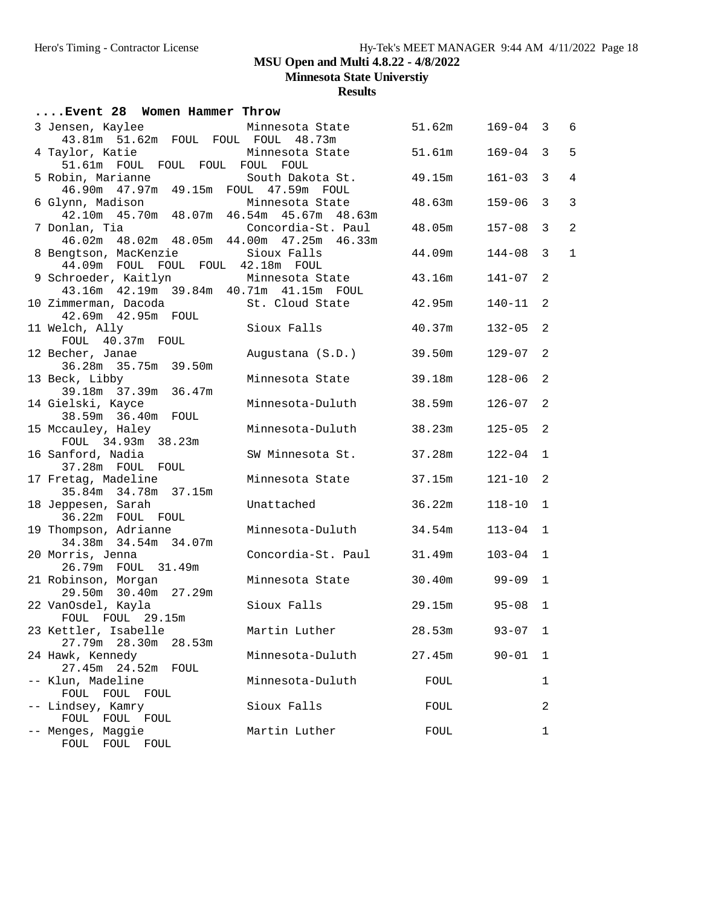**Minnesota State Universtiy**

| Event 28 Women Hammer Throw                                             |                    |        |              |                |                |
|-------------------------------------------------------------------------|--------------------|--------|--------------|----------------|----------------|
| 3 Jensen, Kaylee                                                        | Minnesota State    | 51.62m | $169 - 04$ 3 |                | 6              |
| 43.81m 51.62m FOUL FOUL FOUL 48.73m<br>4 Taylor, Katie                  | Minnesota State    | 51.61m | 169-04       | $\overline{3}$ | 5              |
| 51.61m FOUL FOUL FOUL FOUL FOUL<br>5 Robin, Marianne                    | South Dakota St.   | 49.15m | $161 - 03$   | $\overline{3}$ | $\overline{4}$ |
| 46.90m  47.97m  49.15m  FOUL  47.59m  FOUL<br>6 Glynn, Madison          | Minnesota State    | 48.63m | 159-06       | $\mathbf{3}$   | 3              |
| 42.10m  45.70m  48.07m  46.54m  45.67m  48.63m<br>7 Donlan, Tia         | Concordia-St. Paul | 48.05m | $157 - 08$   | $\overline{3}$ | $\overline{a}$ |
| 46.02m  48.02m  48.05m  44.00m  47.25m  46.33m<br>8 Bengtson, MacKenzie | Sioux Falls        | 44.09m | 144-08       | 3              | $\mathbf{1}$   |
| 44.09m FOUL FOUL FOUL 42.18m FOUL<br>9 Schroeder, Kaitlyn               | Minnesota State    | 43.16m | 141-07       | 2              |                |
| 43.16m  42.19m  39.84m  40.71m  41.15m  FOUL<br>10 Zimmerman, Dacoda    | St. Cloud State    | 42.95m | 140-11       | -2             |                |
| 42.69m  42.95m  FOUL<br>11 Welch, Ally                                  | Sioux Falls        | 40.37m | $132 - 05$   | 2              |                |
| FOUL 40.37m FOUL<br>12 Becher, Janae                                    | Augustana (S.D.)   | 39.50m | $129 - 07$   | 2              |                |
| 36.28m 35.75m 39.50m<br>13 Beck, Libby                                  | Minnesota State    | 39.18m | $128 - 06$   | 2              |                |
| 39.18m 37.39m 36.47m<br>14 Gielski, Kayce                               | Minnesota-Duluth   | 38.59m | 126-07       | 2              |                |
| 38.59m 36.40m FOUL<br>15 Mccauley, Haley                                | Minnesota-Duluth   | 38.23m | $125 - 05$   | 2              |                |
| FOUL 34.93m 38.23m<br>16 Sanford, Nadia                                 | SW Minnesota St.   | 37.28m | $122 - 04$   | 1              |                |
| 37.28m FOUL FOUL<br>17 Fretag, Madeline                                 | Minnesota State    | 37.15m | 121-10       | 2              |                |
| 35.84m 34.78m 37.15m<br>18 Jeppesen, Sarah                              | Unattached         | 36.22m | 118-10       | $\mathbf{1}$   |                |
| 36.22m FOUL FOUL<br>19 Thompson, Adrianne                               | Minnesota-Duluth   | 34.54m | $113 - 04$   | $\mathbf{1}$   |                |
| 34.38m 34.54m 34.07m<br>20 Morris, Jenna                                | Concordia-St. Paul | 31.49m | $103 - 04$   | 1              |                |
| 26.79m FOUL 31.49m<br>21 Robinson, Morgan                               | Minnesota State    | 30.40m | 99-09        | $\mathbf{1}$   |                |
| 29.50m 30.40m 27.29m<br>22 VanOsdel, Kayla                              | Sioux Falls        | 29.15m | $95 - 08$    | $\mathbf{1}$   |                |
| FOUL FOUL 29.15m<br>23 Kettler, Isabelle                                | Martin Luther      | 28.53m | $93 - 07$ 1  |                |                |
| 27.79m 28.30m<br>28.53m                                                 | Minnesota-Duluth   |        |              |                |                |
| 24 Hawk, Kennedy<br>27.45m 24.52m<br>FOUL                               |                    | 27.45m | $90 - 01$    | 1              |                |
| -- Klun, Madeline<br>FOUL FOUL FOUL                                     | Minnesota-Duluth   | FOUL   |              | 1              |                |
| -- Lindsey, Kamry<br>FOUL FOUL FOUL                                     | Sioux Falls        | FOUL   |              | 2              |                |
| -- Menges, Maggie<br>FOUL FOUL FOUL                                     | Martin Luther      | FOUL   |              | 1              |                |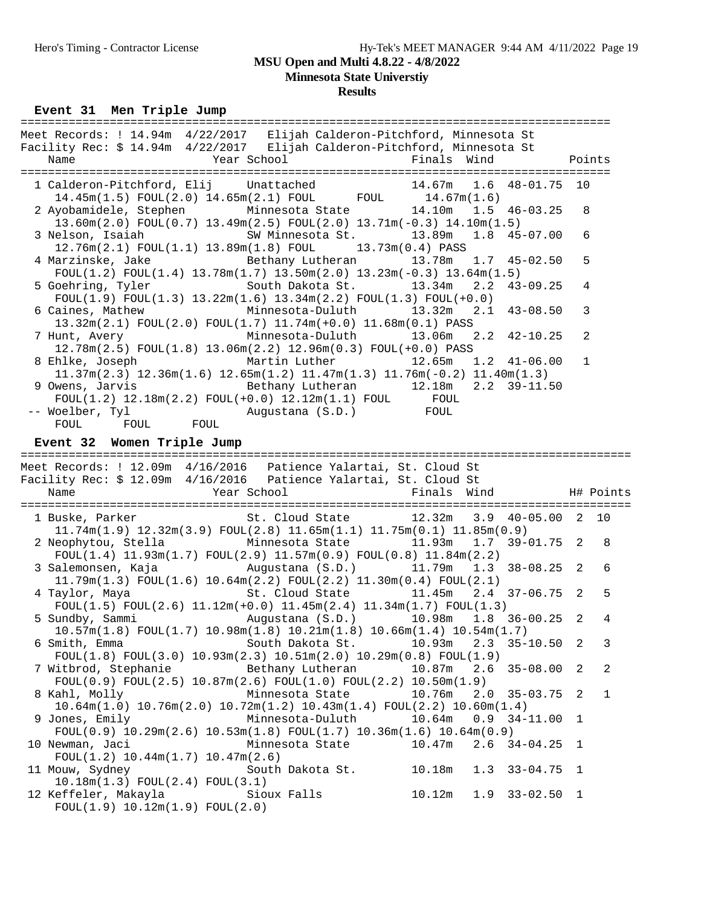# **Minnesota State Universtiy**

### **Results**

**Event 31 Men Triple Jump** 

| Meet Records: ! 14.94m 4/22/2017 Elijah Calderon-Pitchford, Minnesota St<br>Facility Rec: \$ 14.94m 4/22/2017 Elijah Calderon-Pitchford, Minnesota St                                                                                             |              |                |
|---------------------------------------------------------------------------------------------------------------------------------------------------------------------------------------------------------------------------------------------------|--------------|----------------|
| Year School <a> Finals Wind</a> Finals Wind<br>Name<br><b>Points</b>                                                                                                                                                                              |              |                |
| 1 Calderon-Pitchford, Elij Unattached 14.67m 1.6 48-01.75 10<br>$14.45m(1.5)$ FOUL $(2.0)$ $14.65m(2.1)$ FOUL FOUL $14.67m(1.6)$                                                                                                                  |              |                |
| 2 Ayobamidele, Stephen Minnesota State 14.10m 1.5 46-03.25<br>$13.60m(2.0)$ FOUL $(0.7)$ $13.49m(2.5)$ FOUL $(2.0)$ $13.71m(-0.3)$ $14.10m(1.5)$                                                                                                  | 8            |                |
| 3 Nelson, Isaiah               SW Minnesota St.         13.89m<br>1.8<br>45-07.00<br>12.76m(2.1) FOUL(1.1) 13.89m(1.8) FOUL 13.73m(0.4) PASS                                                                                                      |              | 6              |
| 4 Marzinske, Jake Bethany Lutheran 13.78m<br>1.7<br>$45 - 02.50$<br>$F0UL(1.2) F0UL(1.4) 13.78m(1.7) 13.50m(2.0) 13.23m(-0.3) 13.64m(1.5)$                                                                                                        |              | 5              |
| 5 Goehring, Tyler 5 South Dakota St. 13.34m<br>2.2<br>$43 - 09.25$<br>$FOUT(1.9) FOUT(1.3) 13.22m(1.6) 13.34m(2.2) FOUT(1.3) FOUT(+0.0)$                                                                                                          |              | 4              |
| 6 Caines, Mathew Minnesota-Duluth 13.32m<br>2.1<br>$43 - 08.50$<br>13.32m(2.1) FOUL(2.0) FOUL(1.7) 11.74m(+0.0) 11.68m(0.1) PASS                                                                                                                  | 3            |                |
| Minnesota-Duluth 13.06m<br>$42 - 10.25$<br>7 Hunt, Avery<br>2.2<br>12.78m(2.5) FOUL(1.8) 13.06m(2.2) 12.96m(0.3) FOUL(+0.0) PASS                                                                                                                  |              | 2              |
| 8 Ehlke, Joseph<br>Martin Luther                             12.65m     1.2     41-06.00<br>$11.37m(2.3)$ $12.36m(1.6)$ $12.65m(1.2)$ $11.47m(1.3)$ $11.76m(-0.2)$ $11.40m(1.3)$                                                                  | $\mathbf{1}$ |                |
| 9 Owens, Jarvis<br>Bethany Lutheran 12.18m 2.2 39-11.50<br>${\tt FOUL}(1.2) \ 12.18\text{m}(2.2) \ {\tt FOUL}(+0.0) \ 12.12\text{m}(1.1) \ {\tt FOUL} \hspace{1.5cm} {\tt FOUL}$                                                                  |              |                |
| Augustana (S.D.) FOUL<br>-- Woelber, Tyl<br>FOUL FOUL<br>FOUL                                                                                                                                                                                     |              |                |
| Event 32 Women Triple Jump                                                                                                                                                                                                                        |              |                |
| Meet Records: ! 12.09m 4/16/2016  Patience Yalartai, St. Cloud St                                                                                                                                                                                 |              |                |
|                                                                                                                                                                                                                                                   |              |                |
|                                                                                                                                                                                                                                                   |              |                |
| Facility Rec: \$ 12.09m 4/16/2016  Patience Yalartai, St. Cloud St<br>Year School<br>Finals Wind<br>Name                                                                                                                                          |              | H# Points      |
| St. Cloud State                 12.32m     3.9     40-05.00     2<br>1 Buske, Parker                                                                                                                                                              |              | 10             |
| $11.74m(1.9)$ $12.32m(3.9)$ $FOUL(2.8)$ $11.65m(1.1)$ $11.75m(0.1)$ $11.85m(0.9)$<br>Minnesota State 11.93m<br>2 Neophytou, Stella<br>1.7<br>$39 - 01.75$ 2                                                                                       |              | 8              |
| $FOUT(1.4) 11.93m(1.7) FOUT(2.9) 11.57m(0.9) FOUT(0.8) 11.84m(2.2)$<br>$38 - 08.25$ 2<br>3 Salemonsen, Kaja<br>Augustana (S.D.) 11.79m<br>1.3                                                                                                     |              | 6              |
| $11.79$ m $(1.3)$ FOUL $(1.6)$ $10.64$ m $(2.2)$ FOUL $(2.2)$ $11.30$ m $(0.4)$ FOUL $(2.1)$<br>4 Taylor, Maya                       St. Cloud State         11.45m   2.4   37-06.75   2                                                          |              | 5              |
| $FOUT(1.5) FOUT(2.6) 11.12m(+0.0) 11.45m(2.4) 11.34m(1.7) FOUT(1.3)$<br>5 Sundby, Sammi                                                                                                                                                           | 2            | $\overline{4}$ |
| undby, Sammi Augustana (S.D.) 10.98m 1.8 36-00.25<br>10.57m(1.8) FOUL(1.7) 10.98m(1.8) 10.21m(1.8) 10.66m(1.4) 10.54m(1.7)<br>South Dakota St.<br>6 Smith, Emma<br>10.93m<br>2.3<br>$35 - 10.50$                                                  | 2            | 3              |
| $FOUT(1.8) FOUT(3.0) 10.93m(2.3) 10.51m(2.0) 10.29m(0.8) FOUT(1.9)$<br>7 Witbrod, Stephanie<br>Bethany Lutheran<br>10.87m<br>$35 - 08.00$<br>2.6                                                                                                  | 2            | 2              |
| $FOUT(0.9) FOUT(2.5) 10.87m(2.6) FOUT(1.0) FOUT(2.2) 10.50m(1.9)$<br>8 Kahl, Molly<br>Minnesota State<br>10.76m<br>2.0<br>$35 - 03.75$                                                                                                            | 2            | 1              |
| $10.64m(1.0)$ $10.76m(2.0)$ $10.72m(1.2)$ $10.43m(1.4)$ $FOUL(2.2)$ $10.60m(1.4)$<br>Minnesota-Duluth<br>10.64m<br>$34 - 11.00$<br>9 Jones, Emily<br>0.9<br>FOUL $(0.9)$ 10.29m $(2.6)$ 10.53m $(1.8)$ FOUL $(1.7)$ 10.36m $(1.6)$ 10.64m $(0.9)$ | 1            |                |
| 10 Newman, Jaci<br>Minnesota State<br>10.47m<br>$34 - 04.25$<br>2.6                                                                                                                                                                               | 1            |                |
| $FOUL(1.2)$ 10.44m $(1.7)$ 10.47m $(2.6)$<br>11 Mouw, Sydney<br>South Dakota St.<br>10.18m<br>$33 - 04.75$<br>1.3<br>10.18m(1.3) FOUL(2.4) FOUL(3.1)                                                                                              | 1            |                |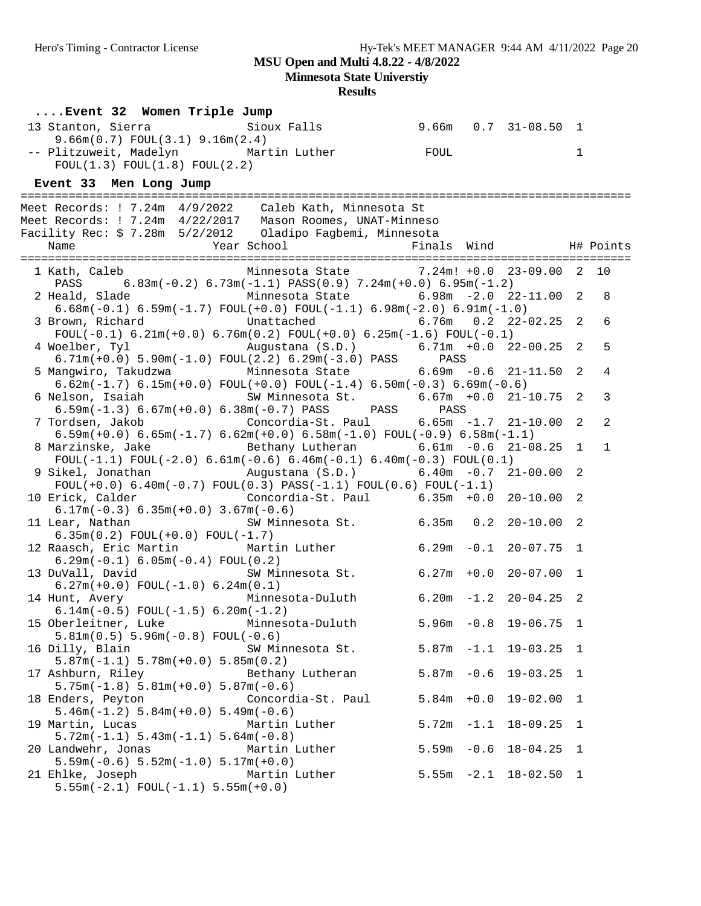**Minnesota State Universtiy**

| Event 32 Women Triple Jump |                                                |                                                                                                                                                   |  |               |                          |             |              |
|----------------------------|------------------------------------------------|---------------------------------------------------------------------------------------------------------------------------------------------------|--|---------------|--------------------------|-------------|--------------|
|                            | 9.66m(0.7) FOUL(3.1) 9.16m(2.4)                | 13 Stanton, Sierra               Sioux Falls           9.66m   0.7   31-08.50   1                                                                 |  |               |                          |             |              |
|                            | FOUL(1.3) FOUL(1.8) FOUL(2.2)                  | -- Plitzuweit, Madelyn Martin Luther FOUL                                                                                                         |  |               |                          | $\mathbf 1$ |              |
|                            |                                                |                                                                                                                                                   |  |               |                          |             |              |
| Event 33 Men Long Jump     |                                                |                                                                                                                                                   |  |               |                          |             |              |
|                            |                                                | Meet Records: ! 7.24m 4/9/2022 Caleb Kath, Minnesota St                                                                                           |  |               |                          |             |              |
|                            |                                                | Meet Records: ! 7.24m 4/22/2017 Mason Roomes, UNAT-Minneso                                                                                        |  |               |                          |             |              |
|                            |                                                |                                                                                                                                                   |  |               |                          |             |              |
|                            |                                                |                                                                                                                                                   |  |               |                          |             |              |
|                            |                                                | 1 Kath, Caleb Minnesota State 7.24m! +0.0 23-09.00 2 10                                                                                           |  |               |                          |             |              |
|                            |                                                | PASS $6.83m(-0.2) 6.73m(-1.1) PASS(0.9) 7.24m(+0.0) 6.95m(-1.2)$<br>2 Heald, Slade           Minnesota State       6.98m -2.0 22-11.00 2          |  |               |                          |             | 8            |
|                            |                                                | $6.68m(-0.1)$ $6.59m(-1.7)$ $FOUT(+0.0)$ $FOUT(-1.1)$ $6.98m(-2.0)$ $6.91m(-1.0)$                                                                 |  |               |                          |             |              |
| 3 Brown, Richard           |                                                | Unattached 6.76m 0.2 22-02.25 2<br>FOUL $(-0.1)$ 6.21m $(+0.0)$ 6.76m $(0.2)$ FOUL $(+0.0)$ 6.25m $(-1.6)$ FOUL $(-0.1)$                          |  |               |                          |             | 6            |
|                            |                                                |                                                                                                                                                   |  |               |                          |             | 5            |
|                            |                                                | 5 Mangwiro, Takudzwa $\qquad$ Minnesota State $\qquad$ 6.69m -0.6 21-11.50 2                                                                      |  |               |                          |             |              |
|                            |                                                | $6.62m(-1.7)$ $6.15m(+0.0)$ $FOUL(+0.0)$ $FOUL(-1.4)$ $6.50m(-0.3)$ $6.69m(-0.6)$                                                                 |  |               |                          |             | 4            |
| 6 Nelson, Isaiah           |                                                | SW Minnesota St. 6.67m +0.0 21-10.75 2                                                                                                            |  |               |                          |             | 3            |
|                            |                                                | 6.59m( $-1.3$ ) 6.67m( $+0.0$ ) 6.38m( $-0.7$ ) PASS PASS PASS<br>7 Tordsen, Jakob (Concordia-St. Paul 6.65m -1.7 21-10.00 2                      |  |               |                          |             | 2            |
|                            |                                                | $6.59m(+0.0)$ $6.65m(-1.7)$ $6.62m(+0.0)$ $6.58m(-1.0)$ $FOUL(-0.9)$ $6.58m(-1.1)$                                                                |  |               |                          |             |              |
|                            |                                                | 8 Marzinske, Jake           Bethany Lutheran         6.61m -0.6 21-08.25 1<br>FOUL(-1.1) FOUL(-2.0) 6.61m(-0.6) 6.46m(-0.1) 6.40m(-0.3) FOUL(0.1) |  |               |                          |             | $\mathbf{1}$ |
|                            |                                                | 9 Sikel, Jonathan           Augustana (S.D.)         6.40m -0.7 21-00.00 2                                                                        |  |               |                          |             |              |
|                            |                                                | $FOUT(+0.0) 6.40m(-0.7) FOUT(0.3) PASS(-1.1) FOUT(0.6) FOUT(-1.1)$                                                                                |  |               |                          |             |              |
|                            | $6.17m(-0.3) 6.35m(+0.0) 3.67m(-0.6)$          | 10 Erick, Calder (Concordia-St. Paul 6.35m +0.0 20-10.00 2                                                                                        |  |               |                          |             |              |
| 11 Lear, Nathan            |                                                | SW Minnesota St. 6.35m 0.2 20-10.00 2                                                                                                             |  |               |                          |             |              |
|                            | $6.35m(0.2) FOUL(+0.0) FOUL(-1.7)$             | 12 Raasch, Eric Martin Martin Luther 6.29m -0.1 20-07.75 1                                                                                        |  |               |                          |             |              |
|                            | $6.29m(-0.1) 6.05m(-0.4) F0UL(0.2)$            |                                                                                                                                                   |  |               |                          |             |              |
|                            | $6.27m(+0.0)$ FOUL $(-1.0)$ 6.24m $(0.1)$      | 13 DuVall, David SW Minnesota St. 6.27m +0.0 20-07.00 1                                                                                           |  |               |                          |             |              |
|                            |                                                | 14 Hunt, Avery Minnesota-Duluth 6.20m -1.2 20-04.25 2                                                                                             |  |               |                          |             |              |
| 15 Oberleitner, Luke       | 6.14m( $-0.5$ ) FOUL( $-1.5$ ) 6.20m( $-1.2$ ) | Minnesota-Duluth                                                                                                                                  |  |               | $5.96m - 0.8$ 19-06.75 1 |             |              |
|                            | $5.81m(0.5) 5.96m(-0.8) FOUL(-0.6)$            |                                                                                                                                                   |  |               |                          |             |              |
| 16 Dilly, Blain            | $5.87m(-1.1) 5.78m(+0.0) 5.85m(0.2)$           | SW Minnesota St.                                                                                                                                  |  |               | $5.87m - 1.1$ 19-03.25 1 |             |              |
| 17 Ashburn, Riley          |                                                | Bethany Lutheran                                                                                                                                  |  | $5.87m - 0.6$ | $19 - 03.25$ 1           |             |              |
|                            | $5.75m(-1.8) 5.81m(+0.0) 5.87m(-0.6)$          |                                                                                                                                                   |  |               |                          |             |              |
| 18 Enders, Peyton          | $5.46m(-1.2) 5.84m(+0.0) 5.49m(-0.6)$          | Concordia-St. Paul                                                                                                                                |  | $5.84m + 0.0$ | $19 - 02.00$ 1           |             |              |
| 19 Martin, Lucas           |                                                | Martin Luther                                                                                                                                     |  |               | $5.72m -1.1$ 18-09.25 1  |             |              |
| 20 Landwehr, Jonas         | $5.72m(-1.1) 5.43m(-1.1) 5.64m(-0.8)$          | Martin Luther                                                                                                                                     |  | $5.59m - 0.6$ | $18 - 04.25$ 1           |             |              |
|                            | $5.59m(-0.6) 5.52m(-1.0) 5.17m(+0.0)$          |                                                                                                                                                   |  |               |                          |             |              |
| 21 Ehlke, Joseph           | $5.55m(-2.1)$ FOUL $(-1.1)$ $5.55m(+0.0)$      | Martin Luther                                                                                                                                     |  |               | $5.55m -2.1$ 18-02.50 1  |             |              |
|                            |                                                |                                                                                                                                                   |  |               |                          |             |              |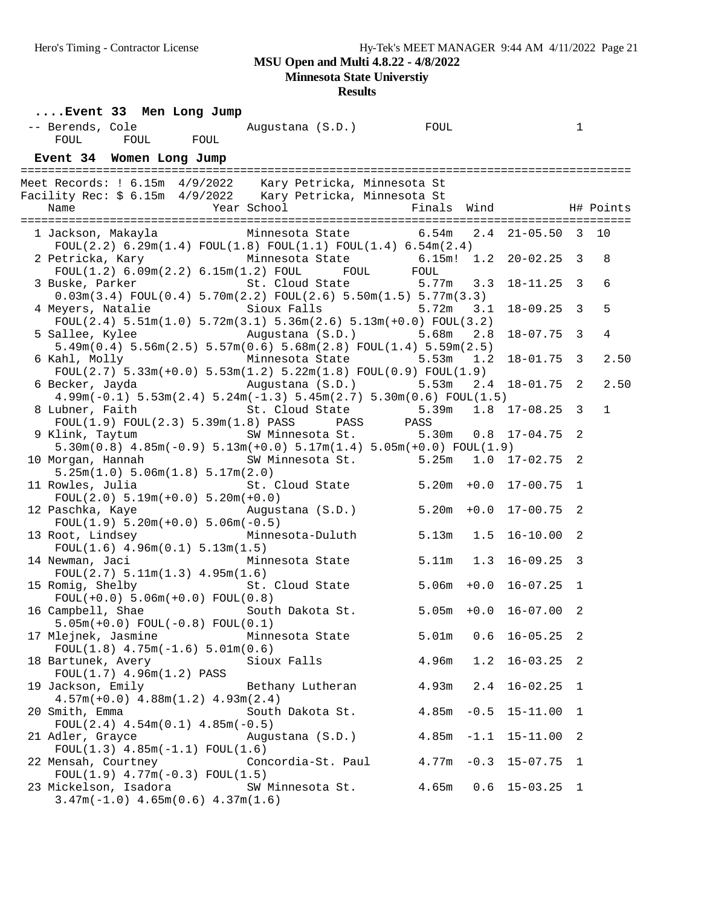**Minnesota State Universtiy**

| Event 33 Men Long Jump                                                                                                                                                 |                                       |                          |                  |                |              |
|------------------------------------------------------------------------------------------------------------------------------------------------------------------------|---------------------------------------|--------------------------|------------------|----------------|--------------|
| -- Berends, Cole                                                                                                                                                       |                                       |                          |                  | $\mathbf 1$    |              |
| FOUL                                                                                                                                                                   |                                       |                          |                  |                |              |
| Event 34 Women Long Jump                                                                                                                                               |                                       |                          |                  |                |              |
|                                                                                                                                                                        |                                       |                          |                  |                |              |
| Meet Records: ! 6.15m 4/9/2022 Kary Petricka, Minnesota St<br>Facility Rec: \$ 6.15m 4/9/2022 Kary Petricka, Minnesota St                                              |                                       |                          |                  |                |              |
|                                                                                                                                                                        |                                       |                          |                  |                |              |
|                                                                                                                                                                        |                                       |                          |                  |                |              |
| 1 Jackson, Makayla         Minnesota State         6.54m   2.4   21-05.50   3   10                                                                                     |                                       |                          |                  |                |              |
| $FOUT(2.2) 6.29m(1.4) FOUT(1.8) FOUT(1.1) FOUT(1.4) 6.54m(2.4)$                                                                                                        |                                       |                          |                  |                |              |
|                                                                                                                                                                        |                                       |                          | $1.2$ 20-02.25 3 |                | 8            |
|                                                                                                                                                                        |                                       |                          |                  |                |              |
| 2 Petricka, Kary Minnesota State 6.15m! 1.2<br>FOUL(1.2) 6.09m(2.2) 6.15m(1.2) FOUL FOUL FOUL 5 Buske, Parker St. Cloud State 5.77m 3.3                                |                                       |                          | $18 - 11.25$ 3   |                | 6            |
| $0.03m(3.4) FOUL(0.4) 5.70m(2.2) FOUL(2.6) 5.50m(1.5) 5.77m(3.3)$                                                                                                      |                                       |                          |                  |                |              |
| 4 Meyers, Natalie                                                                                                                                                      | Sioux Falls 5.72m                     | 3.1                      | $18 - 09.25$ 3   |                | 5            |
| $FOUL(2.4)$ 5.51m(1.0) 5.72m(3.1) 5.36m(2.6) 5.13m(+0.0) $FOUL(3.2)$                                                                                                   |                                       |                          |                  |                |              |
| 5 Sallee, Kylee Augustana (S.D.)                                                                                                                                       |                                       | 5.68m<br>2.8             | $18 - 07.75$ 3   |                | 4            |
| $5.49$ m $(0.4)$ $5.56$ m $(2.5)$ $5.57$ m $(0.6)$ $5.68$ m $(2.8)$ FOUL $(1.4)$ $5.59$ m $(2.5)$                                                                      |                                       |                          |                  |                |              |
| 6 Kahl, Molly 6 Minnesota State 5.53m 1.2                                                                                                                              |                                       |                          | $18 - 01.75$ 3   |                | 2.50         |
| $FOUL(2.7)$ 5.33m(+0.0) 5.53m(1.2) 5.22m(1.8) $FOUL(0.9)$ $FOUL(1.9)$                                                                                                  |                                       |                          |                  |                |              |
| 6 Becker, Jayda                                                                                                                                                        | Augustana (S.D.) 5.53m                |                          | $2.4$ 18-01.75 2 |                | 2.50         |
| $4.99m(-0.1)$ 5.53 $m(2.4)$ 5.24 $m(-1.3)$ 5.45 $m(2.7)$ 5.30 $m(0.6)$ FOUL $(1.5)$                                                                                    |                                       |                          |                  |                |              |
| 8 Lubner, Faith 5.39m St. Cloud State 5.39m 1.8 17-08.25 3<br>FOUL(1.9) FOUL(2.3) 5.39m(1.8) PASS PASS PASS PASS 9 Klink, Taytum SW Minnesota St. 5.30m 0.8 17-04.75 2 |                                       |                          |                  |                | $\mathbf{1}$ |
|                                                                                                                                                                        |                                       |                          |                  |                |              |
|                                                                                                                                                                        |                                       |                          |                  |                |              |
| $5.30m(0.8)$ $4.85m(-0.9)$ $5.13m(+0.0)$ $5.17m(1.4)$ $5.05m(+0.0)$ $FOUL(1.9)$                                                                                        |                                       |                          |                  |                |              |
| 10 Morgan, Hannah<br>5.25m(1.0) 5.06m(1.8) 5.17m(2.0)                                                                                                                  | SW Minnesota St. 5.25m 1.0 17-02.75 2 |                          |                  |                |              |
| 11 Rowles, Julia                                                                                                                                                       | St. Cloud State 5.20m +0.0 17-00.75 1 |                          |                  |                |              |
| $FOUL(2.0) 5.19m(+0.0) 5.20m(+0.0)$                                                                                                                                    |                                       |                          |                  |                |              |
| 12 Paschka, Kaye                                                                                                                                                       | Augustana $(S.D.)$ 5.20m +0.0         |                          | $17 - 00.75$ 2   |                |              |
| $FOUL(1.9) 5.20m(+0.0) 5.06m(-0.5)$                                                                                                                                    |                                       |                          |                  |                |              |
| 13 Root, Lindsey                                                                                                                                                       | Minnesota-Duluth                      | $5.13m$ $1.5$            | $16 - 10.00$ 2   |                |              |
| $FOUL(1.6)$ 4.96m $(0.1)$ 5.13m $(1.5)$                                                                                                                                |                                       |                          |                  |                |              |
| 14 Newman, Jaci         Minnesota State       5.11m   1.3   16-09.25   3                                                                                               |                                       |                          |                  |                |              |
| FOUL(2.7) 5.11m(1.3) 4.95m(1.6)                                                                                                                                        |                                       |                          |                  |                |              |
| 15 Romig, Shelby                                                                                                                                                       | St. Cloud State 5.06m +0.0            |                          | $16 - 07.25$ 1   |                |              |
| $FOUL(+0.0) 5.06m(+0.0) FOUL(0.8)$                                                                                                                                     |                                       |                          |                  |                |              |
|                                                                                                                                                                        |                                       | $5.05m + 0.0 16-07.00 2$ |                  |                |              |
| 16 Campbell, Shae South Dakota St.<br>5.05m(+0.0) FOUL(-0.8) FOUL(0.1)                                                                                                 |                                       |                          |                  |                |              |
| 17 Mlejnek, Jasmine                                                                                                                                                    | Minnesota State                       | 5.01m                    | $0.6$ 16-05.25 2 |                |              |
| $FOUL(1.8)$ 4.75m( $-1.6$ ) 5.01m(0.6)                                                                                                                                 |                                       |                          |                  |                |              |
| 18 Bartunek, Avery                                                                                                                                                     | Sioux Falls                           | 4.96m<br>1.2             | $16 - 03.25$ 2   |                |              |
| FOUL(1.7) 4.96m(1.2) PASS                                                                                                                                              |                                       |                          |                  |                |              |
| 19 Jackson, Emily                                                                                                                                                      | Bethany Lutheran                      | 4.93m<br>2.4             | $16 - 02.25$ 1   |                |              |
| $4.57m(+0.0)$ $4.88m(1.2)$ $4.93m(2.4)$                                                                                                                                |                                       |                          |                  |                |              |
| 20 Smith, Emma                                                                                                                                                         | South Dakota St.                      | 4.85m<br>$-0.5$          | $15 - 11.00$ 1   |                |              |
| $FOUL(2.4)$ 4.54m $(0.1)$ 4.85m $(-0.5)$                                                                                                                               |                                       |                          |                  |                |              |
| 21 Adler, Grayce                                                                                                                                                       | Augustana (S.D.)                      | $4.85m -1.1$ 15-11.00    |                  | $\overline{2}$ |              |
| $FOUL(1.3)$ 4.85m( $-1.1$ ) $FOUL(1.6)$                                                                                                                                |                                       |                          |                  |                |              |
| 22 Mensah, Courtney                                                                                                                                                    | Concordia-St. Paul                    | $4.77m - 0.3$            | $15 - 07.75$     | 1              |              |
| $FOUL(1.9)$ 4.77m(-0.3) $FOUL(1.5)$                                                                                                                                    |                                       |                          |                  |                |              |
| 23 Mickelson, Isadora                                                                                                                                                  | SW Minnesota St.                      | 4.65m<br>0.6             | $15 - 03.25$ 1   |                |              |
| $3.47m(-1.0)$ 4.65 $m(0.6)$ 4.37 $m(1.6)$                                                                                                                              |                                       |                          |                  |                |              |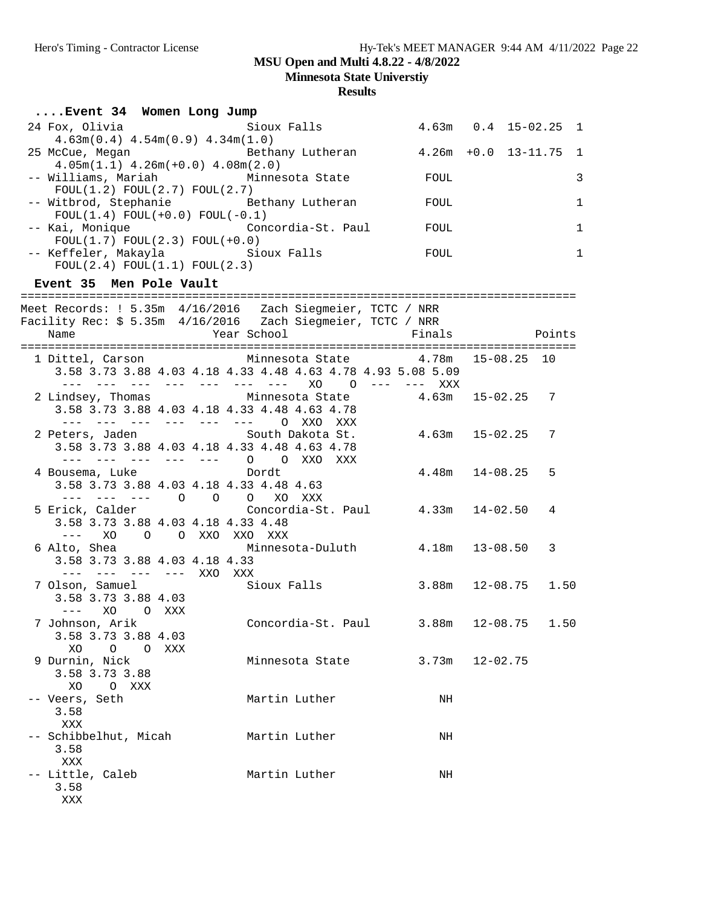**Minnesota State Universtiy**

| Event 34 Women Long Jump                                                                                                                                                                                                                                                                                                                                                                                                                                                    |                                                                                                             |                            |                  |        |              |
|-----------------------------------------------------------------------------------------------------------------------------------------------------------------------------------------------------------------------------------------------------------------------------------------------------------------------------------------------------------------------------------------------------------------------------------------------------------------------------|-------------------------------------------------------------------------------------------------------------|----------------------------|------------------|--------|--------------|
| 24 Fox, Olivia<br>$4.63m(0.4)$ $4.54m(0.9)$ $4.34m(1.0)$                                                                                                                                                                                                                                                                                                                                                                                                                    | Sioux Falls                                                                                                 | $4.63m$ $0.4$ $15-02.25$ 1 |                  |        |              |
| 25 McCue, Megan Moreover Bethany Lutheran Muslem 4.26m +0.0 13-11.75 1<br>$4.05m(1.1)$ $4.26m(+0.0)$ $4.08m(2.0)$                                                                                                                                                                                                                                                                                                                                                           |                                                                                                             |                            |                  |        |              |
| -- Williams, Mariah           Minnesota State         FOUL<br>FOUL(1.2) FOUL(2.7) FOUL(2.7)                                                                                                                                                                                                                                                                                                                                                                                 |                                                                                                             |                            |                  |        | 3            |
| -- Witbrod, Stephanie Mathany Lutheran<br>$FOUL(1.4) FOUL(+0.0) FOUL(-0.1)$                                                                                                                                                                                                                                                                                                                                                                                                 |                                                                                                             | FOUL                       |                  |        | $\mathbf{1}$ |
| -- Kai, Monique (Concordia-St. Paul FOUL)<br>$FOUL(1.7) FOUL(2.3) FOUL(+0.0)$                                                                                                                                                                                                                                                                                                                                                                                               |                                                                                                             |                            |                  |        | $\mathbf{1}$ |
| -- Keffeler, Makayla         Sioux Falls<br>FOUL(2.4) FOUL(1.1) FOUL(2.3)                                                                                                                                                                                                                                                                                                                                                                                                   | <b>EXECUTE TO THE EXECUT</b>                                                                                |                            |                  |        | $\mathbf{1}$ |
| Event 35 Men Pole Vault                                                                                                                                                                                                                                                                                                                                                                                                                                                     |                                                                                                             |                            |                  |        |              |
| Meet Records: ! 5.35m 4/16/2016  Zach Siegmeier, TCTC / NRR                                                                                                                                                                                                                                                                                                                                                                                                                 |                                                                                                             |                            |                  |        |              |
| Year School<br>Name                                                                                                                                                                                                                                                                                                                                                                                                                                                         |                                                                                                             | Finals                     |                  | Points |              |
| 1 Dittel, Carson Minnesota State 4.78m 15-08.25 10                                                                                                                                                                                                                                                                                                                                                                                                                          | 3.58 3.73 3.88 4.03 4.18 4.33 4.48 4.63 4.78 4.93 5.08 5.09<br>--- --- --- --- --- --- --- XO 0 --- --- XXX |                            |                  |        |              |
| 2 Lindsey, Thomas Minnesota State 4.63m 15-02.25 7<br>3.58 3.73 3.88 4.03 4.18 4.33 4.48 4.63 4.78<br>--- --- --- --- --- --- 0 XXO XXX                                                                                                                                                                                                                                                                                                                                     |                                                                                                             |                            |                  |        |              |
| 2 Peters, Jaden South Dakota St.<br>3.58 3.73 3.88 4.03 4.18 4.33 4.48 4.63 4.78<br>--- --- --- --- --- 0 0 XXO XXX                                                                                                                                                                                                                                                                                                                                                         |                                                                                                             | $4.63m$ $15-02.25$ 7       |                  |        |              |
| 4 Bousema, Luke bordt<br>3.58 3.73 3.88 4.03 4.18 4.33 4.48 4.63<br>--- --- --- 0 0 0 XO XXX                                                                                                                                                                                                                                                                                                                                                                                |                                                                                                             |                            | 4.48m 14-08.25 5 |        |              |
| 5 Erick, Calder<br>3.58 3.73 3.88 4.03 4.18 4.33 4.48<br>XO O O XXO XXO XXX<br>$\frac{1}{2} \frac{1}{2} \frac{1}{2} \frac{1}{2} \frac{1}{2} \frac{1}{2} \frac{1}{2} \frac{1}{2} \frac{1}{2} \frac{1}{2} \frac{1}{2} \frac{1}{2} \frac{1}{2} \frac{1}{2} \frac{1}{2} \frac{1}{2} \frac{1}{2} \frac{1}{2} \frac{1}{2} \frac{1}{2} \frac{1}{2} \frac{1}{2} \frac{1}{2} \frac{1}{2} \frac{1}{2} \frac{1}{2} \frac{1}{2} \frac{1}{2} \frac{1}{2} \frac{1}{2} \frac{1}{2} \frac{$ | Concordia-St. Paul 4.33m 14-02.50                                                                           |                            |                  | 4      |              |
| 6 Alto, Shea<br>3.58 3.73 3.88 4.03 4.18 4.33<br>--- --- --- --- XXO XXX                                                                                                                                                                                                                                                                                                                                                                                                    | Minnesota-Duluth 4.18m 13-08.50                                                                             |                            |                  | 3      |              |
| 7 Olson, Samuel<br>3 50 3 72 3 80 4 03<br>3.58 3.73 3.88 4.03                                                                                                                                                                                                                                                                                                                                                                                                               | Sioux Falls 3.88m 12-08.75 1.50                                                                             |                            |                  |        |              |
| 7 Johnson, Arik<br>3.58 3.73 3.88 4.03<br>XO<br>0<br>$\circ$<br>XXX                                                                                                                                                                                                                                                                                                                                                                                                         | Concordia-St. Paul                                                                                          | 3.88m                      | $12 - 08.75$     | 1.50   |              |
| 9 Durnin, Nick<br>3.58 3.73 3.88<br>XO<br>O XXX                                                                                                                                                                                                                                                                                                                                                                                                                             | Minnesota State                                                                                             | 3.73m                      | $12 - 02.75$     |        |              |
| -- Veers, Seth<br>3.58<br>XXX                                                                                                                                                                                                                                                                                                                                                                                                                                               | Martin Luther                                                                                               | NH                         |                  |        |              |
| -- Schibbelhut, Micah<br>3.58<br>XXX                                                                                                                                                                                                                                                                                                                                                                                                                                        | Martin Luther                                                                                               | NH                         |                  |        |              |
| -- Little, Caleb<br>3.58<br>XXX                                                                                                                                                                                                                                                                                                                                                                                                                                             | Martin Luther                                                                                               | NH                         |                  |        |              |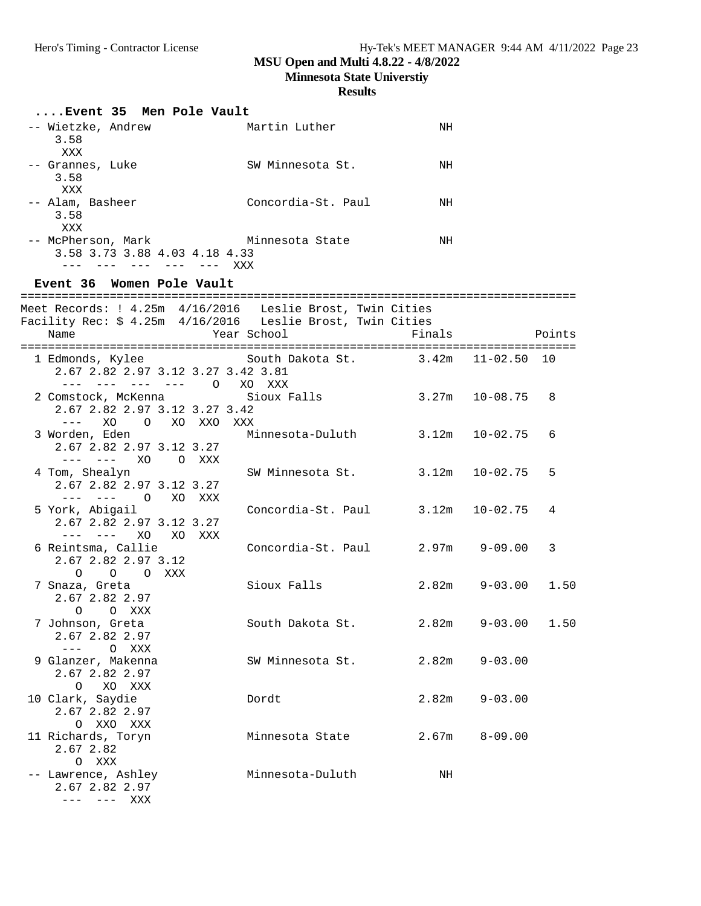**Minnesota State Universtiy**

| Event 35 Men Pole Vault                                                                                                         |                                       |        |                      |        |
|---------------------------------------------------------------------------------------------------------------------------------|---------------------------------------|--------|----------------------|--------|
| -- Wietzke, Andrew<br>3.58<br>XXX                                                                                               | Martin Luther                         | ΝH     |                      |        |
| -- Grannes, Luke<br>3.58<br>XXX                                                                                                 | SW Minnesota St.                      | NH     |                      |        |
| -- Alam, Basheer<br>3.58<br>XXX                                                                                                 | Concordia-St. Paul                    | NH     |                      |        |
| -- McPherson, Mark Minnesota State<br>3.58 3.73 3.88 4.03 4.18 4.33<br>--- --- --- --- --- XXX<br>Event 36 Women Pole Vault     |                                       | NH     |                      |        |
|                                                                                                                                 |                                       |        |                      |        |
| Meet Records: ! 4.25m 4/16/2016 Leslie Brost, Twin Cities<br>Facility Rec: \$ 4.25m 4/16/2016 Leslie Brost, Twin Cities<br>Name | Year School                           | Finals |                      | Points |
|                                                                                                                                 |                                       |        |                      |        |
| 1 Edmonds, Kylee<br>2.67 2.82 2.97 3.12 3.27 3.42 3.81<br>--- --- --- --- 0 XO XXX                                              | South Dakota St. 3.42m 11-02.50 10    |        |                      |        |
| 2 Comstock, McKenna<br>2.67 2.82 2.97 3.12 3.27 3.42<br>$---XO$<br>O XO XXO<br>XXX                                              | Sioux Falls                           |        | $3.27m$ $10-08.75$ 8 |        |
| 3 Worden, Eden<br>2.67 2.82 2.97 3.12 3.27<br>--- --- XO O XXX                                                                  | Minnesota-Duluth 3.12m 10-02.75       |        |                      | 6      |
| 4 Tom, Shealyn<br>2.67 2.82 2.97 3.12 3.27<br>$-- ---$ 0<br>XO XXX                                                              | SW Minnesota St.                      |        | 3.12m 10-02.75       | 5      |
| 5 York, Abigail<br>2.67 2.82 2.97 3.12 3.27<br>--- --- XO XO XXX                                                                | Concordia-St. Paul $3.12m$ $10-02.75$ |        |                      | 4      |
| 6 Reintsma, Callie<br>2.67 2.82 2.97 3.12<br>O O XXX                                                                            | Concordia-St. Paul                    |        | $2.97m$ $9-09.00$    | 3      |
| $\circ$<br>7 Snaza, Greta<br>2.67 2.82 2.97<br>$\circ$<br>O XXX                                                                 | Sioux Falls                           | 2.82m  | $9 - 03.00$ 1.50     |        |
| 7 Johnson, Greta<br>2.67 2.82 2.97<br>$\frac{1}{2}$                                                                             | South Dakota St.                      | 2.82m  | $9 - 03.00$          | 1.50   |
| O XXX<br>9 Glanzer, Makenna<br>2.67 2.82 2.97<br>$\circ$<br>XO XXX                                                              | SW Minnesota St.                      | 2.82m  | $9 - 03.00$          |        |
| 10 Clark, Saydie<br>2.67 2.82 2.97<br>O XXO XXX                                                                                 | Dordt                                 | 2.82m  | $9 - 03.00$          |        |
| 11 Richards, Toryn<br>2.67 2.82<br>O XXX                                                                                        | Minnesota State                       | 2.67m  | $8 - 09.00$          |        |
| -- Lawrence, Ashley<br>2.67 2.82 2.97<br>--- --- XXX                                                                            | Minnesota-Duluth                      | NH     |                      |        |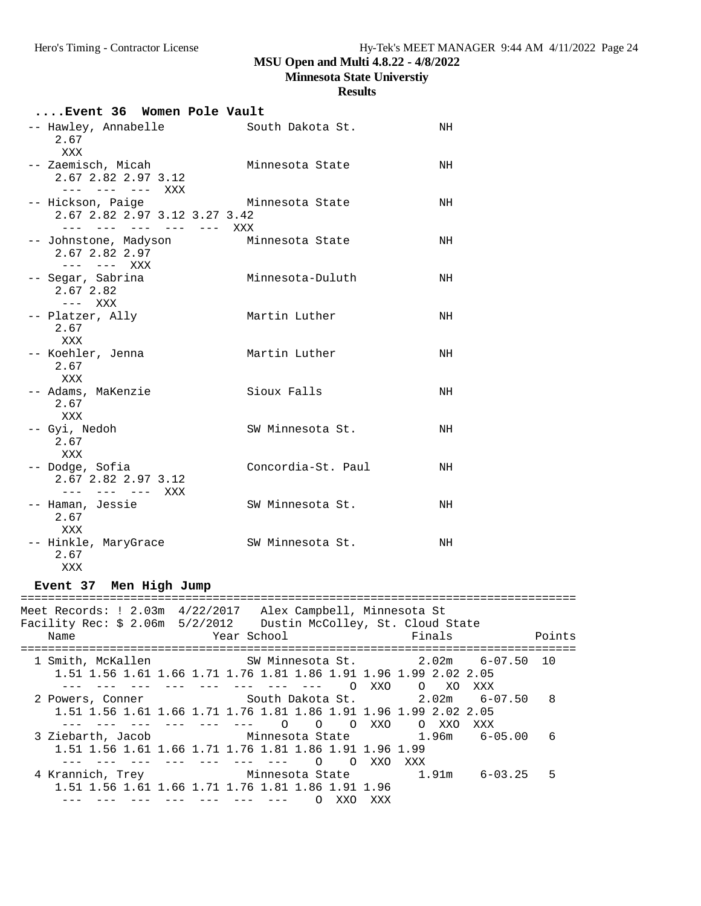#### **Results**

| Event 36 Women Pole Vault                                                     |                    |    |
|-------------------------------------------------------------------------------|--------------------|----|
| -- Hawley, Annabelle<br>2.67<br>XXX                                           | South Dakota St.   | NH |
| -- Zaemisch, Micah<br>2.67 2.82 2.97 3.12<br>$--- - --- - --- -$              | Minnesota State    | NH |
| -- Hickson, Paige<br>2.67 2.82 2.97 3.12 3.27 3.42<br>--- --- --- --- --- XXX | Minnesota State    | NH |
| -- Johnstone, Madyson<br>2.67 2.82 2.97<br>$-- ---$ XXX                       | Minnesota State    | NH |
| -- Segar, Sabrina<br>2.67 2.82<br>$---$ XXX                                   | Minnesota-Duluth   | NH |
| -- Platzer, Ally<br>2.67<br>XXX                                               | Martin Luther      | NH |
| -- Koehler, Jenna<br>2.67<br>XXX                                              | Martin Luther      | NH |
| -- Adams, MaKenzie<br>2.67<br>XXX                                             | Sioux Falls        | NH |
| -- Gyi, Nedoh<br>2.67<br>XXX                                                  | SW Minnesota St.   | NH |
| -- Dodge, Sofia<br>2.67 2.82 2.97 3.12<br>$--- - --- - --- XXX$               | Concordia-St. Paul | NH |
| -- Haman, Jessie<br>2.67<br>XXX                                               | SW Minnesota St.   | NH |
| -- Hinkle, MaryGrace<br>2.67<br>XXX                                           | SW Minnesota St.   | NH |

**Event 37 Men High Jump**

================================================================================= Meet Records: ! 2.03m 4/22/2017 Alex Campbell, Minnesota St Facility Rec: \$ 2.06m 5/2/2012 Dustin McColley, St. Cloud State Name **Name** Year School Finals Points ================================================================================= 1 Smith, McKallen SW Minnesota St. 2.02m 6-07.50 10 1.51 1.56 1.61 1.66 1.71 1.76 1.81 1.86 1.91 1.96 1.99 2.02 2.05 --- --- --- --- --- --- --- --- --- 0 XXO 0 XO XXX<br>--- --- --- --- --- --- --- 0 XXO 0 XO XXX 2 Powers, Conner South Dakota St. 2.02m 6-07.50 8 1.51 1.56 1.61 1.66 1.71 1.76 1.81 1.86 1.91 1.96 1.99 2.02 2.05 --- --- --- --- --- --- O O O XXO O XXO XXX 3 Ziebarth, Jacob Minnesota State 1.96m 6-05.00 6 1.51 1.56 1.61 1.66 1.71 1.76 1.81 1.86 1.91 1.96 1.99 --- --- --- --- --- --- --- O O XXO XXX Minnesota State 1.91m 6-03.25 5 1.51 1.56 1.61 1.66 1.71 1.76 1.81 1.86 1.91 1.96 --- --- --- --- --- --- --- O XXO XXX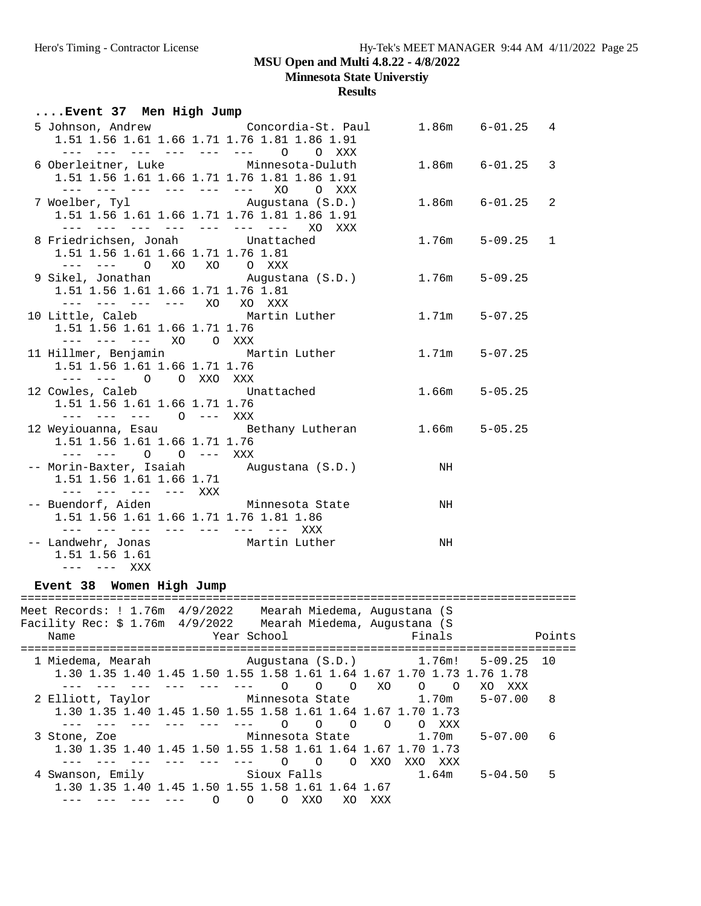**Minnesota State Universtiy**

**Results**

## **....Event 37 Men High Jump**

|                                                                   | 5 Johnson, Andrew Concordia-St. Paul                                   |    | $1.86m$ $6-01.25$ 4 |                |
|-------------------------------------------------------------------|------------------------------------------------------------------------|----|---------------------|----------------|
| 1.51 1.56 1.61 1.66 1.71 1.76 1.81 1.86 1.91                      |                                                                        |    |                     |                |
| --- --- --- --- --- --- 0<br>6 Oberleitner, Luke Minnesota-Duluth | O XXX                                                                  |    | 1.86m 6-01.25 3     |                |
| 1.51 1.56 1.61 1.66 1.71 1.76 1.81 1.86 1.91                      |                                                                        |    |                     |                |
|                                                                   | --- --- --- --- --- --- XO O XXX                                       |    |                     |                |
| 7 Woelber, Tyl Mugustana (S.D.)                                   |                                                                        |    | $1.86m$ $6-01.25$   | $\overline{2}$ |
| 1.51 1.56 1.61 1.66 1.71 1.76 1.81 1.86 1.91                      |                                                                        |    |                     |                |
|                                                                   | --- --- --- --- --- --- --- XO XXX                                     |    |                     |                |
| 8 Friedrichsen, Jonah Unattached                                  |                                                                        |    | $1.76m$ $5-09.25$ 1 |                |
| 1.51 1.56 1.61 1.66 1.71 1.76 1.81                                |                                                                        |    |                     |                |
| --- --- 0 XO XO 0 XXX                                             |                                                                        |    |                     |                |
|                                                                   | 9 Sikel, Jonathan           Augustana (S.D.)         1.76m     5-09.25 |    |                     |                |
| 1.51 1.56 1.61 1.66 1.71 1.76 1.81                                |                                                                        |    |                     |                |
| --- --- --- --- XO XO XXX                                         |                                                                        |    |                     |                |
|                                                                   | 10 Little, Caleb Martin Luther 1.71m 5-07.25                           |    |                     |                |
| 1.51 1.56 1.61 1.66 1.71 1.76                                     |                                                                        |    |                     |                |
| --- --- --- XO O XXX                                              |                                                                        |    |                     |                |
|                                                                   | 11 Hillmer, Benjamin Martin Luther                                     |    | $1.71m$ $5-07.25$   |                |
| 1.51 1.56 1.61 1.66 1.71 1.76                                     |                                                                        |    |                     |                |
| --- --- O O XXO XXX                                               |                                                                        |    |                     |                |
|                                                                   | 12 Cowles, Caleb Chattached 1.66m 5-05.25                              |    |                     |                |
| 1.51 1.56 1.61 1.66 1.71 1.76                                     |                                                                        |    |                     |                |
| --- --- --- 0 --- XXX                                             |                                                                        |    |                     |                |
|                                                                   | 12 Weyiouanna, Esau an Bethany Lutheran                                |    | $1.66m$ $5-05.25$   |                |
| 1.51 1.56 1.61 1.66 1.71 1.76                                     |                                                                        |    |                     |                |
| --- --- 0 0 --- XXX                                               |                                                                        |    |                     |                |
| 1.51 1.56 1.61 1.66 1.71                                          | -- Morin-Baxter, Isaiah     Augustana (S.D.)                           | NH |                     |                |
| --- --- --- --- XXX                                               |                                                                        |    |                     |                |
| -- Buendorf, Aiden Minnesota State                                |                                                                        | NH |                     |                |
| 1.51 1.56 1.61 1.66 1.71 1.76 1.81 1.86                           |                                                                        |    |                     |                |
| --- --- --- --- --- --- --- XXX                                   |                                                                        |    |                     |                |
| -- Landwehr, Jonas Martin Luther                                  |                                                                        | NH |                     |                |
| 1.51 1.56 1.61                                                    |                                                                        |    |                     |                |
| --- --- XXX                                                       |                                                                        |    |                     |                |

#### **Event 38 Women High Jump**

================================================================================= Meet Records: ! 1.76m 4/9/2022 Mearah Miedema, Augustana (S Facility Rec: \$ 1.76m 4/9/2022 Mearah Miedema, Augustana (S Name **Name** Year School **Finals** Points ================================================================================= 1 Miedema, Mearah Augustana (S.D.) 1.76m! 5-09.25 10 1.30 1.35 1.40 1.45 1.50 1.55 1.58 1.61 1.64 1.67 1.70 1.73 1.76 1.78 --- --- --- --- --- --- O O O XO O O XO XXX 2 Elliott, Taylor Minnesota State 1.70m 5-07.00 8 1.30 1.35 1.40 1.45 1.50 1.55 1.58 1.61 1.64 1.67 1.70 1.73 --- --- --- --- --- --- O O O O O XXX 3 Stone, Zoe Minnesota State 1.70m 5-07.00 6 1.30 1.35 1.40 1.45 1.50 1.55 1.58 1.61 1.64 1.67 1.70 1.73 --- --- --- --- --- --- O O O XXO XXO XXX 4 Swanson, Emily Sioux Falls 1.30 1.35 1.40 1.45 1.50 1.55 1.58 1.61 1.64 1.67 --- --- --- --- 0 0 0 XXO XO XXX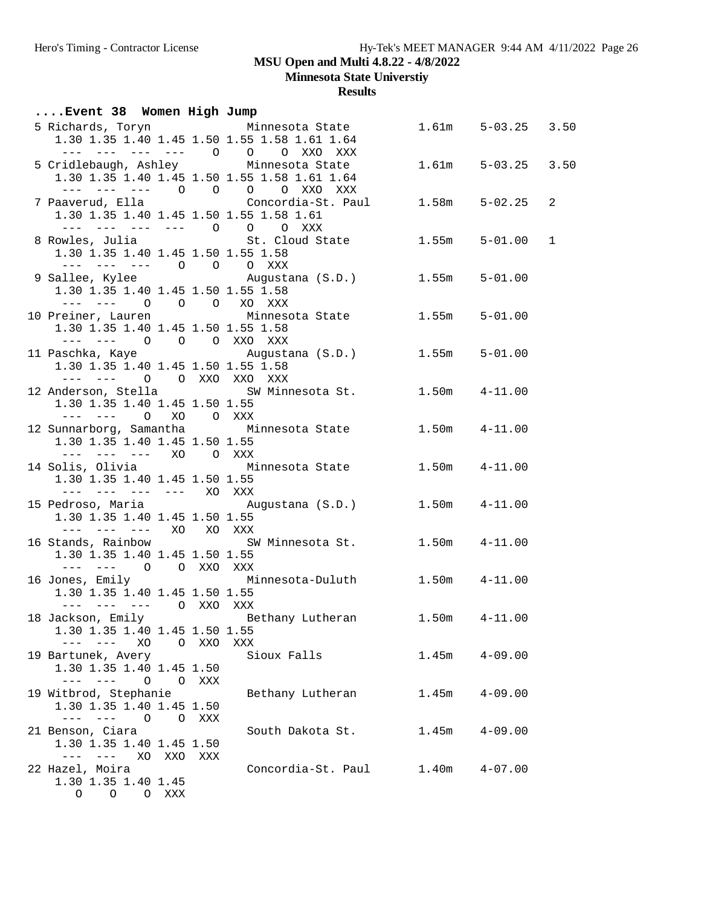**Minnesota State Universtiy**

| Event 38 Women High Jump                                                                                                                                                                                                                                                                                                                                                                                       |       |                                                                                  |       |                    |              |
|----------------------------------------------------------------------------------------------------------------------------------------------------------------------------------------------------------------------------------------------------------------------------------------------------------------------------------------------------------------------------------------------------------------|-------|----------------------------------------------------------------------------------|-------|--------------------|--------------|
|                                                                                                                                                                                                                                                                                                                                                                                                                |       | 5 Richards, Toryn Minnesota State                                                |       | 1.61m 5-03.25 3.50 |              |
|                                                                                                                                                                                                                                                                                                                                                                                                                |       | 1.30 1.35 1.40 1.45 1.50 1.55 1.58 1.61 1.64                                     |       |                    |              |
|                                                                                                                                                                                                                                                                                                                                                                                                                |       | --- --- --- --- 0 0 0 XXO XXX                                                    |       |                    |              |
| 5 Cridlebaugh, Ashley Minnesota State                                                                                                                                                                                                                                                                                                                                                                          |       |                                                                                  |       | 1.61m 5-03.25 3.50 |              |
|                                                                                                                                                                                                                                                                                                                                                                                                                |       | 1.30 1.35 1.40 1.45 1.50 1.55 1.58 1.61 1.64                                     |       |                    |              |
|                                                                                                                                                                                                                                                                                                                                                                                                                |       | --- --- --- 0 0 0 0 XXO XXX                                                      |       |                    |              |
|                                                                                                                                                                                                                                                                                                                                                                                                                |       | 7 Paaverud, Ella                      Concordia-St. Paul        1.58m    5-02.25 |       |                    | 2            |
| 1.30 1.35 1.40 1.45 1.50 1.55 1.58 1.61                                                                                                                                                                                                                                                                                                                                                                        |       |                                                                                  |       |                    |              |
| --- --- --- --- 0 0 0 XXX                                                                                                                                                                                                                                                                                                                                                                                      |       |                                                                                  |       |                    |              |
|                                                                                                                                                                                                                                                                                                                                                                                                                |       | 8 Rowles, Julia (St. Cloud State 1.55m 5-01.00                                   |       |                    | $\mathbf{1}$ |
| 1.30 1.35 1.40 1.45 1.50 1.55 1.58                                                                                                                                                                                                                                                                                                                                                                             |       |                                                                                  |       |                    |              |
| --- --- --- 0 0 0 XXX                                                                                                                                                                                                                                                                                                                                                                                          |       |                                                                                  |       |                    |              |
|                                                                                                                                                                                                                                                                                                                                                                                                                |       | 9 Sallee, Kylee Mugustana (S.D.) 1.55m 5-01.00                                   |       |                    |              |
| 1.30 1.35 1.40 1.45 1.50 1.55 1.58                                                                                                                                                                                                                                                                                                                                                                             |       |                                                                                  |       |                    |              |
| --- --- 0 0 0 XO XXX                                                                                                                                                                                                                                                                                                                                                                                           |       |                                                                                  |       |                    |              |
|                                                                                                                                                                                                                                                                                                                                                                                                                |       | 10 Preiner, Lauren           Minnesota State           1.55m                     |       | $5 - 01.00$        |              |
| 1.30 1.35 1.40 1.45 1.50 1.55 1.58                                                                                                                                                                                                                                                                                                                                                                             |       |                                                                                  |       |                    |              |
| --- --- 0 0 0 XXO XXX                                                                                                                                                                                                                                                                                                                                                                                          |       |                                                                                  |       |                    |              |
|                                                                                                                                                                                                                                                                                                                                                                                                                |       | 11 Paschka, Kaye (S.D.) 1.55m 5-01.00                                            |       |                    |              |
| 1.30 1.35 1.40 1.45 1.50 1.55 1.58                                                                                                                                                                                                                                                                                                                                                                             |       |                                                                                  |       |                    |              |
| --- --- 0 0 XXO XXO XXX                                                                                                                                                                                                                                                                                                                                                                                        |       |                                                                                  |       |                    |              |
|                                                                                                                                                                                                                                                                                                                                                                                                                |       | 12 Anderson, Stella (SW Minnesota St. 1.50m 4-11.00)                             |       |                    |              |
| 1.30 1.35 1.40 1.45 1.50 1.55                                                                                                                                                                                                                                                                                                                                                                                  |       |                                                                                  |       |                    |              |
| --- --- O XO O XXX                                                                                                                                                                                                                                                                                                                                                                                             |       |                                                                                  |       |                    |              |
|                                                                                                                                                                                                                                                                                                                                                                                                                |       | 12 Sunnarborg, Samantha Minnesota State 1.50m 4-11.00                            |       |                    |              |
| 1.30 1.35 1.40 1.45 1.50 1.55                                                                                                                                                                                                                                                                                                                                                                                  |       |                                                                                  |       |                    |              |
| --- --- --- XO OXXX                                                                                                                                                                                                                                                                                                                                                                                            |       |                                                                                  |       |                    |              |
|                                                                                                                                                                                                                                                                                                                                                                                                                |       | 14 Solis, Olivia             Minnesota State         1.50m     4-11.00           |       |                    |              |
| 1.30 1.35 1.40 1.45 1.50 1.55                                                                                                                                                                                                                                                                                                                                                                                  |       |                                                                                  |       |                    |              |
| --- --- --- --- XO XXX                                                                                                                                                                                                                                                                                                                                                                                         |       |                                                                                  |       |                    |              |
|                                                                                                                                                                                                                                                                                                                                                                                                                |       | 15 Pedroso, Maria (S.D.) 1.50m 4-11.00                                           |       |                    |              |
| 1.30 1.35 1.40 1.45 1.50 1.55<br>--- --- --- XO XO XXX                                                                                                                                                                                                                                                                                                                                                         |       |                                                                                  |       |                    |              |
|                                                                                                                                                                                                                                                                                                                                                                                                                |       | 16 Stands, Rainbow 5W Minnesota St. 1.50m 4-11.00                                |       |                    |              |
| 1.30 1.35 1.40 1.45 1.50 1.55                                                                                                                                                                                                                                                                                                                                                                                  |       |                                                                                  |       |                    |              |
| --- --- O O XXO XXX                                                                                                                                                                                                                                                                                                                                                                                            |       |                                                                                  |       |                    |              |
|                                                                                                                                                                                                                                                                                                                                                                                                                |       | 16 Jones, Emily Minnesota-Duluth 1.50m 4-11.00                                   |       |                    |              |
| 1.30 1.35 1.40 1.45 1.50 1.55                                                                                                                                                                                                                                                                                                                                                                                  |       |                                                                                  |       |                    |              |
| --- --- --- 0 XXO XXX                                                                                                                                                                                                                                                                                                                                                                                          |       |                                                                                  |       |                    |              |
| 18 Jackson, Emily                                                                                                                                                                                                                                                                                                                                                                                              |       | Bethany Lutheran                                                                 | 1.50m | $4 - 11.00$        |              |
| 1.30 1.35 1.40 1.45 1.50 1.55                                                                                                                                                                                                                                                                                                                                                                                  |       |                                                                                  |       |                    |              |
| $- - -$<br>XO                                                                                                                                                                                                                                                                                                                                                                                                  | O XXO | XXX                                                                              |       |                    |              |
| 19 Bartunek, Avery                                                                                                                                                                                                                                                                                                                                                                                             |       | Sioux Falls                                                                      | 1.45m | $4 - 09.00$        |              |
| 1.30 1.35 1.40 1.45 1.50                                                                                                                                                                                                                                                                                                                                                                                       |       |                                                                                  |       |                    |              |
| $\frac{1}{2} \frac{1}{2} \frac{1}{2} \frac{1}{2} \frac{1}{2} \frac{1}{2} \frac{1}{2} \frac{1}{2} \frac{1}{2} \frac{1}{2} \frac{1}{2} \frac{1}{2} \frac{1}{2} \frac{1}{2} \frac{1}{2} \frac{1}{2} \frac{1}{2} \frac{1}{2} \frac{1}{2} \frac{1}{2} \frac{1}{2} \frac{1}{2} \frac{1}{2} \frac{1}{2} \frac{1}{2} \frac{1}{2} \frac{1}{2} \frac{1}{2} \frac{1}{2} \frac{1}{2} \frac{1}{2} \frac{$<br>$\overline{O}$ | O XXX |                                                                                  |       |                    |              |
| 19 Witbrod, Stephanie                                                                                                                                                                                                                                                                                                                                                                                          |       | Bethany Lutheran                                                                 | 1.45m | $4 - 09.00$        |              |
| 1.30 1.35 1.40 1.45 1.50                                                                                                                                                                                                                                                                                                                                                                                       |       |                                                                                  |       |                    |              |
| $\frac{1}{2} \frac{1}{2} \frac{1}{2} \frac{1}{2} \frac{1}{2} \frac{1}{2} \frac{1}{2} \frac{1}{2} \frac{1}{2} \frac{1}{2} \frac{1}{2} \frac{1}{2} \frac{1}{2} \frac{1}{2} \frac{1}{2} \frac{1}{2} \frac{1}{2} \frac{1}{2} \frac{1}{2} \frac{1}{2} \frac{1}{2} \frac{1}{2} \frac{1}{2} \frac{1}{2} \frac{1}{2} \frac{1}{2} \frac{1}{2} \frac{1}{2} \frac{1}{2} \frac{1}{2} \frac{1}{2} \frac{$<br>$\overline{O}$ | O XXX |                                                                                  |       |                    |              |
| 21 Benson, Ciara                                                                                                                                                                                                                                                                                                                                                                                               |       | South Dakota St.                                                                 | 1.45m | $4 - 09.00$        |              |
| 1.30 1.35 1.40 1.45 1.50                                                                                                                                                                                                                                                                                                                                                                                       |       |                                                                                  |       |                    |              |
| $- - - \,$<br>XO<br>XXO                                                                                                                                                                                                                                                                                                                                                                                        | XXX   |                                                                                  |       |                    |              |
| 22 Hazel, Moira                                                                                                                                                                                                                                                                                                                                                                                                |       | Concordia-St. Paul                                                               | 1.40m | $4 - 07.00$        |              |
| 1.30 1.35 1.40 1.45                                                                                                                                                                                                                                                                                                                                                                                            |       |                                                                                  |       |                    |              |
| O O O XXX                                                                                                                                                                                                                                                                                                                                                                                                      |       |                                                                                  |       |                    |              |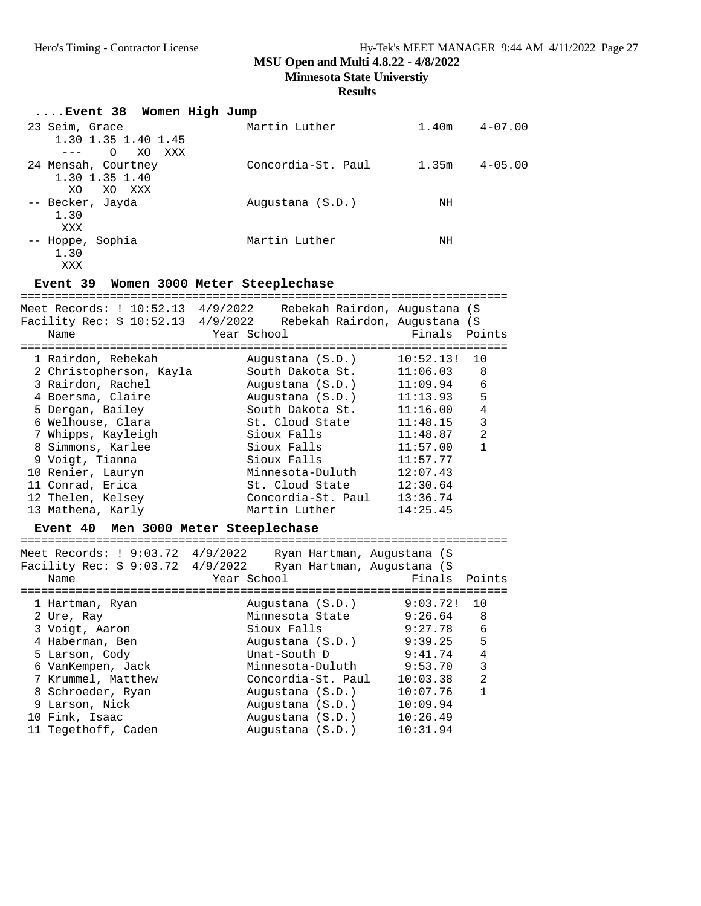**Minnesota State Universtiy**

#### **Results**

| Event 38 Women High Jump |                    |       |             |
|--------------------------|--------------------|-------|-------------|
| 23 Seim, Grace           | Martin Luther      | 1.40m | $4 - 07.00$ |
| 1.30 1.35 1.40 1.45      |                    |       |             |
| $\Omega$<br>XO XXX       |                    |       |             |
| 24 Mensah, Courtney      | Concordia-St. Paul | 1.35m | $4 - 05.00$ |
| 1.30 1.35 1.40           |                    |       |             |
| XO.<br>XO XXX            |                    |       |             |
| -- Becker, Jayda         | Augustana (S.D.)   | ΝH    |             |
| 1.30                     |                    |       |             |
| XXX                      |                    |       |             |
| -- Hoppe, Sophia         | Martin Luther      | ΝH    |             |
| 1.30                     |                    |       |             |
| XXX                      |                    |       |             |

# **Event 39 Women 3000 Meter Steeplechase**

| Meet Records: ! 10:52.13 4/9/2022<br>Facility Rec: \$ 10:52.13 4/9/2022<br>Name | Rebekah Rairdon, Augustana (S<br>Rebekah Rairdon, Augustana (S<br>Year School | Finals Points |                |
|---------------------------------------------------------------------------------|-------------------------------------------------------------------------------|---------------|----------------|
| 1 Rairdon, Rebekah                                                              | Augustana (S.D.)                                                              | 10:52.13!     | 10             |
| 2 Christopherson, Kayla                                                         | South Dakota St.                                                              | 11:06.03      | 8              |
| 3 Rairdon, Rachel                                                               | Augustana (S.D.)                                                              | 11:09.94      | 6              |
| 4 Boersma, Claire                                                               | Augustana (S.D.)                                                              | 11:13.93      | 5              |
| 5 Dergan, Bailey                                                                | South Dakota St.                                                              | 11:16.00      | 4              |
| 6 Welhouse, Clara                                                               | St. Cloud State                                                               | 11:48.15      | 3              |
| 7 Whipps, Kayleigh                                                              | Sioux Falls                                                                   | 11:48.87      | $\mathfrak{D}$ |
| 8 Simmons, Karlee                                                               | Sioux Falls                                                                   | 11:57.00      |                |
| 9 Voigt, Tianna                                                                 | Sioux Falls                                                                   | 11:57.77      |                |
| 10 Renier, Lauryn                                                               | Minnesota-Duluth                                                              | 12:07.43      |                |
| 11 Conrad, Erica                                                                | St. Cloud State                                                               | 12:30.64      |                |
| 12 Thelen, Kelsey                                                               | Concordia-St. Paul                                                            | 13:36.74      |                |
| 13 Mathena, Karly                                                               | Martin Luther                                                                 | 14:25.45      |                |
|                                                                                 |                                                                               |               |                |

## **Event 40 Men 3000 Meter Steeplechase**

| Meet Records: ! 9:03.72 4/9/2022<br>Facility Rec: $$9:03.72$ 4/9/2022<br>Name | Ryan Hartman, Augustana (S<br>Ryan Hartman, Augustana (S<br>Year School | Finals   | Points         |
|-------------------------------------------------------------------------------|-------------------------------------------------------------------------|----------|----------------|
| 1 Hartman, Ryan                                                               | Augustana (S.D.)                                                        | 9:03.72! | 10             |
| 2 Ure, Ray                                                                    | Minnesota State                                                         | 9:26.64  | 8              |
| 3 Voigt, Aaron                                                                | Sioux Falls                                                             | 9:27.78  | 6              |
| 4 Haberman, Ben                                                               | Augustana (S.D.)                                                        | 9:39.25  | 5              |
| 5 Larson, Cody                                                                | Unat-South D                                                            | 9:41.74  | 4              |
| 6 VanKempen, Jack                                                             | Minnesota-Duluth                                                        | 9:53.70  | 3              |
| 7 Krummel, Matthew                                                            | Concordia-St. Paul                                                      | 10:03.38 | $\mathfrak{D}$ |
| 8 Schroeder, Ryan                                                             | Augustana (S.D.)                                                        | 10:07.76 |                |
| 9 Larson, Nick                                                                | Augustana (S.D.)                                                        | 10:09.94 |                |
| 10 Fink, Isaac                                                                | Augustana (S.D.)                                                        | 10:26.49 |                |
| 11 Tegethoff, Caden                                                           | Augustana (S.D.)                                                        | 10:31.94 |                |
|                                                                               |                                                                         |          |                |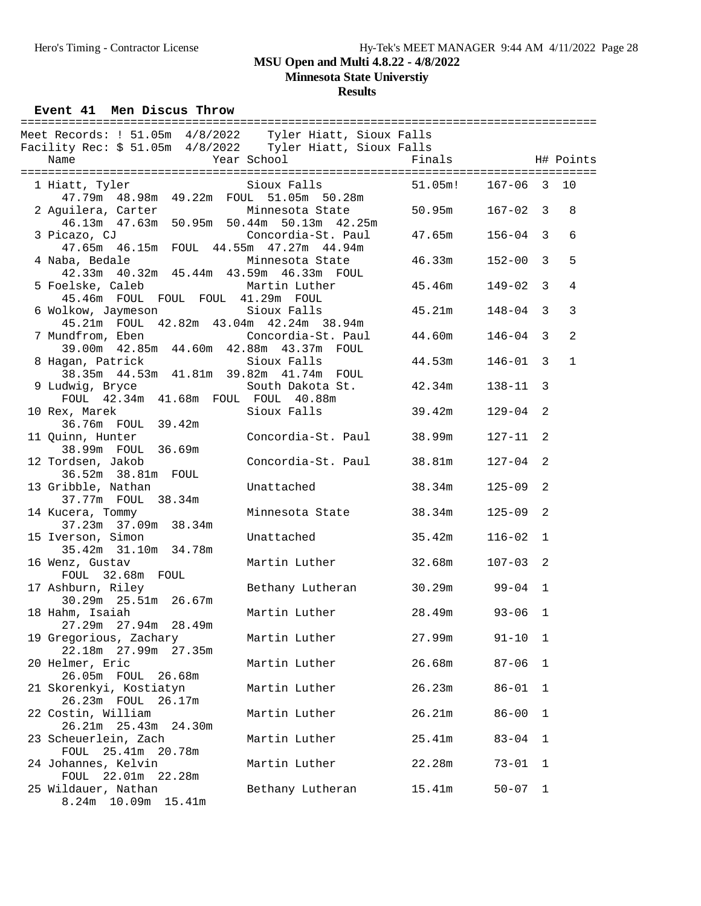# Hero's Timing - Contractor License Hy-Tek's MEET MANAGER 9:44 AM 4/11/2022 Page 28

# **MSU Open and Multi 4.8.22 - 4/8/2022**

**Minnesota State Universtiy**

**Results**

**Event 41 Men Discus Throw** 

| Meet Records: ! 51.05m 4/8/2022 Tyler Hiatt, Sioux Falls                                                       |                           |         |              |                |                |
|----------------------------------------------------------------------------------------------------------------|---------------------------|---------|--------------|----------------|----------------|
| Facility Rec: \$ 51.05m 4/8/2022 Tyler Hiatt, Sioux Falls<br>Name                                              | Year School               | Finals  |              |                | H# Points      |
|                                                                                                                |                           |         |              |                |                |
| 1 Hiatt, Tyler<br>47.79m  48.98m  49.22m  FOUL  51.05m  50.28m                                                 | Sioux Falls               | 51.05m! | $167 - 06$ 3 |                | 10             |
| 2 Aguilera, Carter<br>46.13m  47.63m  50.95m  50.44m  50.13m  42.25m                                           | Minnesota State           | 50.95m  | $167 - 02$ 3 |                | 8              |
| 3 Picazo, CJ                                                                                                   | Concordia-St. Paul        | 47.65m  | $156 - 04$ 3 |                | 6              |
| 47.65m  46.15m  FOUL  44.55m  47.27m  44.94m<br>4 Naba, Bedale<br>42.33m  40.32m  45.44m  43.59m  46.33m  FOUL | Minnesota State           | 46.33m  | $152 - 00$ 3 |                | 5              |
| 5 Foelske, Caleb Martin Luther<br>45.46m FOUL FOUL FOUL 41.29m FOUL                                            |                           | 45.46m  | $149 - 02$ 3 |                | 4              |
| 6 Wolkow, Jaymeson Sioux Falls<br>45.21m FOUL 42.82m 43.04m 42.24m 38.94m                                      |                           | 45.21m  | $148 - 04$ 3 |                | 3              |
| 7 Mundfrom, Eben (Concordia-St. Paul<br>39.00m  42.85m  44.60m  42.88m  43.37m  FOUL                           |                           | 44.60m  | $146 - 04$ 3 |                | $\overline{2}$ |
| 8 Hagan, Patrick<br>38.35m  44.53m  41.81m  39.82m  41.74m  FOUL                                               | Sioux Falls               | 44.53m  | $146 - 01$ 3 |                | $\mathbf{1}$   |
| 9 Ludwig, Bryce<br>FOUL 42.34m 41.68m FOUL FOUL 40.88m                                                         | South Dakota St.          | 42.34m  | $138 - 11$   | $\overline{3}$ |                |
| 10 Rex, Marek<br>36.76m FOUL 39.42m                                                                            | Sioux Falls               | 39.42m  | $129 - 04$   | 2              |                |
| 11 Quinn, Hunter                                                                                               | Concordia-St. Paul 38.99m |         | $127 - 11$   | 2              |                |
| 38.99m FOUL 36.69m<br>12 Tordsen, Jakob                                                                        | Concordia-St. Paul 38.81m |         | $127 - 04$   | 2              |                |
| 36.52m 38.81m FOUL<br>13 Gribble, Nathan                                                                       | Unattached                | 38.34m  | $125 - 09$   | 2              |                |
| 37.77m FOUL 38.34m<br>14 Kucera, Tommy                                                                         | Minnesota State           | 38.34m  | $125 - 09$   | 2              |                |
| 37.23m 37.09m 38.34m<br>15 Iverson, Simon                                                                      | Unattached                | 35.42m  | $116 - 02$ 1 |                |                |
| 35.42m 31.10m 34.78m<br>16 Wenz, Gustav                                                                        | Martin Luther             | 32.68m  | $107 - 03$   | 2              |                |
| FOUL 32.68m FOUL<br>17 Ashburn, Riley                                                                          | Bethany Lutheran          | 30.29m  | $99 - 04$ 1  |                |                |
| 30.29m 25.51m 26.67m<br>18 Hahm, Isaiah                                                                        | Martin Luther             | 28.49m  | $93 - 06$    | 1              |                |
| 27.29m 27.94m 28.49m<br>19 Gregorious, Zachary                                                                 | Martin Luther             | 27.99m  | $91 - 10$    | 1              |                |
| 22.18m 27.99m 27.35m<br>20 Helmer, Eric                                                                        | Martin Luther             | 26.68m  | $87 - 06$    | 1              |                |
| 26.05m FOUL 26.68m<br>21 Skorenkyi, Kostiatyn                                                                  | Martin Luther             | 26.23m  | $86 - 01$    | $\mathbf 1$    |                |
| 26.23m FOUL 26.17m<br>22 Costin, William                                                                       | Martin Luther             | 26.21m  | $86 - 00$    | 1              |                |
| 26.21m 25.43m<br>24.30m<br>23 Scheuerlein, Zach                                                                | Martin Luther             | 25.41m  | $83 - 04$    | 1              |                |
| FOUL<br>25.41m 20.78m<br>24 Johannes, Kelvin                                                                   | Martin Luther             | 22.28m  | $73 - 01$    | 1              |                |
| FOUL 22.01m 22.28m<br>25 Wildauer, Nathan                                                                      | Bethany Lutheran          | 15.41m  | $50 - 07$    | 1              |                |
| 8.24m 10.09m 15.41m                                                                                            |                           |         |              |                |                |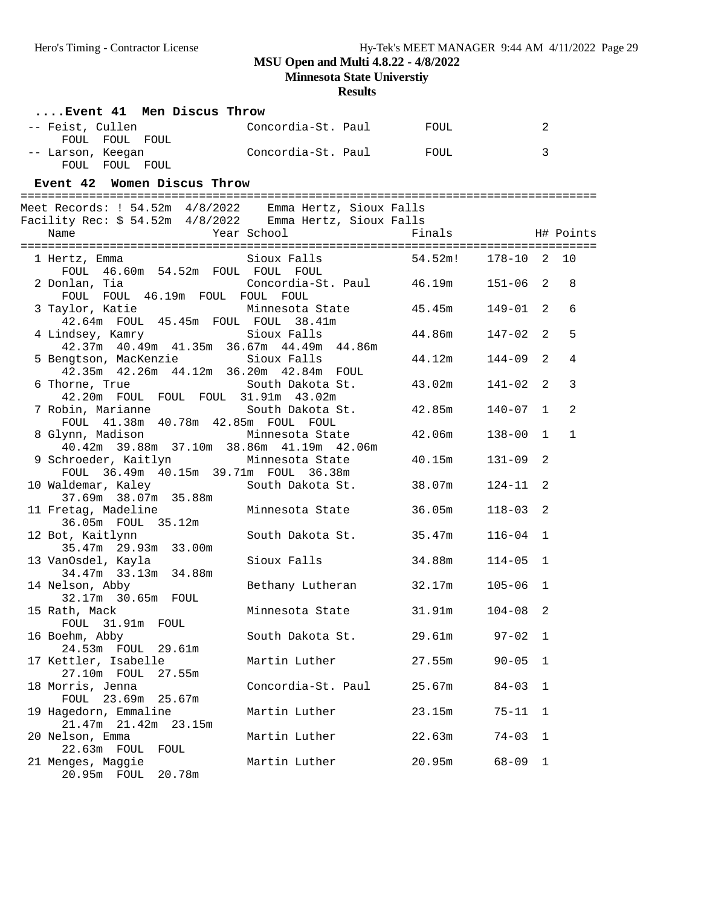**Minnesota State Universtiy**

| Event 41 Men Discus Throw                          |                                                           |             |            |              |                |
|----------------------------------------------------|-----------------------------------------------------------|-------------|------------|--------------|----------------|
| -- Feist, Cullen<br>FOUL FOUL FOUL                 | Concordia-St. Paul                                        | <b>FOUL</b> |            | 2            |                |
| -- Larson, Keegan<br>FOUL FOUL FOUL                | Concordia-St. Paul                                        | FOUL        |            | 3            |                |
| Event 42 Women Discus Throw                        |                                                           |             |            |              |                |
|                                                    | Meet Records: ! 54.52m  4/8/2022  Emma Hertz, Sioux Falls |             |            |              |                |
|                                                    | Facility Rec: $$54.52m$ 4/8/2022 Emma Hertz, Sioux Falls  |             |            |              |                |
| Name                                               | Year School                                               | Finals      | H# Points  |              |                |
| 1 Hertz, Emma                                      | Sioux Falls                                               | 54.52m!     | 178-10 2   |              | 10             |
| FOUL 46.60m 54.52m FOUL FOUL FOUL                  |                                                           |             |            |              |                |
| 2 Donlan, Tia                                      | Concordia-St. Paul 46.19m                                 |             | $151 - 06$ | 2            | 8              |
| FOUL FOUL 46.19m FOUL FOUL FOUL<br>3 Taylor, Katie | Minnesota State                                           | 45.45m      | 149-01     | 2            | 6              |
|                                                    | 42.64m FOUL 45.45m FOUL FOUL 38.41m                       |             |            |              |                |
| 4 Lindsey, Kamry Sioux Falls                       |                                                           | 44.86m      | 147-02     | 2            | 5              |
| 5 Bengtson, MacKenzie                              | 42.37m 40.49m 41.35m 36.67m 44.49m 44.86m<br>Sioux Falls  | 44.12m      | $144 - 09$ | 2            | 4              |
|                                                    | 42.35m  42.26m  44.12m  36.20m  42.84m  FOUL              |             |            |              |                |
| 6 Thorne, True                                     | South Dakota St.                                          | 43.02m      | 141-02     | 2            | 3              |
|                                                    | 42.20m FOUL FOUL FOUL 31.91m 43.02m                       |             |            |              |                |
| 7 Robin, Marianne                                  | South Dakota St.                                          | 42.85m      | 140-07     | $\mathbf{1}$ | $\overline{2}$ |
| 8 Glynn, Madison                                   | FOUL 41.38m 40.78m 42.85m FOUL FOUL<br>Minnesota State    | 42.06m      | $138 - 00$ | $\mathbf{1}$ | $\mathbf{1}$   |
|                                                    | 40.42m 39.88m 37.10m 38.86m 41.19m 42.06m                 |             |            |              |                |
| 9 Schroeder, Kaitlyn                               | Minnesota State                                           | 40.15m      | $131 - 09$ | 2            |                |
|                                                    | FOUL 36.49m 40.15m 39.71m FOUL 36.38m                     |             |            |              |                |
| 10 Waldemar, Kaley                                 | South Dakota St.                                          | 38.07m      | 124-11     | 2            |                |
| 37.69m 38.07m 35.88m<br>11 Fretag, Madeline        | Minnesota State                                           | 36.05m      | $118 - 03$ | 2            |                |
| 36.05m  FOUL  35.12m                               |                                                           |             |            |              |                |
| 12 Bot, Kaitlynn                                   | South Dakota St.                                          | 35.47m      | $116 - 04$ | 1            |                |
| 35.47m 29.93m 33.00m                               |                                                           |             |            |              |                |
| 13 VanOsdel, Kayla                                 | Sioux Falls                                               | 34.88m      | $114 - 05$ | $\mathbf{1}$ |                |
| 34.47m 33.13m 34.88m<br>14 Nelson, Abby            |                                                           | 32.17m      | $105 - 06$ | 1            |                |
| 32.17m 30.65m FOUL                                 | Bethany Lutheran                                          |             |            |              |                |
| 15 Rath, Mack                                      | Minnesota State                                           | 31.91m      | 104-08 2   |              |                |
| FOUL 31.91m FOUL                                   |                                                           |             |            |              |                |
| 16 Boehm, Abby                                     | South Dakota St.                                          | 29.61m      | $97 - 02$  | 1            |                |
| 24.53m FOUL 29.61m                                 |                                                           |             |            |              |                |
| 17 Kettler, Isabelle<br>27.55m<br>27.10m FOUL      | Martin Luther                                             | 27.55m      | $90 - 05$  | 1            |                |
| 18 Morris, Jenna                                   | Concordia-St. Paul                                        | 25.67m      | $84 - 03$  | 1            |                |
| 23.69m 25.67m<br>FOUL                              |                                                           |             |            |              |                |
| 19 Hagedorn, Emmaline                              | Martin Luther                                             | 23.15m      | $75 - 11$  | 1            |                |
| 21.47m<br>21.42m 23.15m                            |                                                           |             |            |              |                |
| 20 Nelson, Emma                                    | Martin Luther                                             | 22.63m      | $74 - 03$  | 1            |                |
| 22.63m FOUL<br>FOUL<br>21 Menges, Maggie           | Martin Luther                                             | 20.95m      | $68 - 09$  | 1            |                |
| 20.95m FOUL 20.78m                                 |                                                           |             |            |              |                |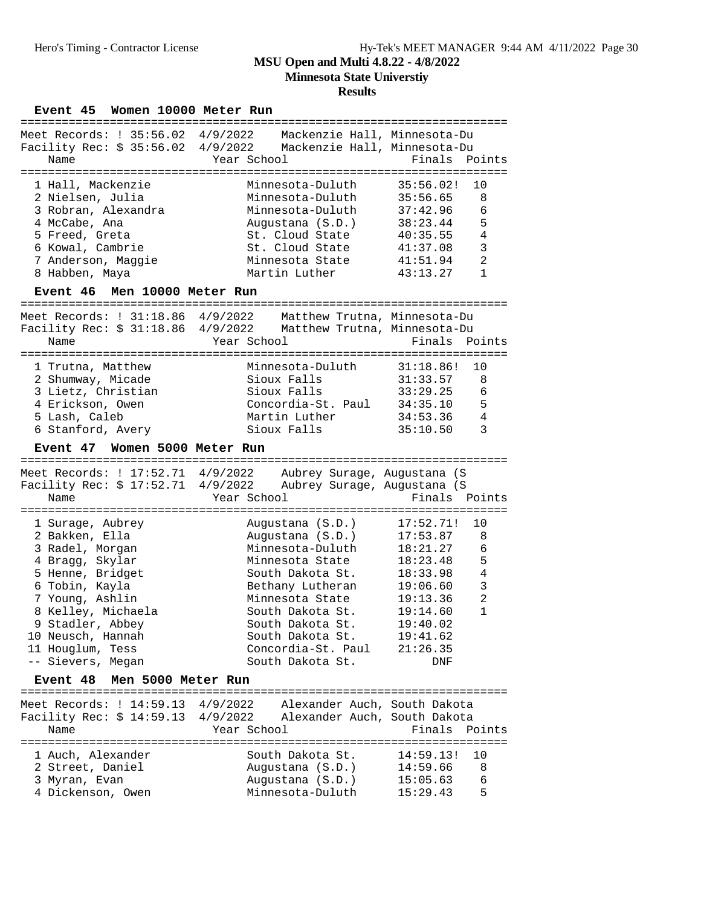**Results**

#### Event 45 Women 10000 Meter Run

| Meet Records: ! 35:56.02 4/9/2022<br>Facility Rec: $$35:56.02$ 4/9/2022<br>Name                                                                             | Mackenzie Hall, Minnesota-Du<br>Mackenzie Hall, Minnesota-Du<br>Year School in the School and the School and School                                    | Finals Points                                                                                                                          |
|-------------------------------------------------------------------------------------------------------------------------------------------------------------|--------------------------------------------------------------------------------------------------------------------------------------------------------|----------------------------------------------------------------------------------------------------------------------------------------|
| 1 Hall, Mackenzie<br>2 Nielsen, Julia<br>3 Robran, Alexandra<br>4 McCabe, Ana<br>5 Freed, Greta<br>6 Kowal, Cambrie<br>7 Anderson, Maggie<br>8 Habben, Maya | Minnesota-Duluth<br>Minnesota-Duluth<br>Minnesota-Duluth<br>Augustana (S.D.)<br>St. Cloud State<br>St. Cloud State<br>Minnesota State<br>Martin Luther | 35:56.02!<br>10<br>8<br>35:56.65<br>6<br>37:42.96<br>5<br>38:23.44<br>4<br>40:35.55<br>3<br>41:37.08<br>2<br>41:51.94<br>1<br>43:13.27 |
| Event 46 Men 10000 Meter Run                                                                                                                                |                                                                                                                                                        |                                                                                                                                        |
| Meet Records: ! 31:18.86 4/9/2022<br>Name                                                                                                                   | Matthew Trutna, Minnesota-Du<br>Facility Rec: \$ 31:18.86 4/9/2022 Matthew Trutna, Minnesota-Du<br>Year School                                         | Finals Points                                                                                                                          |
| 1 Trutna, Matthew                                                                                                                                           | Minnesota-Duluth 31:18.86! 10                                                                                                                          |                                                                                                                                        |

| 2 Shumway, Micade  | Sioux Falls        | 31:33.57 | $\mathbf{R}$ |
|--------------------|--------------------|----------|--------------|
| 3 Lietz, Christian | Sioux Falls        | 33:29.25 | 6            |
| 4 Erickson, Owen   | Concordia-St. Paul | 34:35.10 | Б.           |
| 5 Lash, Caleb      | Martin Luther      | 34:53.36 | 4            |
| 6 Stanford, Avery  | Sioux Falls        | 35:10.50 |              |

## **Event 47 Women 5000 Meter Run**

| Meet Records: ! 17:52.71 4/9/2022<br>Facility Rec: \$ 17:52.71 4/9/2022 | Aubrey Surage, Augustana (S<br>Aubrey Surage, Augustana (S |                            |
|-------------------------------------------------------------------------|------------------------------------------------------------|----------------------------|
| Name                                                                    | Year School                                                | Finals Points              |
|                                                                         |                                                            |                            |
| 1 Surage, Aubrey                                                        | Augustana (S.D.)                                           | 17:52.71!<br>10            |
| 2 Bakken, Ella                                                          | Augustana (S.D.)                                           | 17:53.87<br>8              |
| 3 Radel, Morgan                                                         | Minnesota-Duluth                                           | 6<br>18:21.27              |
| 4 Bragg, Skylar                                                         | Minnesota State                                            | 5<br>18:23.48              |
| 5 Henne, Bridget                                                        | South Dakota St.                                           | 4<br>18:33.98              |
| 6 Tobin, Kayla                                                          | Bethany Lutheran                                           | 3<br>19:06.60              |
| 7 Young, Ashlin                                                         | Minnesota State                                            | $\mathfrak{D}$<br>19:13.36 |
| 8 Kelley, Michaela                                                      | South Dakota St.                                           | 1<br>19:14.60              |
| 9 Stadler, Abbey                                                        | South Dakota St.                                           | 19:40.02                   |
| 10 Neusch, Hannah                                                       | South Dakota St.                                           | 19:41.62                   |
| 11 Houglum, Tess                                                        | Concordia-St. Paul                                         | 21:26.35                   |
| -- Sievers, Megan                                                       | South Dakota St.                                           | DNF                        |

### Event 48 Men 5000 Meter Run

| Meet Records: ! 14:59.13 4/9/2022<br>Facility Rec: \$ 14:59.13 4/9/2022 | Alexander Auch, South Dakota<br>Alexander Auch, South Dakota |                 |  |
|-------------------------------------------------------------------------|--------------------------------------------------------------|-----------------|--|
| Name                                                                    | Year School                                                  | Finals Points   |  |
|                                                                         |                                                              |                 |  |
| 1 Auch, Alexander                                                       | South Dakota St.                                             | $14:59.13!$ 10  |  |
| 2 Street, Daniel                                                        | Augustana (S.D.)                                             | 14:59.66<br>- 8 |  |
| 3 Myran, Evan                                                           | Augustana (S.D.)                                             | -6<br>15:05.63  |  |
| 4 Dickenson, Owen                                                       | Minnesota-Duluth                                             | - 5<br>15:29.43 |  |
|                                                                         |                                                              |                 |  |